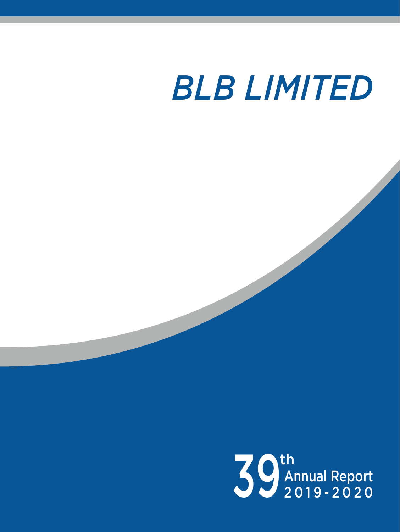### *BLB LIMITED*

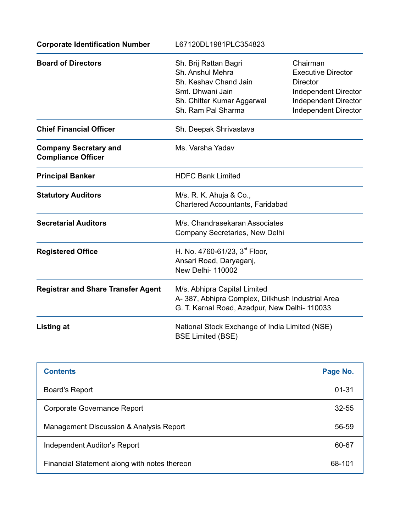| <b>Corporate Identification Number</b>                                                                                                                                         | L67120DL1981PLC354823                                                                                                                      |                                                                                                                                                       |  |  |  |  |
|--------------------------------------------------------------------------------------------------------------------------------------------------------------------------------|--------------------------------------------------------------------------------------------------------------------------------------------|-------------------------------------------------------------------------------------------------------------------------------------------------------|--|--|--|--|
| <b>Board of Directors</b>                                                                                                                                                      | Sh. Brij Rattan Bagri<br>Sh. Anshul Mehra<br>Sh. Keshav Chand Jain<br>Smt. Dhwani Jain<br>Sh. Chitter Kumar Aggarwal<br>Sh. Ram Pal Sharma | Chairman<br><b>Executive Director</b><br><b>Director</b><br><b>Independent Director</b><br><b>Independent Director</b><br><b>Independent Director</b> |  |  |  |  |
| <b>Chief Financial Officer</b>                                                                                                                                                 | Sh. Deepak Shrivastava                                                                                                                     |                                                                                                                                                       |  |  |  |  |
| <b>Company Secretary and</b><br><b>Compliance Officer</b>                                                                                                                      | Ms. Varsha Yadav                                                                                                                           |                                                                                                                                                       |  |  |  |  |
| <b>Principal Banker</b>                                                                                                                                                        | <b>HDFC Bank Limited</b>                                                                                                                   |                                                                                                                                                       |  |  |  |  |
| <b>Statutory Auditors</b>                                                                                                                                                      | M/s. R. K. Ahuja & Co.,<br><b>Chartered Accountants, Faridabad</b>                                                                         |                                                                                                                                                       |  |  |  |  |
| <b>Secretarial Auditors</b>                                                                                                                                                    | M/s. Chandrasekaran Associates<br>Company Secretaries, New Delhi                                                                           |                                                                                                                                                       |  |  |  |  |
| <b>Registered Office</b>                                                                                                                                                       | H. No. 4760-61/23, 3 <sup>rd</sup> Floor,<br>Ansari Road, Daryaganj,<br><b>New Delhi- 110002</b>                                           |                                                                                                                                                       |  |  |  |  |
| <b>Registrar and Share Transfer Agent</b><br>M/s. Abhipra Capital Limited<br>A-387, Abhipra Complex, Dilkhush Industrial Area<br>G. T. Karnal Road, Azadpur, New Delhi- 110033 |                                                                                                                                            |                                                                                                                                                       |  |  |  |  |
| <b>Listing at</b>                                                                                                                                                              | National Stock Exchange of India Limited (NSE)<br><b>BSE Limited (BSE)</b>                                                                 |                                                                                                                                                       |  |  |  |  |

| <b>Contents</b>                              | Page No.  |
|----------------------------------------------|-----------|
| Board's Report                               | $01 - 31$ |
| Corporate Governance Report                  | $32 - 55$ |
| Management Discussion & Analysis Report      | 56-59     |
| <b>Independent Auditor's Report</b>          | 60-67     |
| Financial Statement along with notes thereon | 68-101    |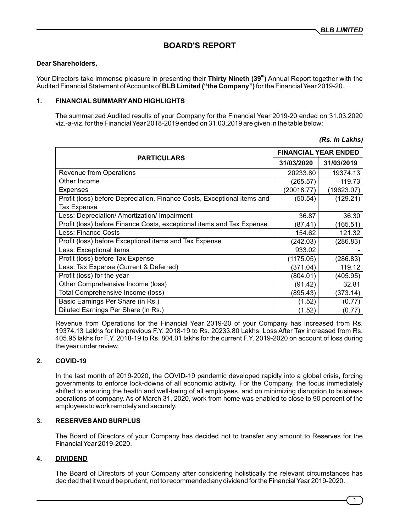*(Rs. In Lakhs)*

### **BOARD'S REPORT**

### **Dear Shareholders,**

**th** Your Directors take immense pleasure in presenting their **Thirty Nineth (39 )** Annual Report together with the Audited Financial Statement of Accounts of **BLB Limited ("the Company")** for the Financial Year 2019-20.

### **1. FINANCIALSUMMARYAND HIGHLIGHTS**

The summarized Audited results of your Company for the Financial Year 2019-20 ended on 31.03.2020 viz.-a-viz. for the Financial Year 2018-2019 ended on 31.03.2019 are given in the table below:

| <b>FINANCIAL YEAR ENDED</b> |            |  |  |  |  |
|-----------------------------|------------|--|--|--|--|
| 31/03/2020                  | 31/03/2019 |  |  |  |  |
| 20233.80                    | 19374.13   |  |  |  |  |
| (265.57)                    | 119.73     |  |  |  |  |
| (20018.77)                  | (19623.07) |  |  |  |  |
| (50.54)                     | (129.21)   |  |  |  |  |
|                             |            |  |  |  |  |

|                                                                         | 31/03/2020 | 31/03/2019 |
|-------------------------------------------------------------------------|------------|------------|
| Revenue from Operations                                                 | 20233.80   | 19374.13   |
| Other Income                                                            | (265.57)   | 119.73     |
| Expenses                                                                | (20018.77) | (19623.07) |
| Profit (loss) before Depreciation, Finance Costs, Exceptional items and | (50.54)    | (129.21)   |
| Tax Expense                                                             |            |            |
| Less: Depreciation/ Amortization/ Impairment                            | 36.87      | 36.30      |
| Profit (loss) before Finance Costs, exceptional items and Tax Expense   | (87.41)    | (165.51)   |
| <b>Less: Finance Costs</b>                                              | 154.62     | 121.32     |
| Profit (loss) before Exceptional items and Tax Expense                  | (242.03)   | (286.83)   |
| Less: Exceptional items                                                 | 933.02     |            |
| Profit (loss) before Tax Expense                                        | (1175.05)  | (286.83)   |
| Less: Tax Expense (Current & Deferred)                                  | (371.04)   | 119.12     |
| Profit (loss) for the year                                              | (804.01)   | (405.95)   |
| Other Comprehensive Income (loss)                                       | (91.42)    | 32.81      |
| Total Comprehensive Income (loss)                                       | (895.43)   | (373.14)   |
| Basic Earnings Per Share (in Rs.)                                       | (1.52)     | (0.77)     |
| Diluted Earnings Per Share (in Rs.)                                     | (1.52)     | (0.77)     |

Revenue from Operations for the Financial Year 2019-20 of your Company has increased from Rs. 19374.13 Lakhs for the previous F.Y. 2018-19 to Rs. 20233.80 Lakhs. Loss After Tax increased from Rs. 405.95 lakhs for F.Y. 2018-19 to Rs. 804.01 lakhs for the current F.Y. 2019-2020 on account of loss during the year under review.

### **2. COVID-19**

In the last month of 2019-2020, the COVID-19 pandemic developed rapidly into a global crisis, forcing governments to enforce lock-downs of all economic activity. For the Company, the focus immediately shifted to ensuring the health and well-being of all employees, and on minimizing disruption to business operations of company. As of March 31, 2020, work from home was enabled to close to 90 percent of the employees to work remotely and securely.

### **3. RESERVES AND SURPLUS**

The Board of Directors of your Company has decided not to transfer any amount to Reserves for the Financial Year 2019-2020.

### **4. DIVIDEND**

The Board of Directors of your Company after considering holistically the relevant circumstances has decided that it would be prudent, not to recommended any dividend for the Financial Year 2019-2020.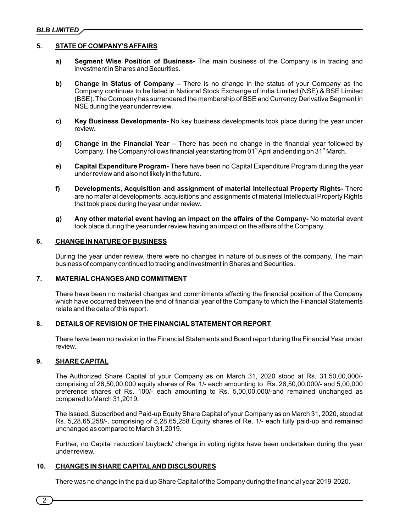### **5. STATE OF COMPANY'S AFFAIRS**

- **a) Segment Wise Position of Business-** The main business of the Company is in trading and investment in Shares and Securities.
- **b) Change in Status of Company** There is no change in the status of your Company as the Company continues to be listed in National Stock Exchange of India Limited (NSE) & BSE Limited (BSE). The Company has surrendered the membership of BSE and Currency Derivative Segment in NSE during the year under review.
- **c) Key Business Developments-** No key business developments took place during the year under review.
- **d)** Change in the Financial Year There has been no change in the financial year followed by Company. The Company follows financial year starting from 01<sup>st</sup> April and ending on 31<sup>st</sup> March.
- **e) Capital Expenditure Program-** There have been no Capital Expenditure Program during the year under review and also not likely in the future.
- **f) Developments, Acquisition and assignment of material Intellectual Property Rights-** There are no material developments, acquisitions and assignments of material Intellectual Property Rights that took place during the year under review.
- **g) Any other material event having an impact on the affairs of the Company-** No material event took place during the year under review having an impact on the affairs of the Company.

### **6. CHANGE IN NATURE OF BUSINESS**

During the year under review, there were no changes in nature of business of the company. The main business of company continued to trading and investment in Shares and Securities.

### **7. MATERIAL CHANGES AND COMMITMENT**

There have been no material changes and commitments affecting the financial position of the Company which have occurred between the end of financial year of the Company to which the Financial Statements relate and the date of this report.

### **8. DETAILS OF REVISION OF THE FINANCIALSTATEMENT OR REPORT**

There have been no revision in the Financial Statements and Board report during the Financial Year under review.

### **9. SHARE CAPITAL**

The Authorized Share Capital of your Company as on March 31, 2020 stood at Rs. 31,50,00,000/ comprising of 26,50,00,000 equity shares of Re. 1/- each amounting to Rs. 26,50,00,000/- and 5,00,000 preference shares of Rs. 100/- each amounting to Rs. 5,00,00,000/-and remained unchanged as compared to March 31,2019.

The Issued, Subscribed and Paid-up Equity Share Capital of your Company as on March 31, 2020, stood at Rs. 5,28,65,258/-, comprising of 5,28,65,258 Equity shares of Re. 1/- each fully paid-up and remained unchanged as compared to March 31,2019.

Further, no Capital reduction/ buyback/ change in voting rights have been undertaken during the year under review.

### **10. CHANGES IN SHARE CAPITALAND DISCLSOURES**

There was no change in the paid up Share Capital of the Company during the financial year 2019-2020.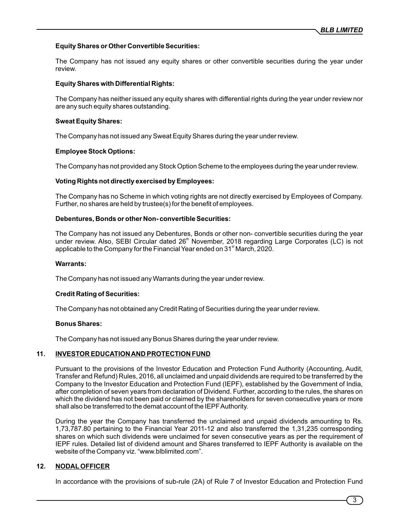### **Equity Shares or Other Convertible Securities:**

The Company has not issued any equity shares or other convertible securities during the year under review.

### **Equity Shares with Differential Rights:**

The Company has neither issued any equity shares with differential rights during the year under review nor are any such equity shares outstanding.

### **Sweat Equity Shares:**

The Company has not issued any Sweat Equity Shares during the year under review.

### **Employee Stock Options:**

The Company has not provided any Stock Option Scheme to the employees during the year under review.

### **Voting Rights not directly exercised by Employees:**

The Company has no Scheme in which voting rights are not directly exercised by Employees of Company. Further, no shares are held by trustee(s) for the benefit of employees.

### **Debentures, Bonds or other Non- convertible Securities:**

The Company has not issued any Debentures, Bonds or other non- convertible securities during the year under review. Also, SEBI Circular dated 26<sup>th</sup> November, 2018 regarding Large Corporates (LC) is not applicable to the Company for the Financial Year ended on 31<sup>st</sup> March, 2020.

### **Warrants:**

The Company has not issued any Warrants during the year under review.

### **Credit Rating of Securities:**

The Company has not obtained any Credit Rating of Securities during the year under review.

### **Bonus Shares:**

The Company has not issued any Bonus Shares during the year under review.

### **11. INVESTOR EDUCATION AND PROTECTION FUND**

Pursuant to the provisions of the Investor Education and Protection Fund Authority (Accounting, Audit, Transfer and Refund) Rules, 2016, all unclaimed and unpaid dividends are required to be transferred by the Company to the Investor Education and Protection Fund (IEPF), established by the Government of India, after completion of seven years from declaration of Dividend. Further, according to the rules, the shares on which the dividend has not been paid or claimed by the shareholders for seven consecutive years or more shall also be transferred to the demat account of the IEPF Authority.

During the year the Company has transferred the unclaimed and unpaid dividends amounting to Rs. 1,73,787.80 pertaining to the Financial Year 2011-12 and also transferred the 1,31,235 corresponding shares on which such dividends were unclaimed for seven consecutive years as per the requirement of IEPF rules. Detailed list of dividend amount and Shares transferred to IEPF Authority is available on the website of the Company viz. "www.blblimited.com".

### **12. NODALOFFICER**

In accordance with the provisions of sub-rule (2A) of Rule 7 of Investor Education and Protection Fund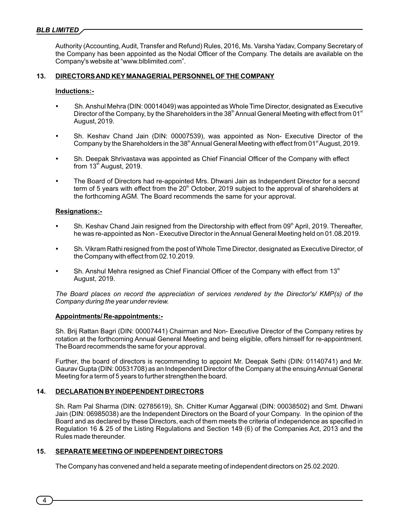### *BLB LIMITED*

Authority (Accounting, Audit, Transfer and Refund) Rules, 2016, Ms. Varsha Yadav, Company Secretary of the Company has been appointed as the Nodal Officer of the Company. The details are available on the Company's website at "www.blblimited.com".

### **13. DIRECTORS AND KEY MANAGERIALPERSONNELOF THE COMPANY**

### **Inductions:-**

- Sh. Anshul Mehra (DIN: 00014049) was appointed as Whole Time Director, designated as Executive Director of the Company, by the Shareholders in the 38<sup>th</sup> Annual General Meeting with effect from 01<sup>st</sup> August, 2019.
- Sh. Keshav Chand Jain (DIN: 00007539), was appointed as Non- Executive Director of the Company by the Shareholders in the 38<sup>th</sup> Annual General Meeting with effect from 01<sup>st</sup> August, 2019.
- Sh. Deepak Shrivastava was appointed as Chief Financial Officer of the Company with effect from  $13<sup>th</sup>$  August, 2019.
- The Board of Directors had re-appointed Mrs. Dhwani Jain as Independent Director for a second term of 5 years with effect from the 20<sup>th</sup> October, 2019 subject to the approval of shareholders at the forthcoming AGM. The Board recommends the same for your approval.

### **Resignations:-**

- Sh. Keshav Chand Jain resigned from the Directorship with effect from  $09<sup>th</sup>$  April, 2019. Thereafter, he was re-appointed as Non - Executive Director in the Annual General Meeting held on 01.08.2019.
- Sh. Vikram Rathi resigned from the post of Whole Time Director, designated as Executive Director, of the Company with effect from 02.10.2019.
- Sh. Anshul Mehra resigned as Chief Financial Officer of the Company with effect from  $13<sup>th</sup>$ August, 2019.

*The Board places on record the appreciation of services rendered by the Director's/ KMP(s) of the Company during the year under review.*

### **Appointments/ Re-appointments:-**

Sh. Brij Rattan Bagri (DIN: 00007441) Chairman and Non- Executive Director of the Company retires by rotation at the forthcoming Annual General Meeting and being eligible, offers himself for re-appointment. The Board recommends the same for your approval.

Further, the board of directors is recommending to appoint Mr. Deepak Sethi (DIN: 01140741) and Mr. Gaurav Gupta (DIN: 00531708) as an Independent Director of the Company at the ensuing Annual General Meeting for a term of 5 years to further strengthen the board.

### **14. DECLARATION BYINDEPENDENT DIRECTORS**

Sh. Ram Pal Sharma (DIN: 02785619), Sh. Chitter Kumar Aggarwal (DIN: 00038502) and Smt. Dhwani Jain (DIN: 06985038) are the Independent Directors on the Board of your Company. In the opinion of the Board and as declared by these Directors, each of them meets the criteria of independence as specified in Regulation 16 & 25 of the Listing Regulations and Section 149 (6) of the Companies Act, 2013 and the Rules made thereunder.

### **15. SEPARATE MEETING OF INDEPENDENT DIRECTORS**

The Company has convened and held a separate meeting of independent directors on 25.02.2020.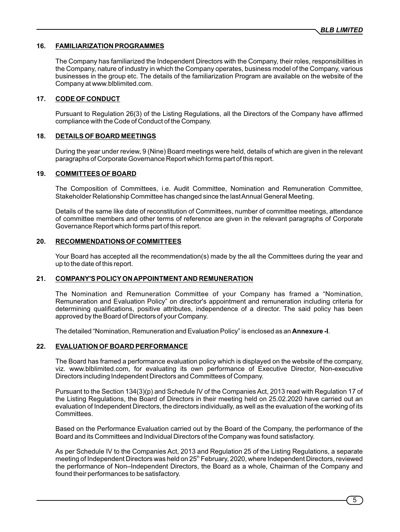### **16. FAMILIARIZATION PROGRAMMES**

The Company has familiarized the Independent Directors with the Company, their roles, responsibilities in the Company, nature of industry in which the Company operates, business model of the Company, various businesses in the group etc. The details of the familiarization Program are available on the website of the Company at www.blblimited.com.

### **17. CODE OF CONDUCT**

Pursuant to Regulation 26(3) of the Listing Regulations, all the Directors of the Company have affirmed compliance with the Code of Conduct of the Company.

### **18. DETAILS OF BOARD MEETINGS**

During the year under review, 9 (Nine) Board meetings were held, details of which are given in the relevant paragraphs of Corporate Governance Report which forms part of this report.

### **19. COMMITTEES OF BOARD**

The Composition of Committees, i.e. Audit Committee, Nomination and Remuneration Committee, Stakeholder Relationship Committee has changed since the last Annual General Meeting.

Details of the same like date of reconstitution of Committees, number of committee meetings, attendance of committee members and other terms of reference are given in the relevant paragraphs of Corporate Governance Report which forms part of this report.

### **20. RECOMMENDATIONS OF COMMITTEES**

Your Board has accepted all the recommendation(s) made by the all the Committees during the year and up to the date of this report.

### **21. COMPANY'S POLICYON APPOINTMENT AND REMUNERATION**

The Nomination and Remuneration Committee of your Company has framed a "Nomination, Remuneration and Evaluation Policy" on director's appointment and remuneration including criteria for determining qualifications, positive attributes, independence of a director. The said policy has been approved by the Board of Directors of your Company.

The detailed "Nomination, Remuneration and Evaluation Policy" is enclosed as an **Annexure -I**.

### **22. EVALUATION OF BOARD PERFORMANCE**

The Board has framed a performance evaluation policy which is displayed on the website of the company, viz. www.blblimited.com, for evaluating its own performance of Executive Director, Non-executive Directors including Independent Directors and Committees of Company.

Pursuant to the Section 134(3)(p) and Schedule IV of the Companies Act, 2013 read with Regulation 17 of the Listing Regulations, the Board of Directors in their meeting held on 25.02.2020 have carried out an evaluation of Independent Directors, the directors individually, as well as the evaluation of the working of its **Committees** 

Based on the Performance Evaluation carried out by the Board of the Company, the performance of the Board and its Committees and Individual Directors of the Company was found satisfactory.

As per Schedule IV to the Companies Act, 2013 and Regulation 25 of the Listing Regulations, a separate meeting of Independent Directors was held on 25<sup>th</sup> February, 2020, where Independent Directors, reviewed the performance of Non–Independent Directors, the Board as a whole, Chairman of the Company and found their performances to be satisfactory.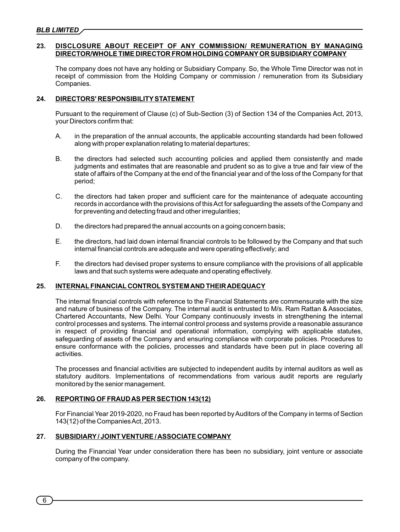### **23. DISCLOSURE ABOUT RECEIPT OF ANY COMMISSION/ REMUNERATION BY MANAGING DIRECTOR/WHOLE TIME DIRECTOR FROM HOLDING COMPANYOR SUBSIDIARY COMPANY**

The company does not have any holding or Subsidiary Company. So, the Whole Time Director was not in receipt of commission from the Holding Company or commission / remuneration from its Subsidiary Companies.

### **24. DIRECTORS' RESPONSIBILITYSTATEMENT**

Pursuant to the requirement of Clause (c) of Sub-Section (3) of Section 134 of the Companies Act, 2013, your Directors confirm that:

- A. in the preparation of the annual accounts, the applicable accounting standards had been followed along with proper explanation relating to material departures;
- B. the directors had selected such accounting policies and applied them consistently and made judgments and estimates that are reasonable and prudent so as to give a true and fair view of the state of affairs of the Company at the end of the financial year and of the loss of the Company for that period;
- C. the directors had taken proper and sufficient care for the maintenance of adequate accounting records in accordance with the provisions of this Act for safeguarding the assets of the Company and for preventing and detecting fraud and other irregularities;
- D. the directors had prepared the annual accounts on a going concern basis;
- E. the directors, had laid down internal financial controls to be followed by the Company and that such internal financial controls are adequate and were operating effectively; and
- F. the directors had devised proper systems to ensure compliance with the provisions of all applicable laws and that such systems were adequate and operating effectively.

### **25. INTERNALFINANCIAL CONTROLSYSTEM AND THEIR ADEQUACY**

The internal financial controls with reference to the Financial Statements are commensurate with the size and nature of business of the Company. The internal audit is entrusted to M/s. Ram Rattan & Associates, Chartered Accountants, New Delhi. Your Company continuously invests in strengthening the internal control processes and systems. The internal control process and systems provide a reasonable assurance in respect of providing financial and operational information, complying with applicable statutes, safeguarding of assets of the Company and ensuring compliance with corporate policies. Procedures to ensure conformance with the policies, processes and standards have been put in place covering all activities.

The processes and financial activities are subjected to independent audits by internal auditors as well as statutory auditors. Implementations of recommendations from various audit reports are regularly monitored by the senior management.

### **26. REPORTING OF FRAUD AS PER SECTION 143(12)**

For Financial Year 2019-2020, no Fraud has been reported by Auditors of the Company in terms of Section 143(12) of the Companies Act, 2013.

### **27. SUBSIDIARY/ JOINT VENTURE / ASSOCIATE COMPANY**

During the Financial Year under consideration there has been no subsidiary, joint venture or associate company of the company.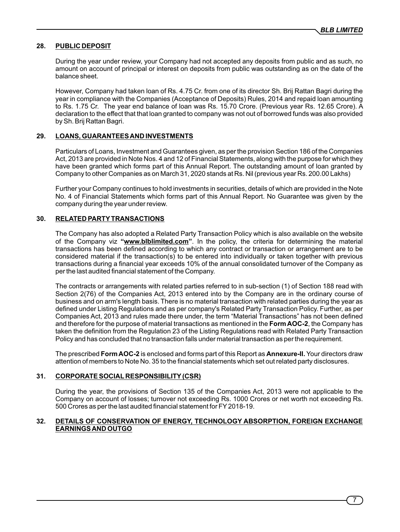### **28. PUBLIC DEPOSIT**

During the year under review, your Company had not accepted any deposits from public and as such, no amount on account of principal or interest on deposits from public was outstanding as on the date of the balance sheet.

However, Company had taken loan of Rs. 4.75 Cr. from one of its director Sh. Brij Rattan Bagri during the year in compliance with the Companies (Acceptance of Deposits) Rules, 2014 and repaid loan amounting to Rs. 1.75 Cr. The year end balance of loan was Rs. 15.70 Crore. (Previous year Rs. 12.65 Crore). A declaration to the effect that that loan granted to company was not out of borrowed funds was also provided by Sh. Brij Rattan Bagri.

### **29. LOANS, GUARANTEES AND INVESTMENTS**

Particulars of Loans, Investment and Guarantees given, as per the provision Section 186 of the Companies Act, 2013 are provided in Note Nos. 4 and 12 of Financial Statements, along with the purpose for which they have been granted which forms part of this Annual Report. The outstanding amount of loan granted by Company to other Companies as on March 31, 2020 stands at Rs. Nil (previous year Rs. 200.00 Lakhs)

Further your Company continues to hold investments in securities, details of which are provided in the Note No. 4 of Financial Statements which forms part of this Annual Report. No Guarantee was given by the company during the year under review.

### **30. RELATED PARTYTRANSACTIONS**

The Company has also adopted a Related Party Transaction Policy which is also available on the website of the Company viz **"www.blblimited.com"**. In the policy, the criteria for determining the material transactions has been defined according to which any contract or transaction or arrangement are to be considered material if the transaction(s) to be entered into individually or taken together with previous transactions during a financial year exceeds 10% of the annual consolidated turnover of the Company as per the last audited financial statement of the Company.

The contracts or arrangements with related parties referred to in sub-section (1) of Section 188 read with Section 2(76) of the Companies Act, 2013 entered into by the Company are in the ordinary course of business and on arm's length basis. There is no material transaction with related parties during the year as defined under Listing Regulations and as per company's Related Party Transaction Policy. Further, as per Companies Act, 2013 and rules made there under, the term "Material Transactions" has not been defined and therefore for the purpose of material transactions as mentioned in the **Form AOC-2**, the Company has taken the definition from the Regulation 23 of the Listing Regulations read with Related Party Transaction Policy and has concluded that no transaction falls under material transaction as per the requirement.

The prescribed **Form AOC-2**is enclosed and forms part of this Report as **Annexure-II.** Your directors draw attention of members to Note No. 35 to the financial statements which set out related party disclosures.

### **31. CORPORATE SOCIAL RESPONSIBILITY(CSR)**

During the year, the provisions of Section 135 of the Companies Act, 2013 were not applicable to the Company on account of losses; turnover not exceeding Rs. 1000 Crores or net worth not exceeding Rs. 500 Crores as per the last audited financial statement for FY 2018-19.

### **32. DETAILS OF CONSERVATION OF ENERGY, TECHNOLOGY ABSORPTION, FOREIGN EXCHANGE EARNINGS AND OUTGO**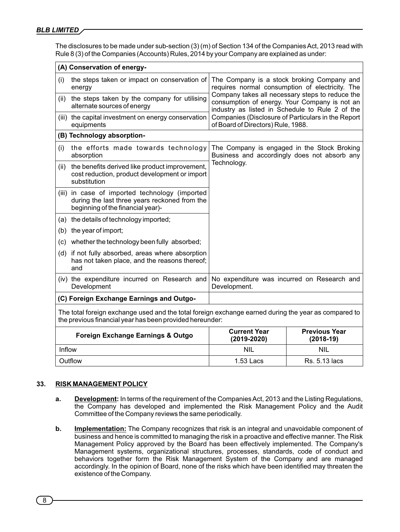The disclosures to be made under sub-section (3) (m) of Section 134 of the Companies Act, 2013 read with Rule 8 (3) of the Companies (Accounts) Rules, 2014 by your Company are explained as under:

|        | (A) Conservation of energy-                                                                                                                                      |                                                                                                                                                     |                                                                                             |  |  |  |  |  |
|--------|------------------------------------------------------------------------------------------------------------------------------------------------------------------|-----------------------------------------------------------------------------------------------------------------------------------------------------|---------------------------------------------------------------------------------------------|--|--|--|--|--|
| (i)    | the steps taken or impact on conservation of<br>energy                                                                                                           | The Company is a stock broking Company and<br>requires normal consumption of electricity. The                                                       |                                                                                             |  |  |  |  |  |
| (ii)   | the steps taken by the company for utilising<br>alternate sources of energy                                                                                      | Company takes all necessary steps to reduce the<br>consumption of energy. Your Company is not an<br>industry as listed in Schedule to Rule 2 of the |                                                                                             |  |  |  |  |  |
|        | (iii) the capital investment on energy conservation<br>equipments                                                                                                | of Board of Directors) Rule, 1988.                                                                                                                  | Companies (Disclosure of Particulars in the Report                                          |  |  |  |  |  |
|        | (B) Technology absorption-                                                                                                                                       |                                                                                                                                                     |                                                                                             |  |  |  |  |  |
| (i)    | the efforts made towards technology<br>absorption                                                                                                                |                                                                                                                                                     | The Company is engaged in the Stock Broking<br>Business and accordingly does not absorb any |  |  |  |  |  |
| (ii)   | the benefits derived like product improvement,<br>cost reduction, product development or import<br>substitution                                                  | Technology.                                                                                                                                         |                                                                                             |  |  |  |  |  |
|        | (iii) in case of imported technology (imported<br>during the last three years reckoned from the<br>beginning of the financial year)-                             |                                                                                                                                                     |                                                                                             |  |  |  |  |  |
|        | (a) the details of technology imported;                                                                                                                          |                                                                                                                                                     |                                                                                             |  |  |  |  |  |
| (b)    | the year of import;                                                                                                                                              |                                                                                                                                                     |                                                                                             |  |  |  |  |  |
|        | (c) whether the technology been fully absorbed;                                                                                                                  |                                                                                                                                                     |                                                                                             |  |  |  |  |  |
| (d)    | if not fully absorbed, areas where absorption<br>has not taken place, and the reasons thereof;<br>and                                                            |                                                                                                                                                     |                                                                                             |  |  |  |  |  |
|        | (iv) the expenditure incurred on Research and<br>Development                                                                                                     | Development.                                                                                                                                        | No expenditure was incurred on Research and                                                 |  |  |  |  |  |
|        | (C) Foreign Exchange Earnings and Outgo-                                                                                                                         |                                                                                                                                                     |                                                                                             |  |  |  |  |  |
|        | The total foreign exchange used and the total foreign exchange earned during the year as compared to<br>the previous financial year has been provided hereunder: |                                                                                                                                                     |                                                                                             |  |  |  |  |  |
|        | <b>Foreign Exchange Earnings &amp; Outgo</b>                                                                                                                     | <b>Current Year</b><br>(2019-2020)                                                                                                                  | <b>Previous Year</b><br>$(2018-19)$                                                         |  |  |  |  |  |
| Inflow |                                                                                                                                                                  | <b>NIL</b>                                                                                                                                          | <b>NIL</b>                                                                                  |  |  |  |  |  |
|        | Outflow                                                                                                                                                          | 1.53 Lacs                                                                                                                                           | <b>Rs. 5.13 lacs</b>                                                                        |  |  |  |  |  |

### **33. RISK MANAGEMENT POLICY**

- **a. Development:** In terms of the requirement of the Companies Act, 2013 and the Listing Regulations, the Company has developed and implemented the Risk Management Policy and the Audit Committee of the Company reviews the same periodically.
- **b.** Implementation: The Company recognizes that risk is an integral and unavoidable component of business and hence is committed to managing the risk in a proactive and effective manner. The Risk Management Policy approved by the Board has been effectively implemented. The Company's Management systems, organizational structures, processes, standards, code of conduct and behaviors together form the Risk Management System of the Company and are managed accordingly. In the opinion of Board, none of the risks which have been identified may threaten the existence of the Company.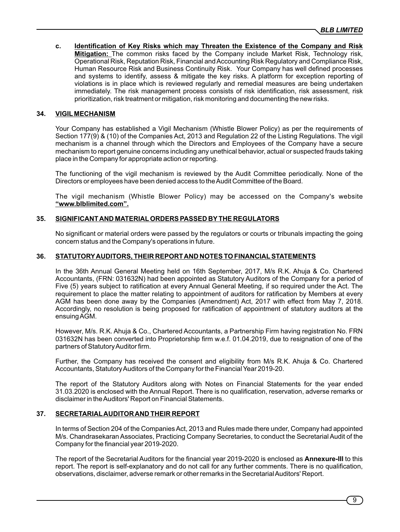**c. Identication of Key Risks which may Threaten the Existence of the Company and Risk Mitigation:** The common risks faced by the Company include Market Risk, Technology risk, Operational Risk, Reputation Risk, Financial and Accounting Risk Regulatory and Compliance Risk, Human Resource Risk and Business Continuity Risk. Your Company has well defined processes and systems to identify, assess & mitigate the key risks. A platform for exception reporting of violations is in place which is reviewed regularly and remedial measures are being undertaken immediately. The risk management process consists of risk identification, risk assessment, risk prioritization, risk treatment or mitigation, risk monitoring and documenting the new risks.

### **34. VIGIL MECHANISM**

Your Company has established a Vigil Mechanism (Whistle Blower Policy) as per the requirements of Section 177(9) & (10) of the Companies Act, 2013 and Regulation 22 of the Listing Regulations. The vigil mechanism is a channel through which the Directors and Employees of the Company have a secure mechanism to report genuine concerns including any unethical behavior, actual or suspected frauds taking place in the Company for appropriate action or reporting.

The functioning of the vigil mechanism is reviewed by the Audit Committee periodically. None of the Directors or employees have been denied access to the Audit Committee of the Board.

The vigil mechanism (Whistle Blower Policy) may be accessed on the Company's website **"www.blblimited.com".** 

### **35. SIGNIFICANT AND MATERIALORDERS PASSED BYTHE REGULATORS**

No significant or material orders were passed by the regulators or courts or tribunals impacting the going concern status and the Company's operations in future.

### **36. STATUTORYAUDITORS, THEIR REPORT AND NOTES TO FINANCIALSTATEMENTS**

In the 36th Annual General Meeting held on 16th September, 2017, M/s R.K. Ahuja & Co. Chartered Accountants, (FRN: 031632N) had been appointed as Statutory Auditors of the Company for a period of Five (5) years subject to ratification at every Annual General Meeting, if so required under the Act. The requirement to place the matter relating to appointment of auditors for ratification by Members at every AGM has been done away by the Companies (Amendment) Act, 2017 with effect from May 7, 2018. Accordingly, no resolution is being proposed for ratification of appointment of statutory auditors at the ensuing AGM.

However, M/s. R.K. Ahuja & Co., Chartered Accountants, a Partnership Firm having registration No. FRN 031632N has been converted into Proprietorship firm w.e.f. 01.04.2019, due to resignation of one of the partners of Statutory Auditor firm.

Further, the Company has received the consent and eligibility from M/s R.K. Ahuja & Co. Chartered Accountants, Statutory Auditors of the Company for the Financial Year 2019-20.

The report of the Statutory Auditors along with Notes on Financial Statements for the year ended 31.03.2020 is enclosed with the Annual Report. There is no qualification, reservation, adverse remarks or disclaimer in the Auditors' Report on Financial Statements.

### **37. SECRETARIALAUDITOR AND THEIR REPORT**

In terms of Section 204 of the Companies Act, 2013 and Rules made there under, Company had appointed M/s. Chandrasekaran Associates, Practicing Company Secretaries, to conduct the Secretarial Audit of the Company for the financial year 2019-2020.

The report of the Secretarial Auditors for the financial year 2019-2020 is enclosed as **Annexure-III** to this report. The report is self-explanatory and do not call for any further comments. There is no qualication, observations, disclaimer, adverse remark or other remarks in the Secretarial Auditors' Report.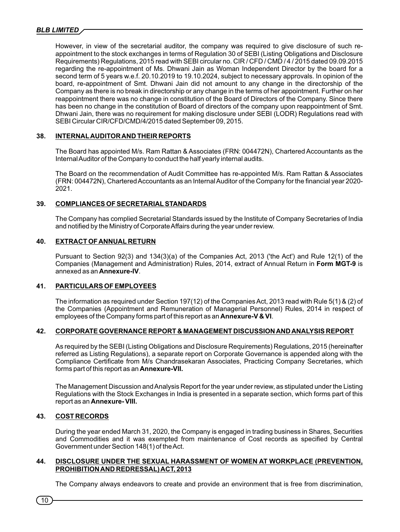However, in view of the secretarial auditor, the company was required to give disclosure of such reappointment to the stock exchanges in terms of Regulation 30 of SEBI (Listing Obligations and Disclosure Requirements) Regulations, 2015 read with SEBI circular no. CIR / CFD / CMD / 4 / 2015 dated 09.09.2015 regarding the re-appointment of Ms. Dhwani Jain as Woman Independent Director by the board for a second term of 5 years w.e.f. 20.10.2019 to 19.10.2024, subject to necessary approvals. In opinion of the board, re-appointment of Smt. Dhwani Jain did not amount to any change in the directorship of the Company as there is no break in directorship or any change in the terms of her appointment. Further on her reappointment there was no change in constitution of the Board of Directors of the Company. Since there has been no change in the constitution of Board of directors of the company upon reappointment of Smt. Dhwani Jain, there was no requirement for making disclosure under SEBI (LODR) Regulations read with SEBI Circular CIR/CFD/CMD/4/2015 dated September 09, 2015.

### **38. INTERNALAUDITOR AND THEIR REPORTS**

The Board has appointed M/s. Ram Rattan & Associates (FRN: 004472N), Chartered Accountants as the Internal Auditor of the Company to conduct the half yearly internal audits.

The Board on the recommendation of Audit Committee has re-appointed M/s. Ram Rattan & Associates (FRN: 004472N), Chartered Accountants as an Internal Auditor of the Company for the financial year 2020-2021.

### **39. COMPLIANCES OF SECRETARIALSTANDARDS**

The Company has complied Secretarial Standards issued by the Institute of Company Secretaries of India and notified by the Ministry of Corporate Affairs during the year under review.

### **40. EXTRACT OF ANNUAL RETURN**

Pursuant to Section 92(3) and 134(3)(a) of the Companies Act, 2013 ('the Act') and Rule 12(1) of the Companies (Management and Administration) Rules, 2014, extract of Annual Return in **Form MGT-9** is annexed as an **Annexure-IV**.

### **41. PARTICULARS OF EMPLOYEES**

The information as required under Section 197(12) of the Companies Act, 2013 read with Rule 5(1) & (2) of the Companies (Appointment and Remuneration of Managerial Personnel) Rules, 2014 in respect of employees of the Company forms part of this report as an **Annexure-V & VI**.

### **42. CORPORATE GOVERNANCE REPORT & MANAGEMENT DISCUSSION AND ANALYSIS REPORT**

As required by the SEBI (Listing Obligations and Disclosure Requirements) Regulations, 2015 (hereinafter referred as Listing Regulations), a separate report on Corporate Governance is appended along with the Compliance Certificate from M/s Chandrasekaran Associates, Practicing Company Secretaries, which forms part of this report as an **Annexure-VII.**

The Management Discussion and Analysis Report for the year under review, as stipulated under the Listing Regulations with the Stock Exchanges in India is presented in a separate section, which forms part of this report as an **Annexure- VIII.**

### **43. COST RECORDS**

During the year ended March 31, 2020, the Company is engaged in trading business in Shares, Securities and Commodities and it was exempted from maintenance of Cost records as specified by Central Government under Section 148(1) of the Act.

### **44. DISCLOSURE UNDER THE SEXUAL HARASSMENT OF WOMEN AT WORKPLACE (PREVENTION, PROHIBITION AND REDRESSAL) ACT, 2013**

The Company always endeavors to create and provide an environment that is free from discrimination,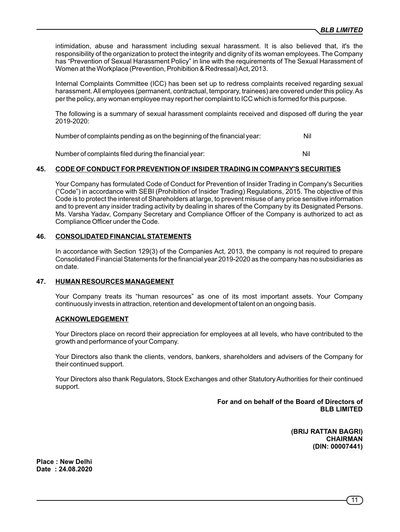intimidation, abuse and harassment including sexual harassment. It is also believed that, it's the responsibility of the organization to protect the integrity and dignity of its woman employees. The Company has "Prevention of Sexual Harassment Policy" in line with the requirements of The Sexual Harassment of Women at the Workplace (Prevention, Prohibition & Redressal) Act, 2013.

Internal Complaints Committee (ICC) has been set up to redress complaints received regarding sexual harassment. All employees (permanent, contractual, temporary, trainees) are covered under this policy. As per the policy, any woman employee may report her complaint to ICC which is formed for this purpose.

The following is a summary of sexual harassment complaints received and disposed off during the year 2019-2020:

Number of complaints pending as on the beginning of the financial year: Nil

Number of complaints filed during the financial year: Nill Number of complaints filed during the financial year:

### **45. CODE OF CONDUCT FOR PREVENTION OF INSIDER TRADING IN COMPANY'S SECURITIES**

Your Company has formulated Code of Conduct for Prevention of Insider Trading in Company's Securities ("Code") in accordance with SEBI (Prohibition of Insider Trading) Regulations, 2015. The objective of this Code is to protect the interest of Shareholders at large, to prevent misuse of any price sensitive information and to prevent any insider trading activity by dealing in shares of the Company by its Designated Persons. Ms. Varsha Yadav, Company Secretary and Compliance Officer of the Company is authorized to act as Compliance Officer under the Code.

### **46. CONSOLIDATED FINANCIALSTATEMENTS**

In accordance with Section 129(3) of the Companies Act, 2013, the company is not required to prepare Consolidated Financial Statements for the financial year 2019-2020 as the company has no subsidiaries as on date.

### **47. HUMAN RESOURCES MANAGEMENT**

Your Company treats its "human resources" as one of its most important assets. Your Company continuously invests in attraction, retention and development of talent on an ongoing basis.

### **ACKNOWLEDGEMENT**

Your Directors place on record their appreciation for employees at all levels, who have contributed to the growth and performance of your Company.

Your Directors also thank the clients, vendors, bankers, shareholders and advisers of the Company for their continued support.

Your Directors also thank Regulators, Stock Exchanges and other Statutory Authorities for their continued support.

> **For and on behalf of the Board of Directors of BLB LIMITED**

> > **(BRIJ RATTAN BAGRI) CHAIRMAN (DIN: 00007441)**

**Place : New Delhi Date : 24.08.2020**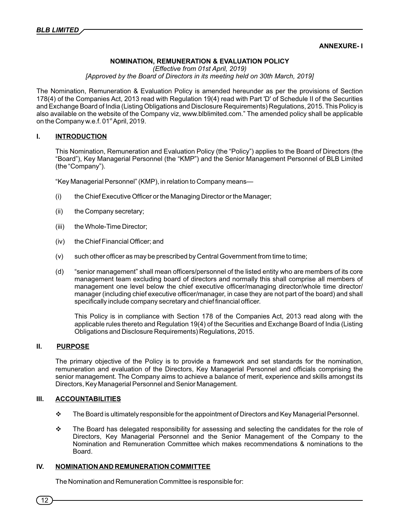### **ANNEXURE- I**

### **NOMINATION, REMUNERATION & EVALUATION POLICY**

*(Effective from 01st April, 2019) [Approved by the Board of Directors in its meeting held on 30th March, 2019]*

The Nomination, Remuneration & Evaluation Policy is amended hereunder as per the provisions of Section 178(4) of the Companies Act, 2013 read with Regulation 19(4) read with Part 'D' of Schedule II of the Securities and Exchange Board of India (Listing Obligations and Disclosure Requirements) Regulations, 2015. This Policy is also available on the website of the Company viz, www.blblimited.com." The amended policy shall be applicable on the Company w.e.f. 01<sup>st</sup> April, 2019.

### **I. INTRODUCTION**

This Nomination, Remuneration and Evaluation Policy (the "Policy") applies to the Board of Directors (the "Board"), Key Managerial Personnel (the "KMP") and the Senior Management Personnel of BLB Limited (the "Company").

"Key Managerial Personnel" (KMP), in relation to Company means—

- $(i)$  the Chief Executive Officer or the Managing Director or the Manager;
- (ii) the Company secretary;
- (iii) the Whole-Time Director;
- $(iv)$  the Chief Financial Officer; and
- $(v)$  such other officer as may be prescribed by Central Government from time to time;
- (d) "senior management" shall mean officers/personnel of the listed entity who are members of its core management team excluding board of directors and normally this shall comprise all members of management one level below the chief executive officer/managing director/whole time director/ manager (including chief executive officer/manager, in case they are not part of the board) and shall specifically include company secretary and chief financial officer.

This Policy is in compliance with Section 178 of the Companies Act, 2013 read along with the applicable rules thereto and Regulation 19(4) of the Securities and Exchange Board of India (Listing Obligations and Disclosure Requirements) Regulations, 2015.

### **II. PURPOSE**

The primary objective of the Policy is to provide a framework and set standards for the nomination, remuneration and evaluation of the Directors, Key Managerial Personnel and officials comprising the senior management. The Company aims to achieve a balance of merit, experience and skills amongst its Directors, Key Managerial Personnel and Senior Management.

### **III. ACCOUNTABILITIES**

- $\div$  The Board is ultimately responsible for the appointment of Directors and Key Managerial Personnel.
- $\cdot \cdot$  The Board has delegated responsibility for assessing and selecting the candidates for the role of Directors, Key Managerial Personnel and the Senior Management of the Company to the Nomination and Remuneration Committee which makes recommendations & nominations to the Board.

### **IV. NOMINATION AND REMUNERATION COMMITTEE**

The Nomination and Remuneration Committee is responsible for: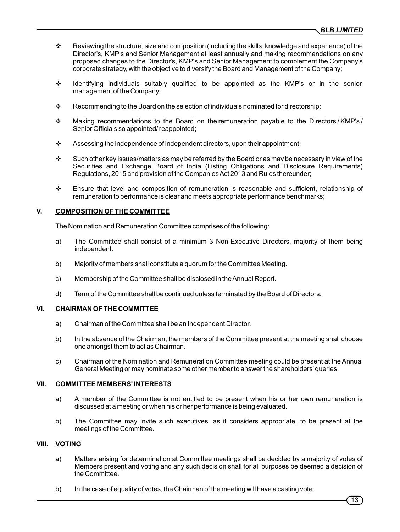- $\bullet$  Reviewing the structure, size and composition (including the skills, knowledge and experience) of the Director's, KMP's and Senior Management at least annually and making recommendations on any proposed changes to the Director's, KMP's and Senior Management to complement the Company's corporate strategy, with the objective to diversify the Board and Management of the Company;
- $\div$  Identifying individuals suitably qualified to be appointed as the KMP's or in the senior management of the Company;
- Recommending to the Board on the selection of individuals nominated for directorship;
- Making recommendations to the Board on the remuneration payable to the Directors / KMP's / Senior Officials so appointed/ reappointed;
- $\bullet$  Assessing the independence of independent directors, upon their appointment;
- Such other key issues/matters as may be referred by the Board or as may be necessary in view of the Securities and Exchange Board of India (Listing Obligations and Disclosure Requirements) Regulations, 2015 and provision of the Companies Act 2013 and Rules thereunder;
- $\div$  Ensure that level and composition of remuneration is reasonable and sufficient, relationship of remuneration to performance is clear and meets appropriate performance benchmarks;

### **V. COMPOSITION OF THE COMMITTEE**

The Nomination and Remuneration Committee comprises of the following:

- a) The Committee shall consist of a minimum 3 Non-Executive Directors, majority of them being independent.
- b) Majority of members shall constitute a quorum for the Committee Meeting.
- c) Membership of the Committee shall be disclosed in the Annual Report.
- d) Term of the Committee shall be continued unless terminated by the Board of Directors.

### **VI. CHAIRMAN OF THE COMMITTEE**

- a) Chairman of the Committee shall be an Independent Director.
- b) In the absence of the Chairman, the members of the Committee present at the meeting shall choose one amongst them to act as Chairman.
- c) Chairman of the Nomination and Remuneration Committee meeting could be present at the Annual General Meeting or may nominate some other member to answer the shareholders' queries.

### **VII. COMMITTEE MEMBERS' INTERESTS**

- a) A member of the Committee is not entitled to be present when his or her own remuneration is discussed at a meeting or when his or her performance is being evaluated.
- b) The Committee may invite such executives, as it considers appropriate, to be present at the meetings of the Committee.

### **VIII. VOTING**

- a) Matters arising for determination at Committee meetings shall be decided by a majority of votes of Members present and voting and any such decision shall for all purposes be deemed a decision of the Committee.
- b) In the case of equality of votes, the Chairman of the meeting will have a casting vote.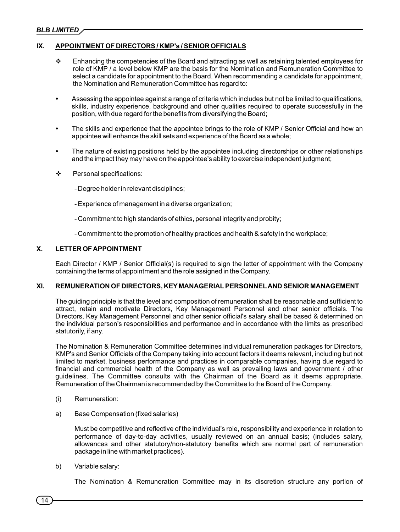### **IX. APPOINTMENT OF DIRECTORS / KMP's / SENIOR OFFICIALS**

- $\div$  Enhancing the competencies of the Board and attracting as well as retaining talented employees for role of KMP / a level below KMP are the basis for the Nomination and Remuneration Committee to select a candidate for appointment to the Board. When recommending a candidate for appointment, the Nomination and Remuneration Committee has regard to:
- Assessing the appointee against a range of criteria which includes but not be limited to qualifications, skills, industry experience, background and other qualities required to operate successfully in the position, with due regard for the benefits from diversifying the Board;
- The skills and experience that the appointee brings to the role of KMP / Senior Official and how an appointee will enhance the skill sets and experience of the Board as a whole;
- The nature of existing positions held by the appointee including directorships or other relationships and the impact they may have on the appointee's ability to exercise independent judgment;
- $\div$  Personal specifications:
	- Degree holder in relevant disciplines;
	- Experience of management in a diverse organization;
	- Commitment to high standards of ethics, personal integrity and probity;
	- Commitment to the promotion of healthy practices and health & safety in the workplace;

### **X. LETTER OF APPOINTMENT**

Each Director / KMP / Senior Official(s) is required to sign the letter of appointment with the Company containing the terms of appointment and the role assigned in the Company.

### **XI. REMUNERATION OF DIRECTORS, KEY MANAGERIALPERSONNELAND SENIOR MANAGEMENT**

The guiding principle is that the level and composition of remuneration shall be reasonable and sufficient to attract, retain and motivate Directors, Key Management Personnel and other senior officials. The Directors, Key Management Personnel and other senior official's salary shall be based & determined on the individual person's responsibilities and performance and in accordance with the limits as prescribed statutorily, if any.

The Nomination & Remuneration Committee determines individual remuneration packages for Directors, KMP's and Senior Officials of the Company taking into account factors it deems relevant, including but not limited to market, business performance and practices in comparable companies, having due regard to financial and commercial health of the Company as well as prevailing laws and government / other guidelines. The Committee consults with the Chairman of the Board as it deems appropriate. Remuneration of the Chairman is recommended by the Committee to the Board of the Company.

- (i) Remuneration:
- a) Base Compensation (fixed salaries)

Must be competitive and reflective of the individual's role, responsibility and experience in relation to performance of day-to-day activities, usually reviewed on an annual basis; (includes salary, allowances and other statutory/non-statutory benefits which are normal part of remuneration package in line with market practices).

b) Variable salary:

The Nomination & Remuneration Committee may in its discretion structure any portion of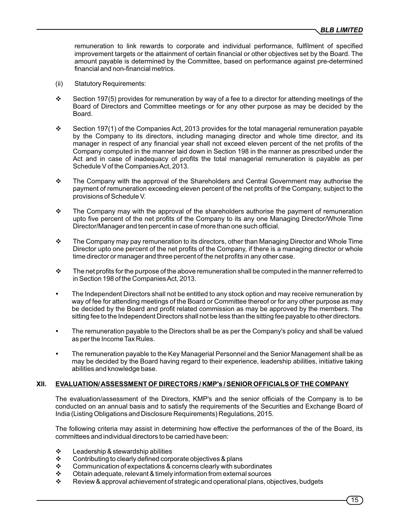remuneration to link rewards to corporate and individual performance, fulfilment of specified improvement targets or the attainment of certain financial or other objectives set by the Board. The amount payable is determined by the Committee, based on performance against pre-determined financial and non-financial metrics.

- (ii) Statutory Requirements:
- Section 197(5) provides for remuneration by way of a fee to a director for attending meetings of the Board of Directors and Committee meetings or for any other purpose as may be decided by the Board.
- Section 197(1) of the Companies Act, 2013 provides for the total managerial remuneration payable by the Company to its directors, including managing director and whole time director, and its manager in respect of any financial year shall not exceed eleven percent of the net profits of the Company computed in the manner laid down in Section 198 in the manner as prescribed under the Act and in case of inadequacy of profits the total managerial remuneration is payable as per Schedule V of the Companies Act, 2013.
- The Company with the approval of the Shareholders and Central Government may authorise the payment of remuneration exceeding eleven percent of the net profits of the Company, subject to the provisions of Schedule V.
- $\cdot \cdot$  The Company may with the approval of the shareholders authorise the payment of remuneration upto five percent of the net profits of the Company to its any one Managing Director/Whole Time Director/Manager and ten percent in case of more than one such official.
- $\div$  The Company may pay remuneration to its directors, other than Managing Director and Whole Time Director upto one percent of the net profits of the Company, if there is a managing director or whole time director or manager and three percent of the net profits in any other case.
- $\cdot \cdot$  The net profits for the purpose of the above remuneration shall be computed in the manner referred to in Section 198 of the Companies Act, 2013.
- The Independent Directors shall not be entitled to any stock option and may receive remuneration by way of fee for attending meetings of the Board or Committee thereof or for any other purpose as may be decided by the Board and profit related commission as may be approved by the members. The sitting fee to the Independent Directors shall not be less than the sitting fee payable to other directors.
- The remuneration payable to the Directors shall be as per the Company's policy and shall be valued as per the Income Tax Rules.
- The remuneration payable to the Key Managerial Personnel and the Senior Management shall be as may be decided by the Board having regard to their experience, leadership abilities, initiative taking abilities and knowledge base.

### **XII. EVALUATION/ ASSESSMENT OF DIRECTORS / KMP's / SENIOR OFFICIALS OF THE COMPANY**

The evaluation/assessment of the Directors, KMP's and the senior officials of the Company is to be conducted on an annual basis and to satisfy the requirements of the Securities and Exchange Board of India (Listing Obligations and Disclosure Requirements) Regulations, 2015.

The following criteria may assist in determining how effective the performances of the of the Board, its committees and individual directors to be carried have been:

- $\div$  Leadership & stewardship abilities
- $\div$  Contributing to clearly defined corporate objectives & plans
- $\div$  Communication of expectations & concerns clearly with subordinates
- ❖ Obtain adequate, relevant & timely information from external sources<br>❖ Review & approval achievement of strategic and operational plans, of
- Review & approval achievement of strategic and operational plans, objectives, budgets

 $15^{\circ}$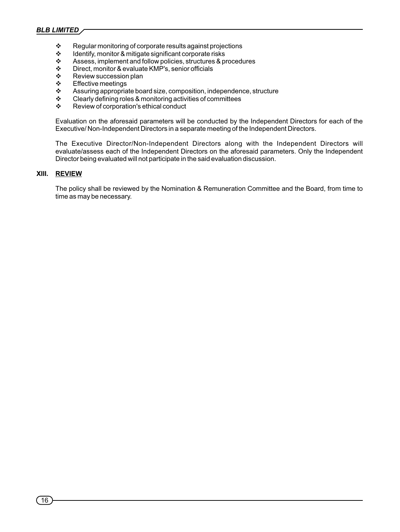- Regular monitoring of corporate results against projections<br>  $\cdot \cdot$  Identify monitor & mitigate significant corporate risks
- ❖ Identify, monitor & mitigate significant corporate risks<br>❖ Assess implement and follow policies structures & p
- ❖ Assess, implement and follow policies, structures & procedures<br>❖ Direct monitor & evaluate KMP's senior officials
- Direct, monitor & evaluate KMP's, senior officials
- $\mathbf{\hat{P}}$  Review succession plan
- Effective meetings
- \* Assuring appropriate board size, composition, independence, structure
- $\cdot \cdot$  Clearly defining roles & monitoring activities of committees
- Review of corporation's ethical conduct

Evaluation on the aforesaid parameters will be conducted by the Independent Directors for each of the Executive/ Non-Independent Directors in a separate meeting of the Independent Directors.

The Executive Director/Non-Independent Directors along with the Independent Directors will evaluate/assess each of the Independent Directors on the aforesaid parameters. Only the Independent Director being evaluated will not participate in the said evaluation discussion.

### **XIII. REVIEW**

The policy shall be reviewed by the Nomination & Remuneration Committee and the Board, from time to time as may be necessary.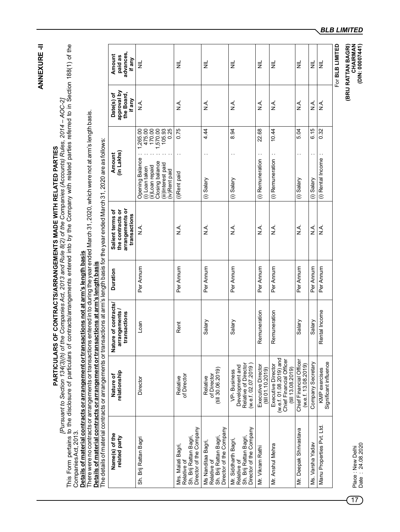**ANNEXURE-II ANNEXURE -II** 

## PARTICULARS OF CONTRACTS/ARRANGEMENTS MADE WITH RELATED PARTIES **PARTICULARS OF CONTRACTS/ARRANGEMENTS MADE WITH RELATED PARTIES**

[Pursuant to Section 134(3)(h) of the Companies Act, 2013 and Rule 8(2) of the Companies (Accounts) Rules, 2014 – AOC-2]<br>This Form pertains to the disclosure of particulars of contracts/arrangements entered into by the Com This Form pertains to the disclosure of particulars of contracts/arrangements entered into by the Company with related parties referred to in Section 188(1) of the *[Pursuant to Section 134(3)(h) of the Companies Act, 2013 and Rule 8(2) of the Companies (Accounts) Rules, 2014 – AOC-2]*  Companies Act, 2013. Companies Act. 2013.

# **Details of material contracts or arrangement or transactions not at arm's length basis**

There were no contracts or arrangements or transactions entered in to during the year ended March 31, 2020, which were not at arm's length basis. <u>Details of material contracts or arrangement or transactions not at arm's length basis</u><br>There were no contracts or arrangements or transactions entered in to during the year ended March 31, 2020, which were not at arm's l **Details of material contracts or arrangement or transactions at arm's length basis** 

|                                                                                                                                           | advances,<br>Amount<br>paid as<br>if any<br>diproval by<br>the Board,<br>Date(s) of<br>if any | $\equiv$<br>≺<br>Z<br>105.93<br>0.25<br>,570.00<br>475.00<br>170.00<br>1,265.00                                       | $\equiv$<br>∖<br>Z<br>0.75                                                             | $\equiv$<br>∠<br>Z<br>4.44                                                             | $\equiv$<br>∠<br>Z<br>8.94                                                               | $\equiv$<br>$\frac{1}{2}$<br>22.68     | $\equiv$<br>$\frac{1}{2}$<br>10.44                                                           | $\equiv$<br><<br>≥<br>5.04                     | $\equiv$<br>$\frac{1}{2}$<br>6.15 | $\equiv$<br>$\frac{1}{2}$<br>0.32             |
|-------------------------------------------------------------------------------------------------------------------------------------------|-----------------------------------------------------------------------------------------------|-----------------------------------------------------------------------------------------------------------------------|----------------------------------------------------------------------------------------|----------------------------------------------------------------------------------------|------------------------------------------------------------------------------------------|----------------------------------------|----------------------------------------------------------------------------------------------|------------------------------------------------|-----------------------------------|-----------------------------------------------|
|                                                                                                                                           | (in Lakhs)<br>Amount                                                                          | <b>Opening Balance</b><br>Closing balance<br>(iii)Interest paid<br>(ii)Loan repaid<br>(i) Loan taken<br>(iv)Rent paid | (i)Rent paid                                                                           | (i) Salary                                                                             | (i) Salary                                                                               | (i) Remuneration                       | (i) Remuneration                                                                             | (i) Salary                                     | (i) Salary                        | (i) Rental Income                             |
|                                                                                                                                           | arrangements or<br>Salient terms of<br>the contracts or<br>transactions                       | ≤<br>Z                                                                                                                | ∠<br>Z                                                                                 | ≤<br>Z                                                                                 | ≺<br>Z                                                                                   | <<br>≥                                 | ≤<br>Z                                                                                       | $\frac{1}{2}$                                  | $\frac{1}{2}$                     | $\frac{1}{2}$                                 |
|                                                                                                                                           | <b>Duration</b>                                                                               | Per Annum                                                                                                             | Per Annum                                                                              | Per Annum                                                                              | Per Annum                                                                                | Per Annum                              | Per Annum                                                                                    | Per Annum                                      | Per Annum                         | Per Annum                                     |
|                                                                                                                                           | ture of contracts/<br>arrangements<br>transactions<br><u>ក្នុ</u>                             | Loan                                                                                                                  | Rent                                                                                   | Salary                                                                                 | Salary                                                                                   | Remuneration                           | Remuneration                                                                                 | Salary                                         | Salary                            | Rental Income                                 |
|                                                                                                                                           | relationship<br>Nature of                                                                     | Director                                                                                                              | of Director<br>Relative                                                                | (Hil 30.06.2019)<br>of Director<br>Relative                                            | Relative of Director<br>Development and<br>(w.e.f. 02.07.2019<br>VP-Business             | Executive Director<br>(H   01.10.2019) | (w.e.f. 01.08.2019) and<br>Chief Financial Officer<br>Executive Director<br>till 13.08.2019) | Chief Financial Officer<br>(w.e.f. 13.08.2019) | Company Secretary                 | Significant influence<br><b>KMP</b> exercises |
| The details of material contracts or arrangements or transactions at arm's length basis for the year ended March 31, 2020 are as follows: | Name(s) of the<br>related party                                                               | Sh. Brij Rattan Bagri                                                                                                 | Director of the Company<br>Sh. Brij Rattan Bagri,<br>Mrs. Malati Bagri,<br>Relative of | Director of the Company<br>Sh. Brij Rattan Bagri,<br>Ms Nanditaa Bagri,<br>Relative of | Director of the Company<br>Sh. Brij Rattan Bagri,<br>Mr. Siddharth Bagri,<br>Relative of | Mr. Vikram Rathi                       | Mr. Anshul Mehra                                                                             | Mr. Deepak Shrivastava                         | Ms. Varsha Yadav                  | Manu Properties Pvt. Ltd.                     |

**(BRIJ RATTAN BAGRI)** (BRIJ RATTAN BAGRI)<br>CHAIRMAN<br>CHAIRMAN<br>CDIN: 00007441) **(DIN: 00007441)**

Place: New Delhi<br>Date: 24.08.2020 Date : 24.08.2020 Place : New Delhi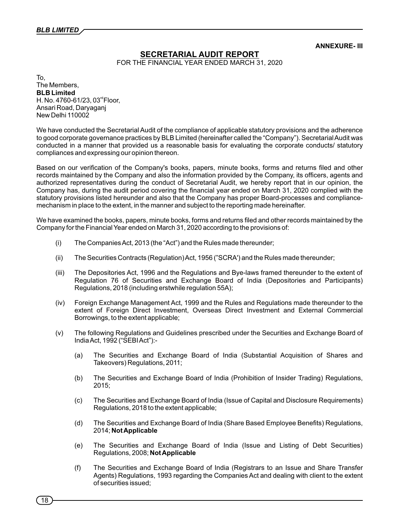**ANNEXURE- III**

### **SECRETARIAL AUDIT REPORT**

FOR THE FINANCIAL YEAR ENDED MARCH 31, 2020

To, The Members, **BLB Limited**  $H.$  No. 4760-61/23, 03<sup> $rd$ </sup> Floor, Ansari Road, Daryaganj New Delhi 110002

We have conducted the Secretarial Audit of the compliance of applicable statutory provisions and the adherence to good corporate governance practices by BLB Limited (hereinafter called the "Company"). Secretarial Audit was conducted in a manner that provided us a reasonable basis for evaluating the corporate conducts/ statutory compliances and expressing our opinion thereon.

Based on our verification of the Company's books, papers, minute books, forms and returns filed and other records maintained by the Company and also the information provided by the Company, its officers, agents and authorized representatives during the conduct of Secretarial Audit, we hereby report that in our opinion, the Company has, during the audit period covering the financial year ended on March 31, 2020 complied with the statutory provisions listed hereunder and also that the Company has proper Board-processes and compliancemechanism in place to the extent, in the manner and subject to the reporting made hereinafter.

We have examined the books, papers, minute books, forms and returns filed and other records maintained by the Company for the Financial Year ended on March 31, 2020 according to the provisions of:

- (i) The Companies Act, 2013 (the "Act") and the Rules made thereunder;
- (ii) The Securities Contracts (Regulation) Act, 1956 ("SCRA') and the Rules made thereunder;
- (iii) The Depositories Act, 1996 and the Regulations and Bye-laws framed thereunder to the extent of Regulation 76 of Securities and Exchange Board of India (Depositories and Participants) Regulations, 2018 (including erstwhile regulation 55A);
- (iv) Foreign Exchange Management Act, 1999 and the Rules and Regulations made thereunder to the extent of Foreign Direct Investment, Overseas Direct Investment and External Commercial Borrowings, to the extent applicable;
- (v) The following Regulations and Guidelines prescribed under the Securities and Exchange Board of India Act, 1992 ("SEBI Act"):-
	- (a) The Securities and Exchange Board of India (Substantial Acquisition of Shares and Takeovers) Regulations, 2011;
	- (b) The Securities and Exchange Board of India (Prohibition of Insider Trading) Regulations, 2015;
	- (c) The Securities and Exchange Board of India (Issue of Capital and Disclosure Requirements) Regulations, 2018 to the extent applicable;
	- (d) The Securities and Exchange Board of India (Share Based Employee Benefits) Regulations, 2014; **Not Applicable**
	- (e) The Securities and Exchange Board of India (Issue and Listing of Debt Securities) Regulations, 2008; **Not Applicable**
	- (f) The Securities and Exchange Board of India (Registrars to an Issue and Share Transfer Agents) Regulations, 1993 regarding the Companies Act and dealing with client to the extent of securities issued;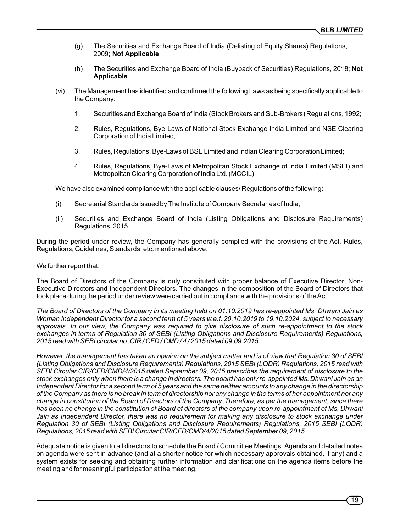- (g) The Securities and Exchange Board of India (Delisting of Equity Shares) Regulations, 2009; **Not Applicable**
- (h) The Securities and Exchange Board of India (Buyback of Securities) Regulations, 2018; **Not Applicable**
- (vi) The Management has identified and confirmed the following Laws as being specifically applicable to the Company:
	- 1. Securities and Exchange Board of India (Stock Brokers and Sub-Brokers) Regulations, 1992;
	- 2. Rules, Regulations, Bye-Laws of National Stock Exchange India Limited and NSE Clearing Corporation of India Limited;
	- 3. Rules, Regulations, Bye-Laws of BSE Limited and Indian Clearing Corporation Limited;
	- 4. Rules, Regulations, Bye-Laws of Metropolitan Stock Exchange of India Limited (MSEI) and Metropolitan Clearing Corporation of India Ltd. (MCCIL)

We have also examined compliance with the applicable clauses/ Regulations of the following:

- (i) Secretarial Standards issued by The Institute of Company Secretaries of India;
- (ii) Securities and Exchange Board of India (Listing Obligations and Disclosure Requirements) Regulations, 2015.

During the period under review, the Company has generally complied with the provisions of the Act, Rules, Regulations, Guidelines, Standards, etc. mentioned above.

### We further report that:

The Board of Directors of the Company is duly constituted with proper balance of Executive Director, Non-Executive Directors and Independent Directors. The changes in the composition of the Board of Directors that took place during the period under review were carried out in compliance with the provisions of the Act.

*The Board of Directors of the Company in its meeting held on 01.10.2019 has re-appointed Ms. Dhwani Jain as Woman Independent Director for a second term of 5 years w.e.f. 20.10.2019 to 19.10.2024, subject to necessary approvals. In our view, the Company was required to give disclosure of such re-appointment to the stock exchanges in terms of Regulation 30 of SEBI (Listing Obligations and Disclosure Requirements) Regulations, 2015 read with SEBI circular no. CIR / CFD / CMD / 4 / 2015 dated 09.09.2015.* 

*However, the management has taken an opinion on the subject matter and is of view that Regulation 30 of SEBI (Listing Obligations and Disclosure Requirements) Regulations, 2015 SEBI (LODR) Regulations, 2015 read with SEBI Circular CIR/CFD/CMD/4/2015 dated September 09, 2015 prescribes the requirement of disclosure to the stock exchanges only when there is a change in directors. The board has only re-appointed Ms. Dhwani Jain as an Independent Director for a second term of 5 years and the same neither amounts to any change in the directorship of the Company as there is no break in term of directorship nor any change in the terms of her appointment nor any change in constitution of the Board of Directors of the Company. Therefore, as per the management, since there has been no change in the constitution of Board of directors of the company upon re-appointment of Ms. Dhwani Jain as Independent Director, there was no requirement for making any disclosure to stock exchange under Regulation 30 of SEBI (Listing Obligations and Disclosure Requirements) Regulations, 2015 SEBI (LODR) Regulations, 2015 read with SEBI Circular CIR/CFD/CMD/4/2015 dated September 09, 2015.*

Adequate notice is given to all directors to schedule the Board / Committee Meetings. Agenda and detailed notes on agenda were sent in advance (and at a shorter notice for which necessary approvals obtained, if any) and a system exists for seeking and obtaining further information and clarifications on the agenda items before the meeting and for meaningful participation at the meeting.

 $19^{\degree}$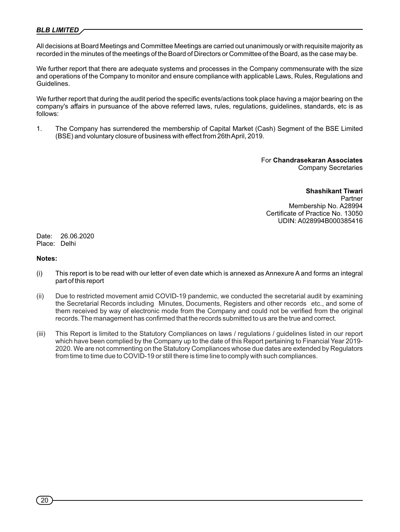### *BLB LIMITED*

All decisions at Board Meetings and Committee Meetings are carried out unanimously or with requisite majority as recorded in the minutes of the meetings of the Board of Directors or Committee of the Board, as the case may be.

We further report that there are adequate systems and processes in the Company commensurate with the size and operations of the Company to monitor and ensure compliance with applicable Laws, Rules, Regulations and Guidelines.

We further report that during the audit period the specific events/actions took place having a major bearing on the company's affairs in pursuance of the above referred laws, rules, regulations, guidelines, standards, etc is as follows:

1. The Company has surrendered the membership of Capital Market (Cash) Segment of the BSE Limited (BSE) and voluntary closure of business with effect from 26th April, 2019.

> For **Chandrasekaran Associates** Company Secretaries

**Shashikant Tiwari** Partner Membership No. A28994 Certificate of Practice No. 13050 UDIN: A028994B000385416

Date: 26.06.2020 Place: Delhi

### **Notes:**

- (i) This report is to be read with our letter of even date which is annexed as Annexure A and forms an integral part of this report
- (ii) Due to restricted movement amid COVID-19 pandemic, we conducted the secretarial audit by examining the Secretarial Records including Minutes, Documents, Registers and other records etc., and some of them received by way of electronic mode from the Company and could not be verified from the original records. The management has confirmed that the records submitted to us are the true and correct.
- (iii) This Report is limited to the Statutory Compliances on laws / regulations / guidelines listed in our report which have been complied by the Company up to the date of this Report pertaining to Financial Year 2019- 2020. We are not commenting on the Statutory Compliances whose due dates are extended by Regulators from time to time due to COVID-19 or still there is time line to comply with such compliances.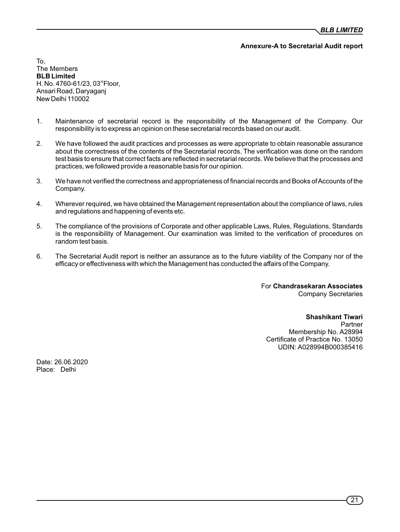### **Annexure-A to Secretarial Audit report**

To, The Members **BLB Limited** H. No. 4760-61/23, 03 $^{\text{rd}}$ Floor, Ansari Road, Daryaganj New Delhi 110002

- 1. Maintenance of secretarial record is the responsibility of the Management of the Company. Our responsibility is to express an opinion on these secretarial records based on our audit.
- 2. We have followed the audit practices and processes as were appropriate to obtain reasonable assurance about the correctness of the contents of the Secretarial records. The verification was done on the random test basis to ensure that correct facts are reflected in secretarial records. We believe that the processes and practices, we followed provide a reasonable basis for our opinion.
- 3. We have not verified the correctness and appropriateness of financial records and Books of Accounts of the Company.
- 4. Wherever required, we have obtained the Management representation about the compliance of laws, rules and regulations and happening of events etc.
- 5. The compliance of the provisions of Corporate and other applicable Laws, Rules, Regulations, Standards is the responsibility of Management. Our examination was limited to the verification of procedures on random test basis.
- 6. The Secretarial Audit report is neither an assurance as to the future viability of the Company nor of the efficacy or effectiveness with which the Management has conducted the affairs of the Company.

For **Chandrasekaran Associates** Company Secretaries

**Shashikant Tiwari** Partner Membership No. A28994 Certificate of Practice No. 13050 UDIN: A028994B000385416

Date: 26.06.2020 Place: Delhi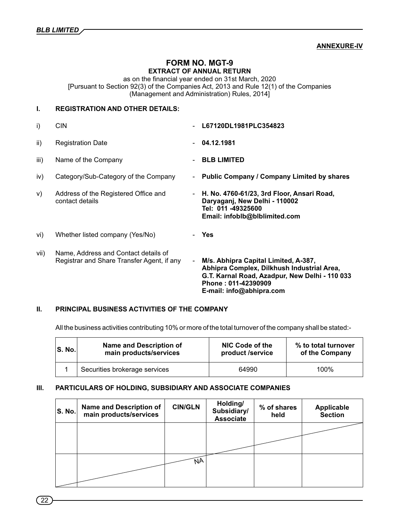### **ANNEXURE-IV**

### **FORM NO. MGT-9 EXTRACT OF ANNUAL RETURN**

as on the financial year ended on 31st March, 2020 [Pursuant to Section 92(3) of the Companies Act, 2013 and Rule 12(1) of the Companies (Management and Administration) Rules, 2014]

### **I. REGISTRATION AND OTHER DETAILS:**

| i)   | <b>CIN</b>                                                                         |                          | L67120DL1981PLC354823                                                                                                                                                                   |
|------|------------------------------------------------------------------------------------|--------------------------|-----------------------------------------------------------------------------------------------------------------------------------------------------------------------------------------|
| ii)  | <b>Registration Date</b>                                                           | $\overline{\phantom{0}}$ | 04.12.1981                                                                                                                                                                              |
| iii) | Name of the Company                                                                |                          | - BLB LIMITED                                                                                                                                                                           |
| iv)  | Category/Sub-Category of the Company                                               | $ \,$                    | <b>Public Company / Company Limited by shares</b>                                                                                                                                       |
| V)   | Address of the Registered Office and<br>contact details                            |                          | - H. No. 4760-61/23, 3rd Floor, Ansari Road,<br>Daryaganj, New Delhi - 110002<br>Tel: 011 -49325600<br>Email: infoblb@blblimited.com                                                    |
| vi)  | Whether listed company (Yes/No)                                                    |                          | Yes                                                                                                                                                                                     |
| vii) | Name, Address and Contact details of<br>Registrar and Share Transfer Agent, if any | $\blacksquare$           | M/s. Abhipra Capital Limited, A-387,<br>Abhipra Complex, Dilkhush Industrial Area,<br>G.T. Karnal Road, Azadpur, New Delhi - 110 033<br>Phone: 011-42390909<br>E-mail: info@abhipra.com |

### **II. PRINCIPAL BUSINESS ACTIVITIES OF THE COMPANY**

All the business activities contributing 10% or more of the total turnover of the company shall be stated:-

| $S.$ No. | <b>Name and Description of</b><br>main products/services | NIC Code of the<br>product /service | % to total turnover<br>of the Company |  |
|----------|----------------------------------------------------------|-------------------------------------|---------------------------------------|--|
|          | Securities brokerage services                            | 64990                               | $100\%$                               |  |

### **III. PARTICULARS OF HOLDING, SUBSIDIARY AND ASSOCIATE COMPANIES**

| $ \mathsf{S.\,No.} $ | <b>Name and Description of</b><br>main products/services | <b>CIN/GLN</b> | Holding/<br>Subsidiary/<br><b>Associate</b> | % of shares<br>held | <b>Applicable</b><br><b>Section</b> |
|----------------------|----------------------------------------------------------|----------------|---------------------------------------------|---------------------|-------------------------------------|
|                      |                                                          |                |                                             |                     |                                     |
|                      |                                                          | NA             |                                             |                     |                                     |

 $\left( 22\right)$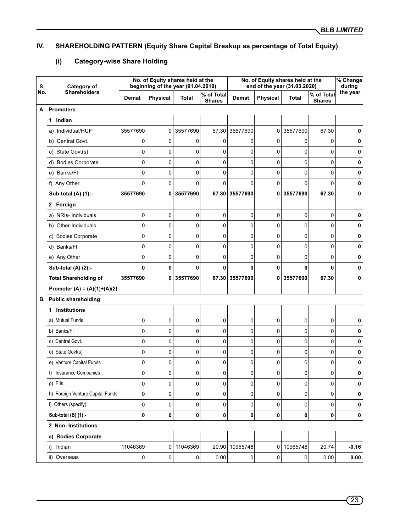### **IV. SHAREHOLDING PATTERN (Equity Share Capital Breakup as percentage of Total Equity)**

### **(i) Category-wise Share Holding**

| S.  | Category of                      | No. of Equity shares held at the<br>beginning of the year (01.04.2019) |          |              |                             | No. of Equity shares held at the<br>end of the year (31.03.2020) |                |              |                             | % Change<br>during |
|-----|----------------------------------|------------------------------------------------------------------------|----------|--------------|-----------------------------|------------------------------------------------------------------|----------------|--------------|-----------------------------|--------------------|
| No. | <b>Shareholders</b>              | <b>Demat</b>                                                           | Physical | <b>Total</b> | % of Total<br><b>Shares</b> | Demat                                                            | Physical       | <b>Total</b> | % of Total<br><b>Shares</b> | the year           |
| Α.  | <b>Promoters</b>                 |                                                                        |          |              |                             |                                                                  |                |              |                             |                    |
|     | 1 Indian                         |                                                                        |          |              |                             |                                                                  |                |              |                             |                    |
|     | a) Individual/HUF                | 35577690                                                               | 0        | 35577690     | 67.30                       | 35577690                                                         | 0              | 35577690     | 67.30                       | 0                  |
|     | b) Central Govt.                 | 0                                                                      | 0        | 0            | 0                           | 0                                                                | 0              | 0            | $\Omega$                    | 0                  |
|     | c) State Govt(s)                 | $\mathbf 0$                                                            | 0        | 0            | $\mathbf 0$                 | $\mathbf 0$                                                      | 0              | $\mathbf 0$  | $\Omega$                    | 0                  |
|     | d) Bodies Corporate              | 0                                                                      | 0        | 0            | $\mathbf 0$                 | $\mathbf 0$                                                      | $\overline{0}$ | 0            | $\mathbf 0$                 | 0                  |
|     | e) Banks/FI                      | 0                                                                      | 0        | 0            | $\mathbf 0$                 | $\mathbf 0$                                                      | 0              | $\mathbf 0$  | $\mathbf 0$                 | 0                  |
|     | f) Any Other                     | 0                                                                      | 0        | 0            | $\Omega$                    | $\Omega$                                                         | $\mathbf 0$    | $\Omega$     | $\Omega$                    | 0                  |
|     | Sub-total (A) (1):-              | 35577690                                                               | 0        | 35577690     | 67.30                       | 35577690                                                         | 0              | 35577690     | 67.30                       | 0                  |
|     | 2 Foreign                        |                                                                        |          |              |                             |                                                                  |                |              |                             |                    |
|     | a) NRIs- Individuals             | $\mathbf 0$                                                            | 0        | 0            | $\mathbf 0$                 | $\mathbf 0$                                                      | $\mathbf 0$    | $\mathbf 0$  | $\Omega$                    | 0                  |
|     | b) Other-Individuals             | 0                                                                      | 0        | 0            | $\mathbf 0$                 | $\mathbf 0$                                                      | 0              | 0            | $\Omega$                    | 0                  |
|     | c) Bodies Corporate              | $\mathbf 0$                                                            | 0        | 0            | $\mathbf 0$                 | $\mathbf 0$                                                      | $\mathbf 0$    | 0            | $\Omega$                    | 0                  |
|     | d) Banks/Fl                      | 0                                                                      | 0        | 0            | $\mathbf 0$                 | $\mathbf 0$                                                      | $\mathbf 0$    | 0            | $\mathbf 0$                 | 0                  |
|     | e) Any Other                     | $\mathbf 0$                                                            | 0        | 0            | $\mathbf 0$                 | $\mathbf{0}$                                                     | 0              | $\Omega$     | $\Omega$                    | 0                  |
|     | Sub-total (A) (2):-              | 0                                                                      | 0        | 0            | 0                           | $\bf{0}$                                                         | 0              | $\bf{0}$     | $\bf{0}$                    | 0                  |
|     | <b>Total Shareholding of</b>     | 35577690                                                               | 0        | 35577690     | 67.30                       | 35577690                                                         | 0              | 35577690     | 67.30                       | 0                  |
|     | Promoter (A) = $(A)(1)+(A)(2)$   |                                                                        |          |              |                             |                                                                  |                |              |                             |                    |
| В.  | <b>Public shareholding</b>       |                                                                        |          |              |                             |                                                                  |                |              |                             |                    |
|     | <b>Institutions</b><br>1.        |                                                                        |          |              |                             |                                                                  |                |              |                             |                    |
|     | a) Mutual Funds                  | $\mathbf 0$                                                            | 0        | 0            | 0                           | $\mathbf 0$                                                      | 0              | $\mathbf 0$  | 0                           | 0                  |
|     | b) Banks/FI                      | 0                                                                      | 0        | 0            | $\mathbf 0$                 | 0                                                                | 0              | 0            | $\Omega$                    | 0                  |
|     | c) Central Govt.                 | $\mathbf 0$                                                            | 0        | 0            | $\mathbf 0$                 | $\mathbf 0$                                                      | $\mathbf 0$    | $\mathbf 0$  | $\mathbf 0$                 | 0                  |
|     | d) State Govt(s)                 | $\mathbf 0$                                                            | 0        | 0            | $\mathbf 0$                 | $\mathbf 0$                                                      | $\mathbf 0$    | $\mathbf 0$  | $\Omega$                    | 0                  |
|     | e) Venture Capital Funds         | 0                                                                      | 0        | 0            | $\mathbf 0$                 | 0                                                                | 0              | 0            | 0                           | 0                  |
|     | f) Insurance Companies           | 0                                                                      | $\Omega$ | 0            | $\Omega$                    | $\mathbf{0}$                                                     | $\mathbf{0}$   | $\Omega$     | $\Omega$                    | 0                  |
|     | g) Flls                          | 0                                                                      | 0        | 0            | 0                           | 0                                                                | 0              | 0            | 0                           | 0                  |
|     | h) Foreign Venture Capital Funds | $\pmb{0}$                                                              | 0        | 0            | $\mathsf 0$                 | $\pmb{0}$                                                        | $\pmb{0}$      | 0            | 0                           | 0                  |
|     | i) Others (specify)              | 0                                                                      | 0        | 0            | 0                           | 0                                                                | 0              | 0            | 0                           | 0                  |
|     | Sub-total (B) (1):-              | 0                                                                      | 0        | 0            | $\bf{0}$                    | 0                                                                | 0              | $\mathbf{0}$ | 0                           | 0                  |
|     | 2 Non- Institutions              |                                                                        |          |              |                             |                                                                  |                |              |                             |                    |
|     | a) Bodies Corporate              |                                                                        |          |              |                             |                                                                  |                |              |                             |                    |
|     | Indian<br>i)                     | 11046369                                                               | 0        | 11046369     | 20.90                       | 10965748                                                         | 0              | 10965748     | 20.74                       | $-0.16$            |
|     | ii) Overseas                     | 0                                                                      | 0        | 0            | 0.00                        | $\boldsymbol{0}$                                                 | 0              | 0            | 0.00                        | 0.00               |

 $(23)$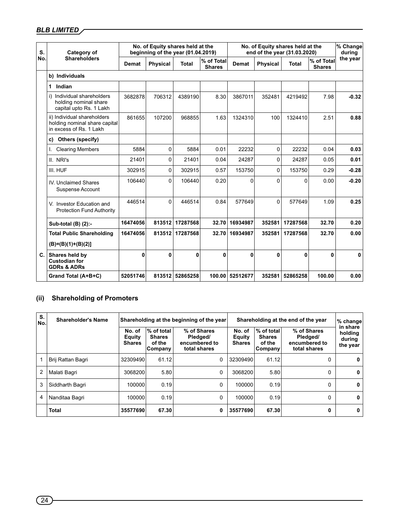### *BLB LIMITED*

| S.  | Category of                                                                             |              | No. of Equity shares held at the<br>beginning of the year (01.04.2019) |                 |                             | No. of Equity shares held at the<br>end of the year (31.03.2020) |                 |              |                             | % Change<br>during |
|-----|-----------------------------------------------------------------------------------------|--------------|------------------------------------------------------------------------|-----------------|-----------------------------|------------------------------------------------------------------|-----------------|--------------|-----------------------------|--------------------|
| No. | <b>Shareholders</b>                                                                     | <b>Demat</b> | <b>Physical</b>                                                        | <b>Total</b>    | % of Total<br><b>Shares</b> | <b>Demat</b>                                                     | <b>Physical</b> | <b>Total</b> | % of Total<br><b>Shares</b> | the year           |
|     | b) Individuals                                                                          |              |                                                                        |                 |                             |                                                                  |                 |              |                             |                    |
|     | 1.<br>Indian                                                                            |              |                                                                        |                 |                             |                                                                  |                 |              |                             |                    |
|     | Individual shareholders<br>i)<br>holding nominal share<br>capital upto Rs. 1 Lakh       | 3682878      | 706312                                                                 | 4389190         | 8.30                        | 3867011                                                          | 352481          | 4219492      | 7.98                        | $-0.32$            |
|     | ii) Individual shareholders<br>holding nominal share capital<br>in excess of Rs. 1 Lakh | 861655       | 107200                                                                 | 968855          | 1.63                        | 1324310                                                          | 100             | 1324410      | 2.51                        | 0.88               |
|     | Others (specify)<br>C)                                                                  |              |                                                                        |                 |                             |                                                                  |                 |              |                             |                    |
|     | <b>Clearing Members</b><br>ı.                                                           | 5884         | 0                                                                      | 5884            | 0.01                        | 22232                                                            | $\Omega$        | 22232        | 0.04                        | 0.03               |
|     | II. NRI's                                                                               | 21401        | 0                                                                      | 21401           | 0.04                        | 24287                                                            | $\Omega$        | 24287        | 0.05                        | 0.01               |
|     | III. HUF                                                                                | 302915       | 0                                                                      | 302915          | 0.57                        | 153750                                                           | $\Omega$        | 153750       | 0.29                        | $-0.28$            |
|     | IV. Unclaimed Shares<br>Suspense Account                                                | 106440       | 0                                                                      | 106440          | 0.20                        | $\mathbf{0}$                                                     | $\Omega$        | $\Omega$     | 0.00                        | $-0.20$            |
|     | V. Investor Education and<br><b>Protection Fund Authority</b>                           | 446514       | 0                                                                      | 446514          | 0.84                        | 577649                                                           | $\Omega$        | 577649       | 1.09                        | 0.25               |
|     | Sub-total (B) (2):-                                                                     | 16474056     |                                                                        | 813512 17287568 | 32.70                       | 16934987                                                         | 352581          | 17287568     | 32.70                       | 0.20               |
|     | <b>Total Public Shareholding</b>                                                        | 16474056     |                                                                        | 813512 17287568 | 32.70                       | 16934987                                                         | 352581          | 17287568     | 32.70                       | 0.00               |
|     | $(B)=(B)(1)+(B)(2)$                                                                     |              |                                                                        |                 |                             |                                                                  |                 |              |                             |                    |
| C.  | Shares held by<br><b>Custodian for</b><br><b>GDRs &amp; ADRs</b>                        | $\bf{0}$     | 0                                                                      | 0               | 0                           | $\bf{0}$                                                         | $\bf{0}$        | 0            | $\bf{0}$                    | 0                  |
|     | Grand Total (A+B+C)                                                                     | 52051746     | 813512                                                                 | 52865258        | 100.00                      | 52512677                                                         | 352581          | 52865258     | 100.00                      | 0.00               |

### **(ii) Shareholding of Promoters**

| S.<br>No. | <b>Shareholder's Name</b> | Shareholding at the beginning of the year |                                                  |                                                          | Shareholding at the end of the year | % change                                         |                                                          |                                           |
|-----------|---------------------------|-------------------------------------------|--------------------------------------------------|----------------------------------------------------------|-------------------------------------|--------------------------------------------------|----------------------------------------------------------|-------------------------------------------|
|           |                           | No. of<br><b>Equity</b><br><b>Shares</b>  | % of total<br><b>Shares</b><br>of the<br>Company | % of Shares<br>Pledged/<br>encumbered to<br>total shares | No. of<br>Equity<br><b>Shares</b>   | % of total<br><b>Shares</b><br>of the<br>Company | % of Shares<br>Pledged/<br>encumbered to<br>total shares | in share<br>holding<br>during<br>the year |
|           | Brij Rattan Bagri         | 32309490                                  | 61.12                                            | 0                                                        | 32309490                            | 61.12                                            | 0                                                        | 0                                         |
| 2         | Malati Bagri              | 3068200                                   | 5.80                                             | 0                                                        | 3068200                             | 5.80                                             | 0                                                        | 0                                         |
| 3         | Siddharth Bagri           | 100000                                    | 0.19                                             | 0                                                        | 100000                              | 0.19                                             | $\Omega$                                                 | 0                                         |
| 4         | Nanditaa Bagri            | 100000                                    | 0.19                                             | 0                                                        | 100000                              | 0.19                                             | 0                                                        | 0                                         |
|           | <b>Total</b>              | 35577690                                  | 67.30                                            | 0                                                        | 35577690                            | 67.30                                            | 0                                                        | 0                                         |

 $\overline{24}$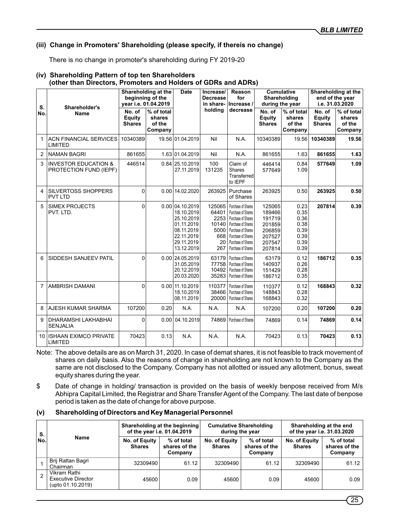### **(iii) Change in Promoters' Shareholding (please specify, if thereis no change)**

There is no change in promoter's shareholding during FY 2019-20

| S.              | Shareholder's                                             |                                          | Shareholding at the<br>beginning of the<br>year i.e. 01.04.2019 | <b>Date</b>                                                                                                       | Increase/<br><b>Decrease</b><br>in share-    | Reason<br>for<br>Increase /                                                                                                                                                              | <b>Cumulative</b><br>Shareholding<br>during the year                         |                                                              | i.e. 31.03.2020                          | Shareholding at the<br>end of the year    |
|-----------------|-----------------------------------------------------------|------------------------------------------|-----------------------------------------------------------------|-------------------------------------------------------------------------------------------------------------------|----------------------------------------------|------------------------------------------------------------------------------------------------------------------------------------------------------------------------------------------|------------------------------------------------------------------------------|--------------------------------------------------------------|------------------------------------------|-------------------------------------------|
| No.             | <b>Name</b>                                               | No. of<br><b>Equity</b><br><b>Shares</b> | % of total<br>shares<br>of the<br>Company                       |                                                                                                                   | holdina                                      | decrease                                                                                                                                                                                 | No. of<br><b>Equity</b><br><b>Shares</b>                                     | $\overline{\%}$ of total<br>shares<br>of the<br>Company      | No. of<br><b>Equity</b><br><b>Shares</b> | % of total<br>shares<br>of the<br>Company |
| 1               | <b>ACN FINANCIAL SERVICES</b><br><b>LIMITED</b>           | 10340389                                 |                                                                 | 19.56 01.04.2019                                                                                                  | Nil                                          | N.A.                                                                                                                                                                                     | 10340389                                                                     | 19.56                                                        | 10340389                                 | 19.56                                     |
| 2               | <b>NAMAN BAGRI</b>                                        | 861655                                   |                                                                 | 1.63 01.04.2019                                                                                                   | Nil                                          | N.A.                                                                                                                                                                                     | 861655                                                                       | 1.63                                                         | 861655                                   | 1.63                                      |
| 3               | <b>INVESTOR EDUCATION &amp;</b><br>PROTECTION FUND (IEPF) | 446514                                   |                                                                 | 0.84 25.10.2019<br>27.11.2019                                                                                     | 100<br>131235                                | Claim of<br><b>Shares</b><br>Transferred<br>to IEPF                                                                                                                                      | 446414<br>577649                                                             | 0.84<br>1.09                                                 | 577649                                   | 1.09                                      |
| 4               | SILVERTOSS SHOPPERS<br><b>PVT LTD</b>                     | $\mathbf 0$                              | 0.00                                                            | 14.02.2020                                                                                                        | 263925                                       | Purchase<br>of Shares                                                                                                                                                                    | 263925                                                                       | 0.50                                                         | 263925                                   | 0.50                                      |
| 5               | <b>SIMEX PROJECTS</b><br>PVT. LTD.                        | 0                                        |                                                                 | 0.00 04.10.2019<br>18.10.2019<br>25.10.2019<br>01.11.2019<br>08.11.2019<br>22.11.2019<br>29.11.2019<br>13.12.2019 | 125065<br>64401<br>2253<br>5000<br>20<br>267 | Purchase of Shares<br>Purchase of Shares<br>Purchase of Shares<br>10140 Purchase of Shares<br>Purchase of Shares<br>668   Purchase of Shares<br>Purchase of Shares<br>Purchase of Shares | 125065<br>189466<br>191719<br>201859<br>206859<br>207527<br>207547<br>207814 | 0.23<br>0.35<br>0.36<br>0.38<br>0.39<br>0.39<br>0.39<br>0.39 | 207814                                   | 0.39                                      |
| 6               | SIDDESH SANJEEV PATIL                                     | 0                                        |                                                                 | $0.00$  24.05.2019<br>31.05.2019<br>20.12.2019<br>20.03.2020                                                      | 63179<br>77758<br>10492                      | Purchase of Shares<br>Purchase of Shares<br>Purchase of Shares<br>35283   Purchase of Shares                                                                                             | 63179<br>140937<br>151429<br>186712                                          | 0.12<br>0.26<br>0.28<br>0.35                                 | 186712                                   | 0.35                                      |
| $\overline{7}$  | AMBRISH DAMANI                                            | 0                                        | 0.00                                                            | 11.10.2019<br>18.10.2019<br>08.11.2019                                                                            | 110377<br>20000                              | Purchase of Shares<br>38466 Purchase of Shares<br>Purchase of Shares                                                                                                                     | 110377<br>148843<br>168843                                                   | 0.12<br>0.28<br>0.32                                         | 168843                                   | 0.32                                      |
| 8               | <b>AJESH KUMAR SHARMA</b>                                 | 107200                                   | 0.20                                                            | N.A.                                                                                                              | N.A.                                         | N.A.                                                                                                                                                                                     | 107200                                                                       | 0.20                                                         | 107200                                   | 0.20                                      |
| 9               | <b>DHARAMSHI LAKHABHAI</b><br><b>SENJALIA</b>             | 0                                        | 0.00                                                            | 04.10.2019                                                                                                        |                                              | 74869 Purchase of Shares                                                                                                                                                                 | 74869                                                                        | 0.14                                                         | 74869                                    | 0.14                                      |
| 10 <sup>1</sup> | <b>ISHAAN EXIMCO PRIVATE</b><br><b>LIMITED</b>            | 70423                                    | 0.13                                                            | N.A.                                                                                                              | N.A.                                         | N.A.                                                                                                                                                                                     | 70423                                                                        | 0.13                                                         | 70423                                    | 0.13                                      |

### **(iv) Shareholding Pattern of top ten Shareholders (other than Directors, Promoters and Holders of GDRs and ADRs)**

Note: The above details are as on March 31, 2020. In case of demat shares, it is not feasible to track movement of shares on daily basis. Also the reasons of change in shareholding are not known to the Company as the same are not disclosed to the Company. Company has not allotted or issued any allotment, bonus, sweat equity shares during the year.

\$ Date of change in holding/ transaction is provided on the basis of weekly benpose received from M/s Abhipra Capital Limited, the Registrar and Share Transfer Agent of the Company. The last date of benpose period is taken as the date of change for above purpose.

### **(v) Shareholding of Directors and Key Managerial Personnel**

| S.             |                                                                | of the year i.e. 01.04.2019    | Shareholding at the beginning          | <b>Cumulative Shareholding</b><br>during the year |                                        | Shareholding at the end<br>of the year i.e. 31.03.2020 |                                        |
|----------------|----------------------------------------------------------------|--------------------------------|----------------------------------------|---------------------------------------------------|----------------------------------------|--------------------------------------------------------|----------------------------------------|
| ۱No.           | <b>Name</b>                                                    | No. of Equity<br><b>Shares</b> | % of total<br>shares of the<br>Company | No. of Equity<br><b>Shares</b>                    | % of total<br>shares of the<br>Company | No. of Equity<br><b>Shares</b>                         | % of total<br>shares of the<br>Company |
|                | Brij Rattan Bagri<br>Chairman                                  | 32309490                       | 61.12                                  | 32309490                                          | 61.12                                  | 32309490                                               | 61.12                                  |
| $\overline{2}$ | Vikram Rathi<br><b>Executive Director</b><br>(upto 01.10.2019) | 45600                          | 0.09                                   | 45600                                             | 0.09                                   | 45600                                                  | 0.09                                   |

 $\overline{25}$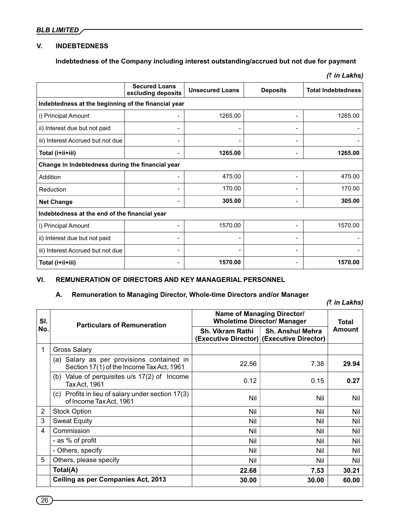### **V. INDEBTEDNESS**

### **Indebtedness of the Company including interest outstanding/accrued but not due for payment**

|                                                     | <b>Secured Loans</b><br>excluding deposits | <b>Unsecured Loans</b>   | <b>Deposits</b> | <b>Total Indebtedness</b> |  |
|-----------------------------------------------------|--------------------------------------------|--------------------------|-----------------|---------------------------|--|
| Indebtedness at the beginning of the financial year |                                            |                          |                 |                           |  |
| i) Principal Amount                                 |                                            | 1265.00                  | ۰               | 1265.00                   |  |
| ii) Interest due but not paid                       |                                            | $\overline{\phantom{a}}$ |                 |                           |  |
| iii) Interest Accrued but not due                   |                                            |                          |                 |                           |  |
| Total (i+ii+iii)                                    |                                            | 1265.00                  |                 | 1265.00                   |  |
| Change in Indebtedness during the financial year    |                                            |                          |                 |                           |  |
| Addition                                            |                                            | 475.00                   |                 | 475.00                    |  |
| Reduction                                           |                                            | 170.00                   |                 | 170.00                    |  |
| <b>Net Change</b>                                   |                                            | 305.00                   |                 | 305.00                    |  |
| Indebtedness at the end of the financial year       |                                            |                          |                 |                           |  |
| i) Principal Amount                                 |                                            | 1570.00                  |                 | 1570.00                   |  |
| ii) Interest due but not paid                       | -                                          | $\overline{\phantom{a}}$ | $\blacksquare$  |                           |  |
| iii) Interest Accrued but not due                   | -                                          |                          |                 |                           |  |
| Total (i+ii+iii)                                    |                                            | 1570.00                  |                 | 1570.00                   |  |
|                                                     |                                            |                          |                 |                           |  |

*(*` *in Lakhs)*

### **VI. REMUNERATION OF DIRECTORS AND KEY MANAGERIAL PERSONNEL**

### **A. Remuneration to Managing Director, Whole-time Directors and/or Manager**

*(*` *in Lakhs)*

| SI. | <b>Particulars of Remuneration</b>                                                                     | Name of Managing Director/<br><b>Wholetime Director/ Manager</b> | Total                                                                |        |
|-----|--------------------------------------------------------------------------------------------------------|------------------------------------------------------------------|----------------------------------------------------------------------|--------|
| No. |                                                                                                        | <b>Sh. Vikram Rathi</b>                                          | <b>Sh. Anshul Mehra</b><br>(Executive Director) (Executive Director) | Amount |
| 1   | <b>Gross Salary</b>                                                                                    |                                                                  |                                                                      |        |
|     | (a) Salary as per provisions contained in<br>Section 17(1) of the Income Tax Act, 1961                 | 22.56                                                            | 7.38                                                                 | 29.94  |
|     | (b) Value of perquisites u/s 17(2) of Income<br>Tax Act, 1961                                          | 0.12                                                             | 0.15                                                                 | 0.27   |
|     | Profits in lieu of salary under section 17(3)<br>$\left( \mathrm{c}\right)$<br>of Income Tax Act, 1961 | Nil                                                              | Nil                                                                  | Nil    |
| 2   | <b>Stock Option</b>                                                                                    | Nil                                                              | Nil                                                                  | Nil    |
| 3   | <b>Sweat Equity</b>                                                                                    | Nil                                                              | Nil                                                                  | Nil    |
| 4   | Commission                                                                                             | Nil                                                              | Nil                                                                  | Nil    |
|     | - as % of profit                                                                                       | Nil                                                              | Nil                                                                  | Nil    |
|     | - Others, specify                                                                                      | Nil                                                              | Nil                                                                  | Nil    |
| 5   | Others, please specify                                                                                 | Nil                                                              | Nil                                                                  | Nil    |
|     | Total(A)                                                                                               | 22.68                                                            | 7.53                                                                 | 30.21  |
|     | <b>Ceiling as per Companies Act, 2013</b>                                                              | 30.00                                                            | 30.00                                                                | 60.00  |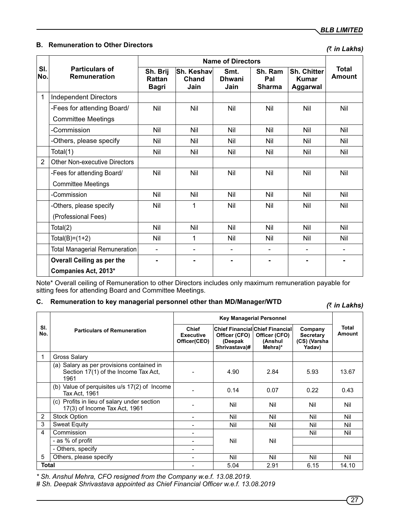### *(*` *in Lakhs)* **B. Remuneration to Other Directors**

|                |                                              |                                    |                                    | <b>Name of Directors</b>      |                                 |                                                |                 |
|----------------|----------------------------------------------|------------------------------------|------------------------------------|-------------------------------|---------------------------------|------------------------------------------------|-----------------|
| SI.<br>No.     | <b>Particulars of</b><br><b>Remuneration</b> | Sh. Brij<br>Rattan<br><b>Bagri</b> | <b>Sh. Keshav</b><br>Chand<br>Jain | Smt.<br><b>Dhwani</b><br>Jain | Sh. Ram<br>Pal<br><b>Sharma</b> | <b>Sh. Chitter</b><br><b>Kumar</b><br>Aggarwal | Total<br>Amount |
| 1              | <b>Independent Directors</b>                 |                                    |                                    |                               |                                 |                                                |                 |
|                | -Fees for attending Board/                   | Nil                                | Nil                                | Nil                           | Nil                             | Nil                                            | Nil             |
|                | <b>Committee Meetings</b>                    |                                    |                                    |                               |                                 |                                                |                 |
|                | -Commission                                  | Nil                                | Nil                                | Nil                           | Nil                             | Nil                                            | Nil             |
|                | -Others, please specify                      | Nil                                | Nil                                | Nil                           | Nil                             | Nil                                            | Nil             |
|                | Total(1)                                     | Nil                                | Nil                                | Nil                           | Nil                             | Nil                                            | Nil             |
| $\overline{2}$ | Other Non-executive Directors                |                                    |                                    |                               |                                 |                                                |                 |
|                | -Fees for attending Board/                   | Nil                                | Nil                                | Nil                           | Nil                             | Nil                                            | Nil             |
|                | <b>Committee Meetings</b>                    |                                    |                                    |                               |                                 |                                                |                 |
|                | -Commission                                  | Nil                                | Nil                                | Nil                           | Nil                             | Nil                                            | Nil             |
|                | -Others, please specify                      | Nil                                | 1                                  | Nil                           | Nil                             | Nil                                            | Nil             |
|                | (Professional Fees)                          |                                    |                                    |                               |                                 |                                                |                 |
|                | Total(2)                                     | Nil                                | Nil                                | Nil                           | Nil                             | Nil                                            | Nil             |
|                | $Total(B)=(1+2)$                             | Nil                                | 1                                  | Nil                           | Nil                             | Nil                                            | Nil             |
|                | <b>Total Managerial Remuneration</b>         | $\blacksquare$                     | $\blacksquare$                     | $\qquad \qquad \blacksquare$  |                                 |                                                | $\blacksquare$  |
|                | <b>Overall Ceiling as per the</b>            |                                    |                                    |                               |                                 |                                                |                 |
|                | Companies Act, 2013*                         |                                    |                                    |                               |                                 |                                                |                 |

Note\* Overall ceiling of Remuneration to other Directors includes only maximum remuneration payable for sitting fees for attending Board and Committee Meetings.

### **C. Remuneration to key managerial personnel other than MD/Manager/WTD**

*(*` *in Lakhs)*

|            |                                                                                           |                                                  |                                           | <b>Key Managerial Personnel</b>                                        |                                                       |                 |
|------------|-------------------------------------------------------------------------------------------|--------------------------------------------------|-------------------------------------------|------------------------------------------------------------------------|-------------------------------------------------------|-----------------|
| SI.<br>No. | <b>Particulars of Remuneration</b>                                                        | <b>Chief</b><br><b>Executive</b><br>Officer(CEO) | Officer (CFO)<br>(Deepak<br>Shrivastava)# | Chief Financial Chief Financial<br>Officer (CFO)<br>(Anshul<br>Mehra)* | Company<br><b>Secretary</b><br>(CS) (Varsha<br>Yadav) | Total<br>Amount |
| 1          | Gross Salary                                                                              |                                                  |                                           |                                                                        |                                                       |                 |
|            | (a) Salary as per provisions contained in<br>Section 17(1) of the Income Tax Act,<br>1961 |                                                  | 4.90                                      | 2.84                                                                   | 5.93                                                  | 13.67           |
|            | (b) Value of perquisites $u/s$ 17(2) of Income<br>Tax Act, 1961                           |                                                  | 0.14                                      | 0.07                                                                   | 0.22                                                  | 0.43            |
|            | (c) Profits in lieu of salary under section<br>17(3) of Income Tax Act, 1961              |                                                  | Nil                                       | Nil                                                                    | Nil                                                   | Nil             |
| 2          | <b>Stock Option</b>                                                                       |                                                  | Nil                                       | Nil                                                                    | Nil                                                   | Nil             |
| 3          | <b>Sweat Equity</b>                                                                       |                                                  | Nil                                       | Nil                                                                    | Nil                                                   | Nil             |
| 4          | Commission                                                                                |                                                  |                                           |                                                                        | Nil                                                   | Nil             |
|            | - as % of profit                                                                          |                                                  | Nil                                       | Nil                                                                    |                                                       |                 |
|            | - Others, specify                                                                         |                                                  |                                           |                                                                        |                                                       |                 |
| 5          | Others, please specify                                                                    |                                                  | Nil                                       | Nil                                                                    | Nil                                                   | Nil             |
| Total      |                                                                                           |                                                  | 5.04                                      | 2.91                                                                   | 6.15                                                  | 14.10           |

*\* Sh. Anshul Mehra, CFO resigned from the Company w.e.f. 13.08.2019.*

# Sh. Deepak Shrivastava appointed as Chief Financial Officer w.e.f. 13.08.2019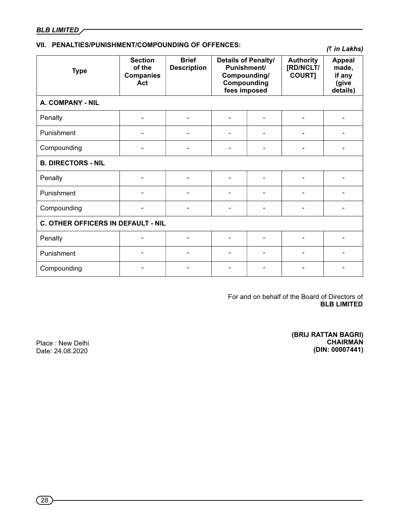### *BLB LIMITED*

### **VII. PENALTIES/PUNISHMENT/COMPOUNDING OF OFFENCES:** *(*` *in Lakhs)*

| <b>Type</b>                        | <b>Section</b><br>of the<br><b>Companies</b><br>Act | <b>Brief</b><br><b>Description</b> | Details of Penalty/<br>Punishment/<br>Compounding/<br>Compounding<br>fees imposed |  | <b>Authority</b><br>[RD/NCLT/<br><b>COURT]</b> | <b>Appeal</b><br>made,<br>if any<br>(give<br>details) |
|------------------------------------|-----------------------------------------------------|------------------------------------|-----------------------------------------------------------------------------------|--|------------------------------------------------|-------------------------------------------------------|
| A. COMPANY - NIL                   |                                                     |                                    |                                                                                   |  |                                                |                                                       |
| Penalty                            |                                                     |                                    |                                                                                   |  |                                                |                                                       |
| Punishment                         |                                                     |                                    |                                                                                   |  |                                                |                                                       |
| Compounding                        |                                                     |                                    |                                                                                   |  |                                                |                                                       |
| <b>B. DIRECTORS - NIL</b>          |                                                     |                                    |                                                                                   |  |                                                |                                                       |
| Penalty                            |                                                     |                                    |                                                                                   |  |                                                |                                                       |
| Punishment                         |                                                     |                                    |                                                                                   |  |                                                |                                                       |
| Compounding                        |                                                     |                                    |                                                                                   |  |                                                |                                                       |
| C. OTHER OFFICERS IN DEFAULT - NIL |                                                     |                                    |                                                                                   |  |                                                |                                                       |
| Penalty                            |                                                     |                                    |                                                                                   |  |                                                |                                                       |
| Punishment                         |                                                     |                                    |                                                                                   |  |                                                |                                                       |
| Compounding                        |                                                     |                                    |                                                                                   |  |                                                |                                                       |

For and on behalf of the Board of Directors of **BLB LIMITED**

Place : New Delhi Date: 24.08.2020

**(BRIJ RATTAN BAGRI) CHAIRMAN (DIN: 00007441)**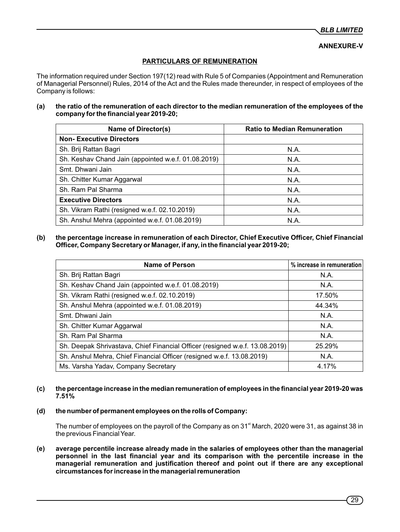**ANNEXURE-V**

### **PARTICULARS OF REMUNERATION**

The information required under Section 197(12) read with Rule 5 of Companies (Appointment and Remuneration of Managerial Personnel) Rules, 2014 of the Act and the Rules made thereunder, in respect of employees of the Company is follows:

**(a) the ratio of the remuneration of each director to the median remuneration of the employees of the**  company for the financial year 2019-20;

| <b>Name of Director(s)</b>                          | <b>Ratio to Median Remuneration</b> |
|-----------------------------------------------------|-------------------------------------|
| <b>Non-Executive Directors</b>                      |                                     |
| Sh. Brij Rattan Bagri                               | N.A.                                |
| Sh. Keshav Chand Jain (appointed w.e.f. 01.08.2019) | N.A.                                |
| Smt. Dhwani Jain                                    | N.A.                                |
| Sh. Chitter Kumar Aggarwal                          | N.A.                                |
| Sh. Ram Pal Sharma                                  | N.A.                                |
| <b>Executive Directors</b>                          | N.A.                                |
| Sh. Vikram Rathi (resigned w.e.f. 02.10.2019)       | N.A.                                |
| Sh. Anshul Mehra (appointed w.e.f. 01.08.2019)      | N.A.                                |

(b) the percentage increase in remuneration of each Director, Chief Executive Officer, Chief Financial **Officer, Company Secretary or Manager, if any, in the financial year 2019-20;** 

| Name of Person                                                               | % increase in remuneration |
|------------------------------------------------------------------------------|----------------------------|
| Sh. Brij Rattan Bagri                                                        | N.A.                       |
| Sh. Keshav Chand Jain (appointed w.e.f. 01.08.2019)                          | N.A.                       |
| Sh. Vikram Rathi (resigned w.e.f. 02.10.2019)                                | 17.50%                     |
| Sh. Anshul Mehra (appointed w.e.f. 01.08.2019)                               | 44.34%                     |
| Smt. Dhwani Jain                                                             | N.A.                       |
| Sh. Chitter Kumar Aggarwal                                                   | N.A.                       |
| Sh. Ram Pal Sharma                                                           | N.A.                       |
| Sh. Deepak Shrivastava, Chief Financial Officer (resigned w.e.f. 13.08.2019) | 25.29%                     |
| Sh. Anshul Mehra, Chief Financial Officer (resigned w.e.f. 13.08.2019)       | N.A.                       |
| Ms. Varsha Yadav, Company Secretary                                          | 4.17%                      |

### (c) the percentage increase in the median remuneration of employees in the financial year 2019-20 was **7.51%**

### **(d) the number of permanent employees on the rolls of Company:**

The number of employees on the payroll of the Company as on 31<sup>st</sup> March, 2020 were 31, as against 38 in the previous Financial Year.

**(e) average percentile increase already made in the salaries of employees other than the managerial**  personnel in the last financial year and its comparison with the percentile increase in the managerial remuneration and justification thereof and point out if there are any exceptional **circumstances for increase in the managerial remuneration**

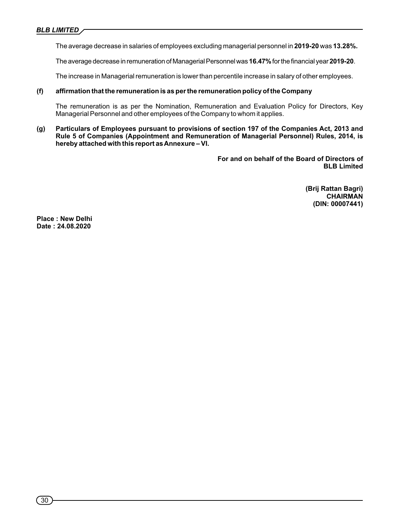The average decrease in salaries of employees excluding managerial personnel in **2019-20** was **13.28%.**

The average decrease in remuneration of Managerial Personnel was 16.47% for the financial year 2019-20.

The increase in Managerial remuneration is lower than percentile increase in salary of other employees.

### **(f) afrmation that the remuneration is as per the remuneration policy of the Company**

The remuneration is as per the Nomination, Remuneration and Evaluation Policy for Directors, Key Managerial Personnel and other employees of the Company to whom it applies.

**(g) Particulars of Employees pursuant to provisions of section 197 of the Companies Act, 2013 and Rule 5 of Companies (Appointment and Remuneration of Managerial Personnel) Rules, 2014, is hereby attached with this report as Annexure – VI.**

> **For and on behalf of the Board of Directors of BLB Limited**

> > **(Brij Rattan Bagri) CHAIRMAN (DIN: 00007441)**

**Place : New Delhi Date : 24.08.2020**

 $30<sup>2</sup>$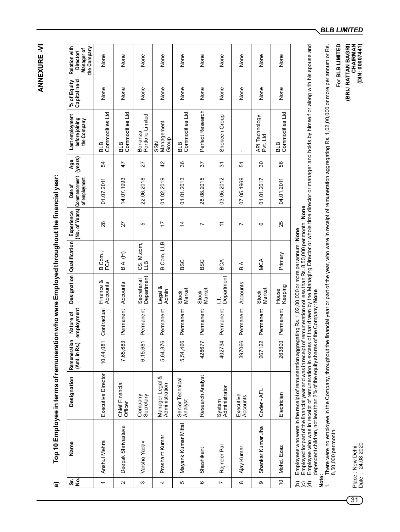**ANNEXURE -VI**  ANNEXURE -VI

> Top 10 Employee in terms of remuneration who were Employed throughout the financial year: **a) Top 10 Employee in terms of remuneration who were Employed throughout the nancial year:**

 $\widehat{\mathbf{a}}$ 

| ີ່ 20<br>ອ້              | Name                                                                                                  | Designation                       | Remuneration<br>(Amt. in Rs.) | employment<br>Nature of |                           | Designation Qualification | Experience     | (No. of Years) Commencement<br>of employment<br>Date of | (years)<br>Age | Last employment<br>before joining<br>the Company | % of Equity<br>Capital held | Relation with<br>the Company<br>Manager of<br><b>Director/</b> |
|--------------------------|-------------------------------------------------------------------------------------------------------|-----------------------------------|-------------------------------|-------------------------|---------------------------|---------------------------|----------------|---------------------------------------------------------|----------------|--------------------------------------------------|-----------------------------|----------------------------------------------------------------|
| $\overline{\phantom{0}}$ | Anshul Mehra                                                                                          | Executive Director                | 10,44,081                     | Contractual             | Finance &<br>Accounts     | B.Com.,<br>FCA            | 28             | 01.07.2011                                              | 54             | Commodities Ltd<br>BLB                           | None                        | None                                                           |
| $\sim$                   | Deepak Shrivastava                                                                                    | Chief Financial<br>Officer        | 7,65,683                      | Permanent               | Accounts                  | B.A. (H)                  | 27             | 14.07.1993                                              | $\ddot{4}$     | Commodities Ltd<br><b>BLB</b>                    | None                        | None                                                           |
| S                        | Varsha Yadav                                                                                          | Secretary<br>Company              | 6,15,68                       | Permanent               | Secretarial<br>Department | CS, M.com,<br>LLB         | 5              | 22.06.2018                                              | 27             | Portfolio Limited<br>Bonanza                     | None                        | None                                                           |
| 4                        | Prashant Kumar                                                                                        | Manager Legal &<br>Administration | $\circ$<br>5,64,87            | Permanent               | Legal &<br>Admin          | B.Com, LLB                | $\overline{1}$ | 01.02.2019                                              | 42             | Management<br>Group<br>SSN                       | None                        | None                                                           |
| ю                        | Mayank Kumar Mittal                                                                                   | Senior Technical<br>Analyst       | 5,54,466                      | Permanent               | Stock<br>Market           | <b>BSC</b>                | $\overline{4}$ | 01.01.2013                                              | 36             | Commodities Ltd<br><b>BLB</b>                    | None                        | None                                                           |
| ဖ                        | Shashikant                                                                                            | Research Analyst                  | 42867                         | Permanent               | Stock<br>Market           | <b>BSC</b>                | r              | 28.08.2015                                              | 57             | Perfect Research                                 | None                        | None                                                           |
| $\overline{r}$           | Rajinder Pal                                                                                          | System<br>Administrator           | 402734                        | Permanent               | Department<br>E           | <b>BCA</b>                | <u>:</u>       | 03.05.2012                                              | 5              | Shokeen Group                                    | None                        | None                                                           |
| ${}^{\circ}$             | Ajay Kumar                                                                                            | Executive<br>Accounts             | 397066                        | Permanent Accounts      |                           | A.<br>B.A                 | Ľ              | 07.05.1969                                              | 5              | $\blacksquare$                                   | None                        | None                                                           |
| တ                        | Shankar Kumar Jha                                                                                     | Coder - AFL                       | 267122                        | Permanent               | Stock<br>Market           | <b>MCA</b>                | ဖ              | 01.01.2017                                              | 30             | <b>API Technology</b><br>Pvt. Ltd.               | None                        | None                                                           |
| $\frac{1}{2}$            | Mohd. Ezaz                                                                                            | Electrician                       | 263800                        | Permanent               | House<br>Keeping          | Primary                   | 25             | 04.01.2011                                              | 56             | BLB<br>Commodities Ltd.                          | None                        | None                                                           |
| $\widehat{e}$            | Employees who were in the receipt of remuneration aggregating Rs. 1,02,00,000 or more per annum: None |                                   |                               |                         |                           |                           |                |                                                         |                |                                                  |                             |                                                                |

(b) Employees who were in the receipt of remuneration aggregating Rs. 1,02,00,000 or more per annum : **None**

(c) Employed for part of the nancial year and was in receipt of remuneration not less than Rs. 8,50,000 per month : **None**  $\widehat{\mathfrak{S}}$ 

(d) Employee who was in receipt of remuneration in excess of that drawn by the Managing Director or whole time director or manager and holds by himself or along with his spouse and dependent children, not less than 2% of the equity shares of the Company : **None** (c) Employed for part of the financial year and was in receipt of remuneration not less than Rs. 8,50,000 per month : **None**<br>(d) Employee who was in receipt of remuneration in excess of that drawn by the Managing Director

1. There were no employee in the Company, throughout the nancial year or part of the year, who were in receipt of remuneration aggregating Rs. 1,02,00,000 or more per annum or Rs.

8,50,000 per month.

### *BLB LIMITED*

(BRIJ RATTAN BAGRI)<br>CHAIRMAN<br>CHAIRMAN<br>CHAIRMAN For BLB LIMITED For **BLB LIMITED (BRIJ RATTAN BAGRI) (DIN: 00007441)**

> Place: New Delhi<br>Date: 24.08.2020 Date : 24.08.2020 Place : New Delhi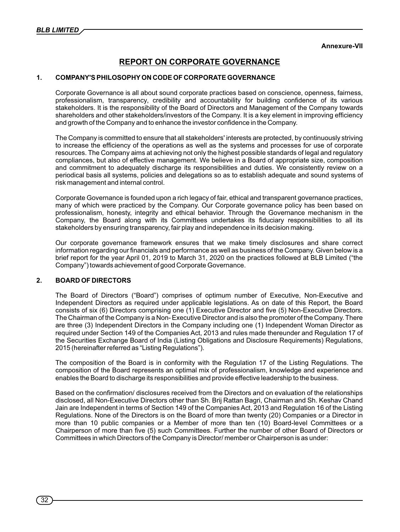### **Annexure-VII**

### **REPORT ON CORPORATE GOVERNANCE**

### **1. COMPANY'S PHILOSOPHYON CODE OF CORPORATE GOVERNANCE**

Corporate Governance is all about sound corporate practices based on conscience, openness, fairness, professionalism, transparency, credibility and accountability for building confidence of its various stakeholders. It is the responsibility of the Board of Directors and Management of the Company towards shareholders and other stakeholders/investors of the Company. It is a key element in improving efficiency and growth of the Company and to enhance the investor confidence in the Company.

The Company is committed to ensure that all stakeholders' interests are protected, by continuously striving to increase the efficiency of the operations as well as the systems and processes for use of corporate resources. The Company aims at achieving not only the highest possible standards of legal and regulatory compliances, but also of effective management. We believe in a Board of appropriate size, composition and commitment to adequately discharge its responsibilities and duties. We consistently review on a periodical basis all systems, policies and delegations so as to establish adequate and sound systems of risk management and internal control.

Corporate Governance is founded upon a rich legacy of fair, ethical and transparent governance practices, many of which were practiced by the Company. Our Corporate governance policy has been based on professionalism, honesty, integrity and ethical behavior. Through the Governance mechanism in the Company, the Board along with its Committees undertakes its fiduciary responsibilities to all its stakeholders by ensuring transparency, fair play and independence in its decision making.

Our corporate governance framework ensures that we make timely disclosures and share correct information regarding our financials and performance as well as business of the Company. Given below is a brief report for the year April 01, 2019 to March 31, 2020 on the practices followed at BLB Limited ("the Company") towards achievement of good Corporate Governance.

### **2. BOARD OF DIRECTORS**

The Board of Directors ("Board") comprises of optimum number of Executive, Non-Executive and Independent Directors as required under applicable legislations. As on date of this Report, the Board consists of six (6) Directors comprising one (1) Executive Director and five (5) Non-Executive Directors. The Chairman of the Company is a Non- Executive Director and is also the promoter of the Company. There are three (3) Independent Directors in the Company including one (1) Independent Woman Director as required under Section 149 of the Companies Act, 2013 and rules made thereunder and Regulation 17 of the Securities Exchange Board of India (Listing Obligations and Disclosure Requirements) Regulations, 2015 (hereinafter referred as "Listing Regulations").

The composition of the Board is in conformity with the Regulation 17 of the Listing Regulations. The composition of the Board represents an optimal mix of professionalism, knowledge and experience and enables the Board to discharge its responsibilities and provide effective leadership to the business.

Based on the confirmation/ disclosures received from the Directors and on evaluation of the relationships disclosed, all Non-Executive Directors other than Sh. Brij Rattan Bagri, Chairman and Sh. Keshav Chand Jain are Independent in terms of Section 149 of the Companies Act, 2013 and Regulation 16 of the Listing Regulations. None of the Directors is on the Board of more than twenty (20) Companies or a Director in more than 10 public companies or a Member of more than ten (10) Board-level Committees or a Chairperson of more than five (5) such Committees. Further the number of other Board of Directors or Committees in which Directors of the Company is Director/ member or Chairperson is as under: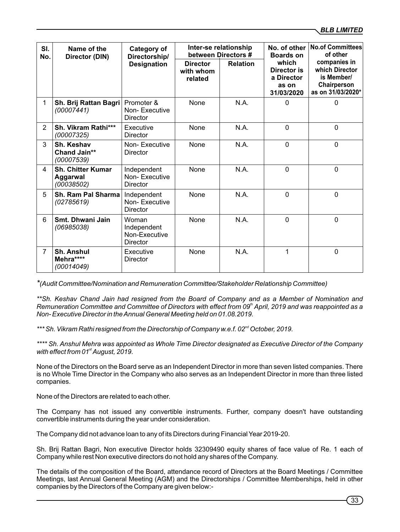| SI.<br>No.     | Name of the<br>Director (DIN)                      | <b>Category of</b><br>Directorship/               | Inter-se relationship<br>between Directors # |                 | No. of other<br><b>Boards on</b>                          | <b>No.of Committees</b><br>of other                                              |
|----------------|----------------------------------------------------|---------------------------------------------------|----------------------------------------------|-----------------|-----------------------------------------------------------|----------------------------------------------------------------------------------|
|                |                                                    | <b>Designation</b>                                | <b>Director</b><br>with whom<br>related      | <b>Relation</b> | which<br>Director is<br>a Director<br>as on<br>31/03/2020 | companies in<br>which Director<br>is Member/<br>Chairperson<br>as on 31/03/2020* |
| 1              | Sh. Brij Rattan Bagri<br>(00007441)                | Promoter &<br>Non-Executive<br><b>Director</b>    | None                                         | N.A.            | 0                                                         | $\mathbf 0$                                                                      |
| $\overline{2}$ | Sh. Vikram Rathi***<br>(00007325)                  | Executive<br><b>Director</b>                      | None                                         | N.A.            | $\mathbf 0$                                               | $\mathbf 0$                                                                      |
| 3              | Sh. Keshav<br><b>Chand Jain**</b><br>(00007539)    | Non-Executive<br>Director                         | None                                         | N.A.            | $\mathbf 0$                                               | $\mathbf 0$                                                                      |
| 4              | <b>Sh. Chitter Kumar</b><br>Aggarwal<br>(00038502) | Independent<br>Non-Executive<br><b>Director</b>   | None                                         | N.A.            | $\Omega$                                                  | $\mathbf 0$                                                                      |
| 5              | Sh. Ram Pal Sharma<br>(02785619)                   | Independent<br>Non-Executive<br><b>Director</b>   | None                                         | N.A.            | $\mathbf 0$                                               | $\mathbf 0$                                                                      |
| 6              | Smt. Dhwani Jain<br>(06985038)                     | Woman<br>Independent<br>Non-Executive<br>Director | None                                         | N.A.            | $\mathbf 0$                                               | $\mathbf 0$                                                                      |
| $\overline{7}$ | <b>Sh. Anshul</b><br>Mehra****<br>(00014049)       | Executive<br>Director                             | None                                         | N.A.            | 1                                                         | $\mathbf 0$                                                                      |

*\*(Audit Committee/Nomination and Remuneration Committee/Stakeholder Relationship Committee)*

*\*\*Sh. Keshav Chand Jain had resigned from the Board of Company and as a Member of Nomination and Remuneration Committee and Committee of Directors with effect from 09<sup>th</sup> April, 2019 and was reappointed as a Non- Executive Director in the Annual General Meeting held on 01.08.2019.* 

\*\*\* Sh. Vikram Rathi resigned from the Directorship of Company w.e.f. 02<sup>nd</sup> October, 2019.

*\*\*\*\* Sh. Anshul Mehra was appointed as Whole Time Director designated as Executive Director of the Company with effect from 01<sup>st</sup> August, 2019.* 

None of the Directors on the Board serve as an Independent Director in more than seven listed companies. There is no Whole Time Director in the Company who also serves as an Independent Director in more than three listed companies.

None of the Directors are related to each other.

The Company has not issued any convertible instruments. Further, company doesn't have outstanding convertible instruments during the year under consideration.

The Company did not advance loan to any of its Directors during Financial Year 2019-20.

Sh. Brij Rattan Bagri, Non executive Director holds 32309490 equity shares of face value of Re. 1 each of Company while rest Non executive directors do not hold any shares of the Company.

The details of the composition of the Board, attendance record of Directors at the Board Meetings / Committee Meetings, last Annual General Meeting (AGM) and the Directorships / Committee Memberships, held in other companies by the Directors of the Company are given below:-

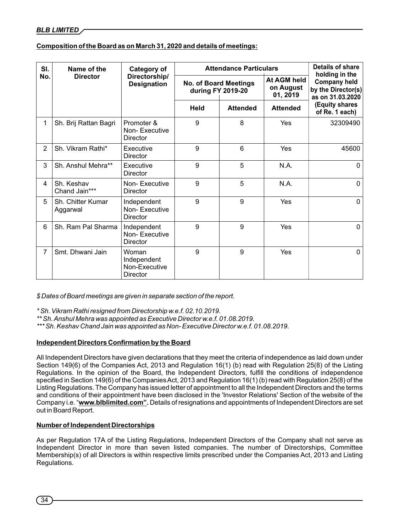### **Composition of the Board as on March 31, 2020 and details of meetings:**

| SI.            | Name of the                   | <b>Category of</b>                                       | <b>Attendance Particulars</b> |                                                   | Details of share<br>holding in the   |                                                               |
|----------------|-------------------------------|----------------------------------------------------------|-------------------------------|---------------------------------------------------|--------------------------------------|---------------------------------------------------------------|
| No.            | <b>Director</b>               | Directorship/<br><b>Designation</b>                      |                               | <b>No. of Board Meetings</b><br>during FY 2019-20 | At AGM held<br>on August<br>01, 2019 | <b>Company held</b><br>by the Director(s)<br>as on 31.03.2020 |
|                |                               |                                                          | <b>Held</b>                   | <b>Attended</b>                                   | <b>Attended</b>                      | <b>(Equity shares</b><br>of Re. 1 each)                       |
| 1              | Sh. Brij Rattan Bagri         | Promoter &<br>Non-Executive<br>Director                  | 9                             | 8                                                 | Yes                                  | 32309490                                                      |
| $\overline{2}$ | Sh. Vikram Rathi*             | Executive<br>Director                                    | 9                             | 6                                                 | Yes                                  | 45600                                                         |
| 3              | Sh. Anshul Mehra**            | Executive<br>Director                                    | 9                             | 5                                                 | N.A.                                 | $\Omega$                                                      |
| 4              | Sh. Keshav<br>Chand Jain***   | Non-Executive<br><b>Director</b>                         | 9                             | 5                                                 | N.A.                                 | $\Omega$                                                      |
| 5              | Sh. Chitter Kumar<br>Aggarwal | Independent<br>Non-Executive<br><b>Director</b>          | 9                             | 9                                                 | Yes                                  | $\Omega$                                                      |
| 6              | Sh. Ram Pal Sharma            | Independent<br>Non-Executive<br><b>Director</b>          | 9                             | 9                                                 | Yes                                  | $\Omega$                                                      |
| $\overline{7}$ | Smt. Dhwani Jain              | Woman<br>Independent<br>Non-Executive<br><b>Director</b> | 9                             | 9                                                 | Yes                                  | $\Omega$                                                      |

*\$ Dates of Board meetings are given in separate section of the report.*

*\* Sh. Vikram Rathi resigned from Directorship w.e.f. 02.10.2019.*

*\*\* Sh. Anshul Mehra was appointed as Executive Director w.e.f. 01.08.2019.*

*\*\*\* Sh. Keshav Chand Jain was appointed as Non- Executive Director w.e.f. 01.08.2019.*

### **Independent Directors Confirmation by the Board**

All Independent Directors have given declarations that they meet the criteria of independence as laid down under Section 149(6) of the Companies Act, 2013 and Regulation 16(1) (b) read with Regulation 25(8) of the Listing Regulations. In the opinion of the Board, the Independent Directors, fulfill the conditions of independence specified in Section 149(6) of the Companies Act, 2013 and Regulation 16(1) (b) read with Regulation 25(8) of the Listing Regulations. The Company has issued letter of appointment to all the Independent Directors and the terms and conditions of their appointment have been disclosed in the 'Investor Relations' Section of the website of the Company i.e. "**www.blblimited.com".** Details of resignations and appointments of Independent Directors are set out in Board Report.

### **Number of Independent Directorships**

As per Regulation 17A of the Listing Regulations, Independent Directors of the Company shall not serve as Independent Director in more than seven listed companies. The number of Directorships, Committee Membership(s) of all Directors is within respective limits prescribed under the Companies Act, 2013 and Listing Regulations.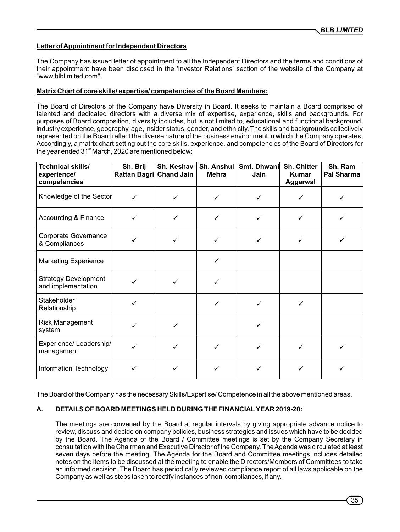# **Letter of Appointment for Independent Directors**

The Company has issued letter of appointment to all the Independent Directors and the terms and conditions of their appointment have been disclosed in the 'Investor Relations' section of the website of the Company at "www.blblimited.com''.

# **Matrix Chart of core skills/ expertise/ competencies of the Board Members:**

The Board of Directors of the Company have Diversity in Board. It seeks to maintain a Board comprised of talented and dedicated directors with a diverse mix of expertise, experience, skills and backgrounds. For purposes of Board composition, diversity includes, but is not limited to, educational and functional background, industry experience, geography, age, insider status, gender, and ethnicity. The skills and backgrounds collectively represented on the Board reflect the diverse nature of the business environment in which the Company operates. Accordingly, a matrix chart setting out the core skills, experience, and competencies of the Board of Directors for the year ended  $31<sup>st</sup>$  March, 2020 are mentioned below:

| <b>Technical skills/</b><br>experience/<br>competencies | Sh. Brij<br>Rattan Bagri Chand Jain | Sh. Keshav | Sh. Anshul<br>Mehra | Smt. Dhwani<br>Jain | Sh. Chitter<br><b>Kumar</b><br><b>Aggarwal</b> | Sh. Ram<br>Pal Sharma |
|---------------------------------------------------------|-------------------------------------|------------|---------------------|---------------------|------------------------------------------------|-----------------------|
| Knowledge of the Sector                                 | $\checkmark$                        |            | ✓                   | ✓                   | ✓                                              |                       |
| Accounting & Finance                                    | ✓                                   |            |                     |                     | ✓                                              |                       |
| Corporate Governance<br>& Compliances                   | ✓                                   |            | ✓                   |                     | $\checkmark$                                   |                       |
| <b>Marketing Experience</b>                             |                                     |            | ✓                   |                     |                                                |                       |
| <b>Strategy Development</b><br>and implementation       | ✓                                   | ✓          |                     |                     |                                                |                       |
| Stakeholder<br>Relationship                             | ✓                                   |            | $\checkmark$        | ✓                   | $\checkmark$                                   |                       |
| Risk Management<br>system                               | ✓                                   |            |                     | ✓                   |                                                |                       |
| Experience/ Leadership/<br>management                   | ✓                                   |            |                     | ✓                   | $\checkmark$                                   |                       |
| Information Technology                                  | ✓                                   |            | ✓                   |                     |                                                |                       |

The Board of the Company has the necessary Skills/Expertise/ Competence in all the above mentioned areas.

#### **A. DETAILS OF BOARD MEETINGS HELD DURING THE FINANCIALYEAR 2019-20:**

The meetings are convened by the Board at regular intervals by giving appropriate advance notice to review, discuss and decide on company policies, business strategies and issues which have to be decided by the Board. The Agenda of the Board / Committee meetings is set by the Company Secretary in consultation with the Chairman and Executive Director of the Company. The Agenda was circulated at least seven days before the meeting. The Agenda for the Board and Committee meetings includes detailed notes on the items to be discussed at the meeting to enable the Directors/Members of Committees to take an informed decision. The Board has periodically reviewed compliance report of all laws applicable on the Company as well as steps taken to rectify instances of non-compliances, if any.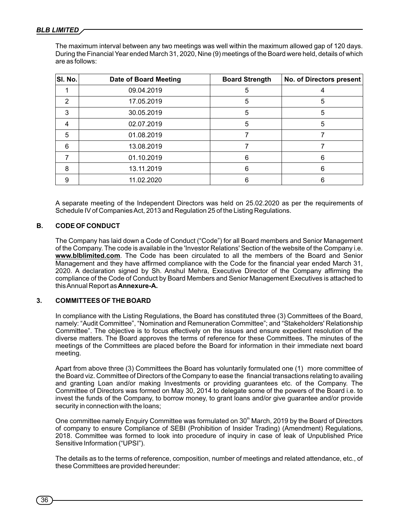The maximum interval between any two meetings was well within the maximum allowed gap of 120 days. During the Financial Year ended March 31, 2020, Nine (9) meetings of the Board were held, details of which are as follows:

| SI. No.       | <b>Date of Board Meeting</b> | <b>Board Strength</b> | No. of Directors present |
|---------------|------------------------------|-----------------------|--------------------------|
|               | 09.04.2019                   | 5                     |                          |
| $\mathcal{P}$ | 17.05.2019                   | 5                     | 5                        |
| 3             | 30.05.2019                   | 5                     | 5                        |
| 4             | 02.07.2019                   | 5                     | 5                        |
| 5             | 01.08.2019                   |                       |                          |
| 6             | 13.08.2019                   |                       |                          |
|               | 01.10.2019                   | 6                     | 6                        |
| 8             | 13.11.2019                   | 6                     | 6                        |
| 9             | 11.02.2020                   | 6                     |                          |

A separate meeting of the Independent Directors was held on 25.02.2020 as per the requirements of Schedule IV of Companies Act, 2013 and Regulation 25 of the Listing Regulations.

# **B. CODE OF CONDUCT**

The Company has laid down a Code of Conduct ("Code") for all Board members and Senior Management of the Company. The code is available in the 'Investor Relations' Section of the website of the Company i.e. **www.blblimited.com**. The Code has been circulated to all the members of the Board and Senior Management and they have affirmed compliance with the Code for the financial year ended March 31, 2020. A declaration signed by Sh. Anshul Mehra, Executive Director of the Company afrming the compliance of the Code of Conduct by Board Members and Senior Management Executives is attached to this Annual Report as**Annexure-A.**

#### **3. COMMITTEES OF THE BOARD**

In compliance with the Listing Regulations, the Board has constituted three (3) Committees of the Board, namely: "Audit Committee", "Nomination and Remuneration Committee"; and "Stakeholders' Relationship Committee". The objective is to focus effectively on the issues and ensure expedient resolution of the diverse matters. The Board approves the terms of reference for these Committees. The minutes of the meetings of the Committees are placed before the Board for information in their immediate next board meeting.

Apart from above three (3) Committees the Board has voluntarily formulated one (1) more committee of the Board viz. Committee of Directors of the Company to ease the financial transactions relating to availing and granting Loan and/or making Investments or providing guarantees etc. of the Company. The Committee of Directors was formed on May 30, 2014 to delegate some of the powers of the Board i.e. to invest the funds of the Company, to borrow money, to grant loans and/or give guarantee and/or provide security in connection with the loans;

One committee namely Enquiry Committee was formulated on 30<sup>th</sup> March, 2019 by the Board of Directors of company to ensure Compliance of SEBI (Prohibition of Insider Trading) (Amendment) Regulations, 2018. Committee was formed to look into procedure of inquiry in case of leak of Unpublished Price Sensitive Information ("UPSI").

The details as to the terms of reference, composition, number of meetings and related attendance, etc., of these Committees are provided hereunder: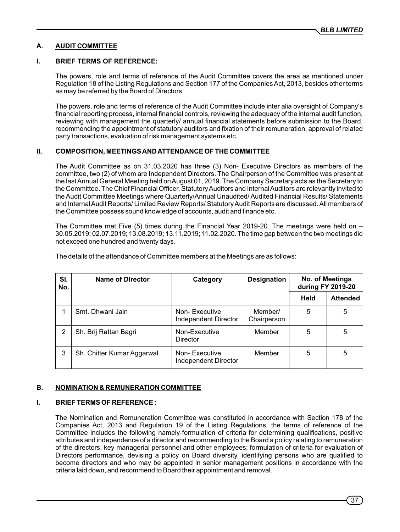# **A. AUDIT COMMITTEE**

# **I. BRIEF TERMS OF REFERENCE:**

The powers, role and terms of reference of the Audit Committee covers the area as mentioned under Regulation 18 of the Listing Regulations and Section 177 of the Companies Act, 2013, besides other terms as may be referred by the Board of Directors.

The powers, role and terms of reference of the Audit Committee include inter alia oversight of Company's financial reporting process, internal financial controls, reviewing the adequacy of the internal audit function, reviewing with management the quarterly/ annual financial statements before submission to the Board, recommending the appointment of statutory auditors and fixation of their remuneration, approval of related party transactions, evaluation of risk management systems etc.

# **II. COMPOSITION, MEETINGS AND ATTENDANCE OF THE COMMITTEE**

The Audit Committee as on 31.03.2020 has three (3) Non- Executive Directors as members of the committee, two (2) of whom are Independent Directors. The Chairperson of the Committee was present at the last Annual General Meeting held on August 01, 2019. The Company Secretary acts as the Secretary to the Committee. The Chief Financial Officer, Statutory Auditors and Internal Auditors are relevantly invited to the Audit Committee Meetings where Quarterly/Annual Unaudited/ Audited Financial Results/ Statements and Internal Audit Reports/ Limited Review Reports/ Statutory Audit Reports are discussed. All members of the Committee possess sound knowledge of accounts, audit and finance etc.

The Committee met Five (5) times during the Financial Year 2019-20. The meetings were held on – 30.05.2019; 02.07.2019; 13.08.2019; 13.11.2019; 11.02.2020. The time gap between the two meetings did not exceed one hundred and twenty days.

| SI.<br>No. | <b>Name of Director</b>    | Category                              | <b>Designation</b>     | <b>No. of Meetings</b><br>during FY 2019-20 |                 |
|------------|----------------------------|---------------------------------------|------------------------|---------------------------------------------|-----------------|
|            |                            |                                       |                        | <b>Held</b>                                 | <b>Attended</b> |
|            | Smt. Dhwani Jain           | Non-Executive<br>Independent Director | Member/<br>Chairperson | 5                                           | 5               |
| 2          | Sh. Brij Rattan Bagri      | Non-Executive<br><b>Director</b>      | Member                 | 5                                           | 5               |
| 3          | Sh. Chitter Kumar Aggarwal | Non-Executive<br>Independent Director | Member                 | 5                                           | 5               |

The details of the attendance of Committee members at the Meetings are as follows:

#### **B. NOMINATION & REMUNERATION COMMITTEE**

#### **I. BRIEF TERMS OF REFERENCE :**

The Nomination and Remuneration Committee was constituted in accordance with Section 178 of the Companies Act, 2013 and Regulation 19 of the Listing Regulations, the terms of reference of the Committee includes the following namely-formulation of criteria for determining qualifications, positive attributes and independence of a director and recommending to the Board a policy relating to remuneration of the directors, key managerial personnel and other employees; formulation of criteria for evaluation of Directors performance, devising a policy on Board diversity, identifying persons who are qualified to become directors and who may be appointed in senior management positions in accordance with the criteria laid down, and recommend to Board their appointment and removal.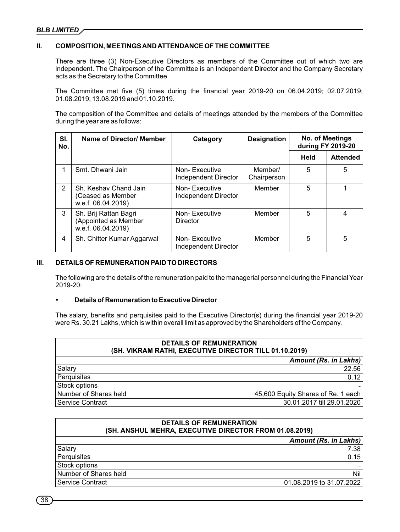# **II. COMPOSITION, MEETINGS AND ATTENDANCE OF THE COMMITTEE**

There are three (3) Non-Executive Directors as members of the Committee out of which two are independent. The Chairperson of the Committee is an Independent Director and the Company Secretary acts as the Secretary to the Committee.

The Committee met five  $(5)$  times during the financial year 2019-20 on 06.04.2019; 02.07.2019; 01.08.2019; 13.08.2019 and 01.10.2019.

The composition of the Committee and details of meetings attended by the members of the Committee during the year are as follows:

| SI.<br>No.     | Name of Director/ Member                                            | <b>Designation</b><br>Category        |                        | <b>No. of Meetings</b><br>during FY 2019-20 |                 |
|----------------|---------------------------------------------------------------------|---------------------------------------|------------------------|---------------------------------------------|-----------------|
|                |                                                                     |                                       |                        | Held                                        | <b>Attended</b> |
|                | Smt. Dhwani Jain                                                    | Non-Executive<br>Independent Director | Member/<br>Chairperson | 5                                           | 5               |
| $\overline{2}$ | Sh. Keshav Chand Jain<br>(Ceased as Member<br>w.e.f. 06.04.2019)    | Non-Executive<br>Independent Director | Member                 | 5                                           |                 |
| 3              | Sh. Brij Rattan Bagri<br>(Appointed as Member<br>w.e.f. 06.04.2019) | Non-Executive<br>Director             | Member                 | 5                                           | 4               |
| 4              | Sh. Chitter Kumar Aggarwal                                          | Non-Executive<br>Independent Director | Member                 | 5                                           | 5               |

#### **III. DETAILS OF REMUNERATION PAID TO DIRECTORS**

The following are the details of the remuneration paid to the managerial personnel during the Financial Year 2019-20:

## **Details of Remuneration to Executive Director**

The salary, benefits and perquisites paid to the Executive Director(s) during the financial year 2019-20 were Rs. 30.21 Lakhs, which is within overall limit as approved by the Shareholders of the Company.

| <b>DETAILS OF REMUNERATION</b><br>(SH. VIKRAM RATHI, EXECUTIVE DIRECTOR TILL 01.10.2019) |                                    |  |  |  |
|------------------------------------------------------------------------------------------|------------------------------------|--|--|--|
|                                                                                          | Amount (Rs. in Lakhs)              |  |  |  |
| Salary                                                                                   | 22.56                              |  |  |  |
| Perquisites                                                                              | 0.12                               |  |  |  |
| Stock options                                                                            |                                    |  |  |  |
| Number of Shares held                                                                    | 45,600 Equity Shares of Re. 1 each |  |  |  |
| Service Contract                                                                         | 30.01.2017 till 29.01.2020         |  |  |  |

| <b>DETAILS OF REMUNERATION</b><br>(SH. ANSHUL MEHRA, EXECUTIVE DIRECTOR FROM 01.08.2019) |                          |  |  |  |
|------------------------------------------------------------------------------------------|--------------------------|--|--|--|
|                                                                                          | Amount (Rs. in Lakhs)    |  |  |  |
| Salary                                                                                   | 7.38                     |  |  |  |
| Perquisites                                                                              | 0.15                     |  |  |  |
| Stock options                                                                            |                          |  |  |  |
| Number of Shares held                                                                    | Nil                      |  |  |  |
| <b>Service Contract</b>                                                                  | 01.08.2019 to 31.07.2022 |  |  |  |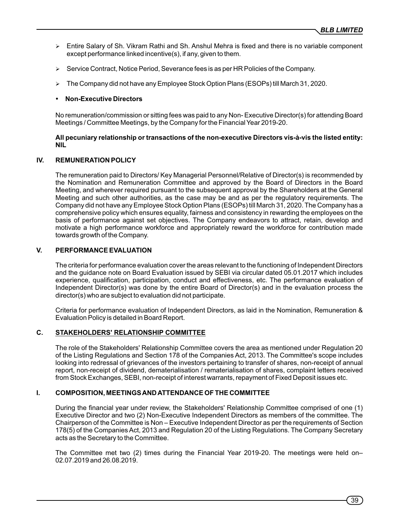- $\triangleright$  Entire Salary of Sh. Vikram Rathi and Sh. Anshul Mehra is fixed and there is no variable component except performance linked incentive(s), if any, given to them.
- $\triangleright$  Service Contract, Notice Period, Severance fees is as per HR Policies of the Company.
- The Company did not have any Employee Stock Option Plans (ESOPs) till March 31, 2020.

## **Non-Executive Directors**

No remuneration/commission or sitting fees was paid to any Non- Executive Director(s) for attending Board Meetings / Committee Meetings, by the Company for the Financial Year 2019-20.

#### **All pecuniary relationship or transactions of the non-executive Directors vis-à-vis the listed entity: NIL**

#### **IV. REMUNERATION POLICY**

The remuneration paid to Directors/ Key Managerial Personnel/Relative of Director(s) is recommended by the Nomination and Remuneration Committee and approved by the Board of Directors in the Board Meeting, and wherever required pursuant to the subsequent approval by the Shareholders at the General Meeting and such other authorities, as the case may be and as per the regulatory requirements. The Company did not have any Employee Stock Option Plans (ESOPs) till March 31, 2020. The Company has a comprehensive policy which ensures equality, fairness and consistency in rewarding the employees on the basis of performance against set objectives. The Company endeavors to attract, retain, develop and motivate a high performance workforce and appropriately reward the workforce for contribution made towards growth of the Company.

# **V. PERFORMANCE EVALUATION**

The criteria for performance evaluation cover the areas relevant to the functioning of Independent Directors and the guidance note on Board Evaluation issued by SEBI via circular dated 05.01.2017 which includes experience, qualification, participation, conduct and effectiveness, etc. The performance evaluation of Independent Director(s) was done by the entire Board of Director(s) and in the evaluation process the director(s) who are subject to evaluation did not participate.

Criteria for performance evaluation of Independent Directors, as laid in the Nomination, Remuneration & Evaluation Policy is detailed in Board Report.

# **C. STAKEHOLDERS' RELATIONSHIP COMMITTEE**

The role of the Stakeholders' Relationship Committee covers the area as mentioned under Regulation 20 of the Listing Regulations and Section 178 of the Companies Act, 2013. The Committee's scope includes looking into redressal of grievances of the investors pertaining to transfer of shares, non-receipt of annual report, non-receipt of dividend, dematerialisation / rematerialisation of shares, complaint letters received from Stock Exchanges, SEBI, non-receipt of interest warrants, repayment of Fixed Deposit issues etc.

# **I. COMPOSITION, MEETINGS AND ATTENDANCE OF THE COMMITTEE**

During the financial year under review, the Stakeholders' Relationship Committee comprised of one (1) Executive Director and two (2) Non-Executive Independent Directors as members of the committee. The Chairperson of the Committee is Non – Executive Independent Director as per the requirements of Section 178(5) of the Companies Act, 2013 and Regulation 20 of the Listing Regulations. The Company Secretary acts as the Secretary to the Committee.

The Committee met two (2) times during the Financial Year 2019-20. The meetings were held on– 02.07.2019 and 26.08.2019.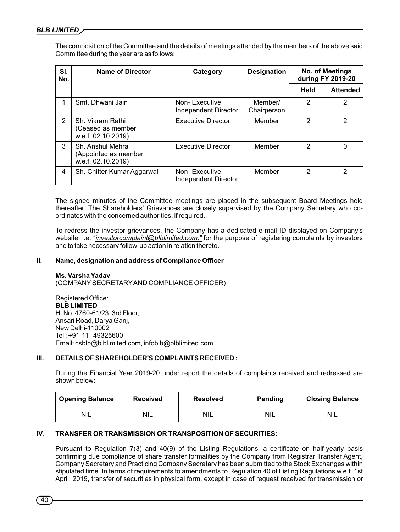The composition of the Committee and the details of meetings attended by the members of the above said Committee during the year are as follows:

| SI.<br>No.     | <b>Name of Director</b>                                        | <b>Designation</b><br>Category        |                        | <b>No. of Meetings</b><br>during FY 2019-20 |                 |
|----------------|----------------------------------------------------------------|---------------------------------------|------------------------|---------------------------------------------|-----------------|
|                |                                                                |                                       |                        | Held                                        | <b>Attended</b> |
|                | Smt. Dhwani Jain                                               | Non-Executive<br>Independent Director | Member/<br>Chairperson | 2                                           | 2               |
| $\overline{2}$ | Sh. Vikram Rathi<br>(Ceased as member<br>w.e.f. 02.10.2019)    | <b>Executive Director</b>             | Member                 | 2                                           | 2               |
| 3              | Sh. Anshul Mehra<br>(Appointed as member<br>w.e.f. 02.10.2019) | <b>Executive Director</b>             | Member                 | 2                                           | 0               |
| 4              | Sh. Chitter Kumar Aggarwal                                     | Non-Executive<br>Independent Director | Member                 | $\mathfrak{p}$                              | $\mathfrak{p}$  |

The signed minutes of the Committee meetings are placed in the subsequent Board Meetings held thereafter. The Shareholders' Grievances are closely supervised by the Company Secretary who coordinates with the concerned authorities, if required.

To redress the investor grievances, the Company has a dedicated e-mail ID displayed on Company's website, i.e. "*investorcomplaint@blblimited.com."* for the purpose of registering complaints by investors and to take necessary follow-up action in relation thereto.

#### **II. Name, designation and address of Compliance Officer**

#### **Ms. Varsha Yadav**

(COMPANYSECRETARYAND COMPLIANCE OFFICER)

Registered Office: **BLB LIMITED** H. No. 4760-61/23, 3rd Floor, Ansari Road, Darya Ganj, New Delhi-110002 Tel : +91-11 - 49325600 Email: csblb@blblimited.com, infoblb@blblimited.com

#### **III. DETAILS OF SHAREHOLDER'S COMPLAINTS RECEIVED :**

During the Financial Year 2019-20 under report the details of complaints received and redressed are shown below:

| <b>Opening Balance</b> | <b>Received</b> | <b>Resolved</b> | Pending    | <b>Closing Balance</b> |
|------------------------|-----------------|-----------------|------------|------------------------|
| <b>NIL</b>             | <b>NIL</b>      | <b>NIL</b>      | <b>NIL</b> | NIL                    |

# **IV. TRANSFER OR TRANSMISSION OR TRANSPOSITION OF SECURITIES:**

Pursuant to Regulation 7(3) and 40(9) of the Listing Regulations, a certificate on half-yearly basis confirming due compliance of share transfer formalities by the Company from Registrar Transfer Agent, Company Secretary and Practicing Company Secretary has been submitted to the Stock Exchanges within stipulated time. In terms of requirements to amendments to Regulation 40 of Listing Regulations w.e.f. 1st April, 2019, transfer of securities in physical form, except in case of request received for transmission or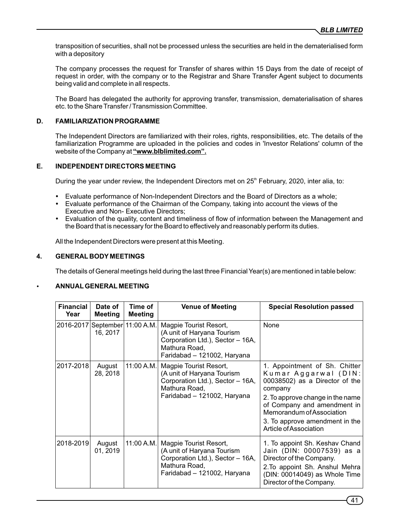transposition of securities, shall not be processed unless the securities are held in the dematerialised form with a depository

The company processes the request for Transfer of shares within 15 Days from the date of receipt of request in order, with the company or to the Registrar and Share Transfer Agent subject to documents being valid and complete in all respects.

The Board has delegated the authority for approving transfer, transmission, dematerialisation of shares etc. to the Share Transfer / Transmission Committee.

#### **D. FAMILIARIZATION PROGRAMME**

The Independent Directors are familiarized with their roles, rights, responsibilities, etc. The details of the familiarization Programme are uploaded in the policies and codes in 'Investor Relations' column of the website of the Company at **"www.blblimited.com".**

#### **E. INDEPENDENT DIRECTORS MEETING**

During the year under review, the Independent Directors met on 25<sup>th</sup> February, 2020, inter alia, to:

- Evaluate performance of Non-Independent Directors and the Board of Directors as a whole;
- Evaluate performance of the Chairman of the Company, taking into account the views of the Executive and Non- Executive Directors;
- Evaluation of the quality, content and timeliness of flow of information between the Management and the Board that is necessary for the Board to effectively and reasonably perform its duties.

All the Independent Directors were present at this Meeting.

# **4. GENERAL BODY MEETINGS**

The details of General meetings held during the last three Financial Year(s) are mentioned in table below:

#### **ANNUALGENERAL MEETING**

| <b>Financial</b><br>Year | Date of<br>Meeting                             | Time of<br>Meeting | <b>Venue of Meeting</b>                                                                                                                  | <b>Special Resolution passed</b>                                                                                                                                                                                                                               |
|--------------------------|------------------------------------------------|--------------------|------------------------------------------------------------------------------------------------------------------------------------------|----------------------------------------------------------------------------------------------------------------------------------------------------------------------------------------------------------------------------------------------------------------|
|                          | 2016-2017   September   11:00 A.M.<br>16, 2017 |                    | Magpie Tourist Resort,<br>(A unit of Haryana Tourism<br>Corporation Ltd.), Sector - 16A,<br>Mathura Road,<br>Faridabad - 121002, Haryana | None                                                                                                                                                                                                                                                           |
| 2017-2018                | August<br>28, 2018                             | 11:00 A.M.         | Magpie Tourist Resort,<br>(A unit of Haryana Tourism<br>Corporation Ltd.), Sector - 16A,<br>Mathura Road,<br>Faridabad - 121002, Haryana | 1. Appointment of Sh. Chitter<br>Kumar Aggarwal (DIN:<br>00038502) as a Director of the<br>company<br>2. To approve change in the name<br>of Company and amendment in<br>Memorandum of Association<br>3. To approve amendment in the<br>Article of Association |
| 2018-2019                | August<br>01, 2019                             | 11:00 A.M.         | Magpie Tourist Resort,<br>(A unit of Haryana Tourism<br>Corporation Ltd.), Sector - 16A,<br>Mathura Road,<br>Faridabad - 121002, Haryana | 1. To appoint Sh. Keshav Chand<br>Jain (DIN: 00007539) as a<br>Director of the Company.<br>2. To appoint Sh. Anshul Mehra<br>(DIN: 00014049) as Whole Time<br>Director of the Company.                                                                         |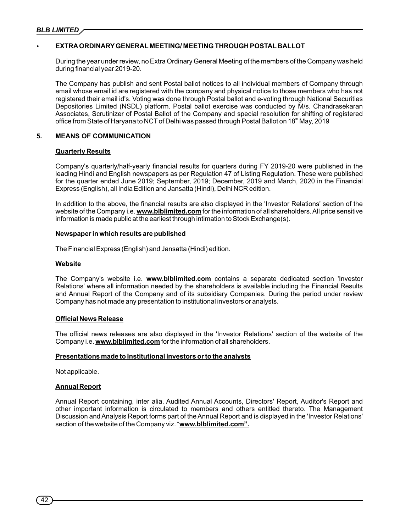# **EXTRAORDINARYGENERAL MEETING/ MEETING THROUGH POSTAL BALLOT**

During the year under review, no Extra Ordinary General Meeting of the members of the Company was held during financial year 2019-20.

The Company has publish and sent Postal ballot notices to all individual members of Company through email whose email id are registered with the company and physical notice to those members who has not registered their email id's. Voting was done through Postal ballot and e-voting through National Securities Depositories Limited (NSDL) platform. Postal ballot exercise was conducted by M/s. Chandrasekaran Associates, Scrutinizer of Postal Ballot of the Company and special resolution for shifting of registered office from State of Haryana to NCT of Delhi was passed through Postal Ballot on 18<sup>th</sup> May, 2019

# **5. MEANS OF COMMUNICATION**

#### **Quarterly Results**

Company's quarterly/half-yearly financial results for quarters during FY 2019-20 were published in the leading Hindi and English newspapers as per Regulation 47 of Listing Regulation. These were published for the quarter ended June 2019; September, 2019; December, 2019 and March, 2020 in the Financial Express (English), all India Edition and Jansatta (Hindi), Delhi NCR edition.

In addition to the above, the financial results are also displayed in the 'Investor Relations' section of the website of the Company i.e. **www.blblimited.com** for the information of all shareholders. All price sensitive information is made public at the earliest through intimation to Stock Exchange(s).

#### **Newspaper in which results are published**

The Financial Express (English) and Jansatta (Hindi) edition.

#### **Website**

The Company's website i.e. **www.blblimited.com** contains a separate dedicated section 'Investor Relations' where all information needed by the shareholders is available including the Financial Results and Annual Report of the Company and of its subsidiary Companies. During the period under review Company has not made any presentation to institutional investors or analysts.

#### **Official News Release**

The official news releases are also displayed in the 'Investor Relations' section of the website of the Company i.e. **www.blblimited.com** for the information of all shareholders.

#### **Presentations made to Institutional Investors or to the analysts**

Not applicable.

#### **Annual Report**

Annual Report containing, inter alia, Audited Annual Accounts, Directors' Report, Auditor's Report and other important information is circulated to members and others entitled thereto. The Management Discussion and Analysis Report forms part of the Annual Report and is displayed in the 'Investor Relations' section of the website of the Company viz. "**www.blblimited.com".**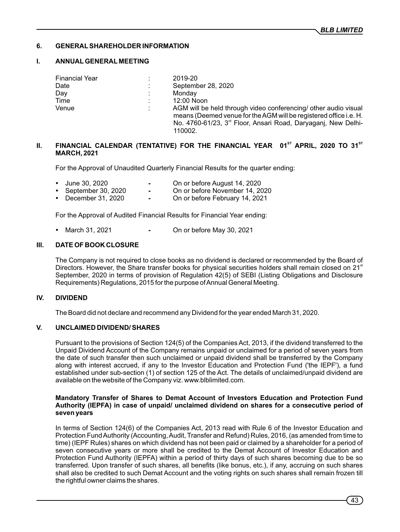# **6. GENERALSHAREHOLDER INFORMATION**

## **I. ANNUALGENERAL MEETING**

| <b>Financial Year</b> | 2019-20                                                                                                                                                                                                                      |
|-----------------------|------------------------------------------------------------------------------------------------------------------------------------------------------------------------------------------------------------------------------|
| Date                  | September 28, 2020                                                                                                                                                                                                           |
| Day                   | Monday                                                                                                                                                                                                                       |
| Time                  | 12:00 Noon                                                                                                                                                                                                                   |
| Venue                 | AGM will be held through video conferencing/ other audio visual<br>means (Deemed venue for the AGM will be registered office i.e. H.<br>No. 4760-61/23, 3 <sup>rd</sup> Floor, Ansari Road, Daryaganj, New Delhi-<br>110002. |

# **II.** FINANCIAL CALENDAR (TENTATIVE) FOR THE FINANCIAL YEAR 01<sup>st</sup> APRIL, 2020 TO 31<sup>st</sup> **MARCH, 2021**

For the Approval of Unaudited Quarterly Financial Results for the quarter ending:

- June 30, 2020 **-** On or before August 14, 2020
- September 30, 2020 **-** On or before November 14, 2020
- On or before February 14, 2021

For the Approval of Audited Financial Results for Financial Year ending:

March 31, 2021 **-** On or before May 30, 2021

#### **III. DATE OF BOOK CLOSURE**

The Company is not required to close books as no dividend is declared or recommended by the Board of Directors. However, the Share transfer books for physical securities holders shall remain closed on 21 $^{\rm st}$ September, 2020 in terms of provision of Regulation 42(5) of SEBI (Listing Obligations and Disclosure Requirements) Regulations, 2015 for the purpose of Annual General Meeting.

#### **IV. DIVIDEND**

The Board did not declare and recommend any Dividend for the year ended March 31, 2020.

#### **V. UNCLAIMED DIVIDEND/ SHARES**

Pursuant to the provisions of Section 124(5) of the Companies Act, 2013, if the dividend transferred to the Unpaid Dividend Account of the Company remains unpaid or unclaimed for a period of seven years from the date of such transfer then such unclaimed or unpaid dividend shall be transferred by the Company along with interest accrued, if any to the Investor Education and Protection Fund ('the IEPF'), a fund established under sub-section (1) of section 125 of the Act. The details of unclaimed/unpaid dividend are available on the website of the Company viz. www.blblimited.com.

#### **Mandatory Transfer of Shares to Demat Account of Investors Education and Protection Fund Authority (IEPFA) in case of unpaid/ unclaimed dividend on shares for a consecutive period of seven years**

In terms of Section 124(6) of the Companies Act, 2013 read with Rule 6 of the Investor Education and Protection Fund Authority (Accounting, Audit, Transfer and Refund) Rules, 2016, (as amended from time to time) (IEPF Rules) shares on which dividend has not been paid or claimed by a shareholder for a period of seven consecutive years or more shall be credited to the Demat Account of Investor Education and Protection Fund Authority (IEPFA) within a period of thirty days of such shares becoming due to be so transferred. Upon transfer of such shares, all benefits (like bonus, etc.), if any, accruing on such shares shall also be credited to such Demat Account and the voting rights on such shares shall remain frozen till the rightful owner claims the shares.

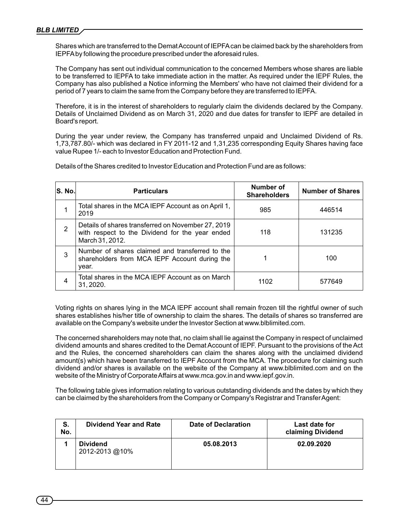Shares which are transferred to the Demat Account of IEPFAcan be claimed back by the shareholders from IEPFAby following the procedure prescribed under the aforesaid rules.

The Company has sent out individual communication to the concerned Members whose shares are liable to be transferred to IEPFA to take immediate action in the matter. As required under the IEPF Rules, the Company has also published a Notice informing the Members' who have not claimed their dividend for a period of 7 years to claim the same from the Company before they are transferred to IEPFA.

Therefore, it is in the interest of shareholders to regularly claim the dividends declared by the Company. Details of Unclaimed Dividend as on March 31, 2020 and due dates for transfer to IEPF are detailed in Board's report.

During the year under review, the Company has transferred unpaid and Unclaimed Dividend of Rs. 1,73,787.80/- which was declared in FY 2011-12 and 1,31,235 corresponding Equity Shares having face value Rupee 1/- each to Investor Education and Protection Fund.

Details of the Shares credited to Investor Education and Protection Fund are as follows:

| <b>S. No.</b> | <b>Particulars</b>                                                                                                       | Number of<br><b>Shareholders</b> | <b>Number of Shares</b> |
|---------------|--------------------------------------------------------------------------------------------------------------------------|----------------------------------|-------------------------|
|               | Total shares in the MCA IEPF Account as on April 1,<br>2019                                                              | 985                              | 446514                  |
| 2             | Details of shares transferred on November 27, 2019<br>with respect to the Dividend for the year ended<br>March 31, 2012. | 118                              | 131235                  |
| 3             | Number of shares claimed and transferred to the<br>shareholders from MCA IEPF Account during the<br>year.                |                                  | 100                     |
|               | Total shares in the MCA IEPF Account as on March<br>31, 2020.                                                            | 1102                             | 577649                  |

Voting rights on shares lying in the MCA IEPF account shall remain frozen till the rightful owner of such shares establishes his/her title of ownership to claim the shares. The details of shares so transferred are available on the Company's website under the Investor Section at www.blblimited.com.

The concerned shareholders may note that, no claim shall lie against the Company in respect of unclaimed dividend amounts and shares credited to the Demat Account of IEPF. Pursuant to the provisions of the Act and the Rules, the concerned shareholders can claim the shares along with the unclaimed dividend amount(s) which have been transferred to IEPF Account from the MCA. The procedure for claiming such dividend and/or shares is available on the website of the Company at www.blblimited.com and on the website of the Ministry of Corporate Affairs at www.mca.gov.in and www.iepf.gov.in.

The following table gives information relating to various outstanding dividends and the dates by which they can be claimed by the shareholders from the Company or Company's Registrar and Transfer Agent:

| S.<br>No. | <b>Dividend Year and Rate</b>     | Date of Declaration | Last date for<br>claiming Dividend |
|-----------|-----------------------------------|---------------------|------------------------------------|
|           | <b>Dividend</b><br>2012-2013 @10% | 05.08.2013          | 02.09.2020                         |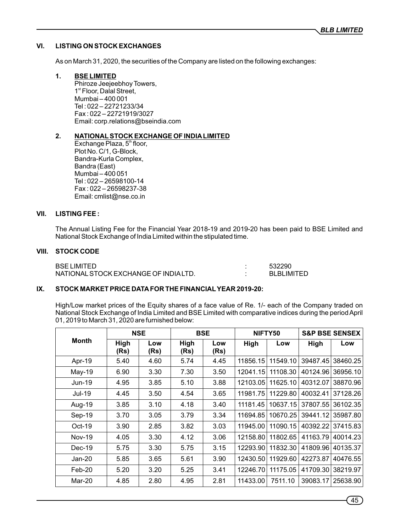# **VI. LISTING ON STOCK EXCHANGES**

As on March 31, 2020, the securities of the Company are listed on the following exchanges:

#### **1. BSE LIMITED**

Phiroze Jeejeebhoy Towers, 1<sup>st</sup> Floor, Dalal Street, Mumbai – 400 001 Tel : 022 – 22721233/34 Fax : 022 – 22721919/3027 Email: corp.relations@bseindia.com

#### **2. NATIONALSTOCK EXCHANGE OF INDIALIMITED**

Exchange Plaza,  $5<sup>th</sup>$  floor, Plot No. C/1, G-Block, Bandra-Kurla Complex, Bandra (East) Mumbai – 400 051 Tel : 022 – 26598100-14 Fax : 022 – 26598237-38 Email: cmlist@nse.co.in

#### **VII. LISTING FEE :**

The Annual Listing Fee for the Financial Year 2018-19 and 2019-20 has been paid to BSE Limited and National Stock Exchange of India Limited within the stipulated time.

# **VIII. STOCK CODE**

BSE LIMITED : 532290 NATIONAL STOCK EXCHANGE OF INDIALTD.

# **IX. STOCK MARKET PRICE DATAFOR THE FINANCIALYEAR 2019-20:**

High/Low market prices of the Equity shares of a face value of Re. 1/- each of the Company traded on National Stock Exchange of India Limited and BSE Limited with comparative indices during the period April 01, 2019 to March 31, 2020 are furnished below:

|               | <b>NSE</b><br><b>BSE</b><br>NIFTY50 |             | <b>S&amp;P BSE SENSEX</b> |             |          |          |          |          |
|---------------|-------------------------------------|-------------|---------------------------|-------------|----------|----------|----------|----------|
| Month         | High<br>(Rs)                        | Low<br>(Rs) | High<br>(Rs)              | Low<br>(Rs) | High     | Low      | High     | Low      |
| Apr-19        | 5.40                                | 4.60        | 5.74                      | 4.45        | 11856.15 | 11549.10 | 39487.45 | 38460.25 |
| May-19        | 6.90                                | 3.30        | 7.30                      | 3.50        | 12041.15 | 11108.30 | 40124.96 | 36956.10 |
| Jun-19        | 4.95                                | 3.85        | 5.10                      | 3.88        | 12103.05 | 11625.10 | 40312.07 | 38870.96 |
| <b>Jul-19</b> | 4.45                                | 3.50        | 4.54                      | 3.65        | 11981.75 | 11229.80 | 40032.41 | 37128.26 |
| Aug-19        | 3.85                                | 3.10        | 4.18                      | 3.40        | 11181.45 | 10637.15 | 37807.55 | 36102.35 |
| Sep-19        | 3.70                                | 3.05        | 3.79                      | 3.34        | 11694.85 | 10670.25 | 39441.12 | 35987.80 |
| Oct-19        | 3.90                                | 2.85        | 3.82                      | 3.03        | 11945.00 | 11090.15 | 40392.22 | 37415.83 |
| <b>Nov-19</b> | 4.05                                | 3.30        | 4.12                      | 3.06        | 12158.80 | 11802.65 | 41163.79 | 40014.23 |
| $Dec-19$      | 5.75                                | 3.30        | 5.75                      | 3.15        | 12293.90 | 11832.30 | 41809.96 | 40135.37 |
| Jan-20        | 5.85                                | 3.65        | 5.61                      | 3.90        | 12430.50 | 11929.60 | 42273.87 | 40476.55 |
| Feb-20        | 5.20                                | 3.20        | 5.25                      | 3.41        | 12246.70 | 11175.05 | 41709.30 | 38219.97 |
| Mar-20        | 4.85                                | 2.80        | 4.95                      | 2.81        | 11433.00 | 7511.10  | 39083.17 | 25638.90 |

 $45<sup>2</sup>$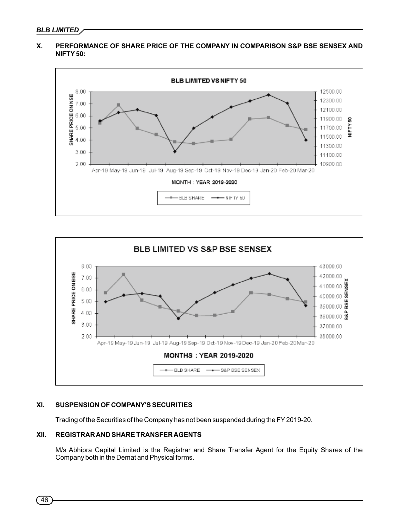#### **X. PERFORMANCE OF SHARE PRICE OF THE COMPANY IN COMPARISON S&P BSE SENSEX AND NIFTY50:**





#### **XI. SUSPENSION OF COMPANY'S SECURITIES**

Trading of the Securities of the Company has not been suspended during the FY2019-20.

#### **XII. REGISTRAR AND SHARE TRANSFER AGENTS**

M/s Abhipra Capital Limited is the Registrar and Share Transfer Agent for the Equity Shares of the Company both in the Demat and Physical forms.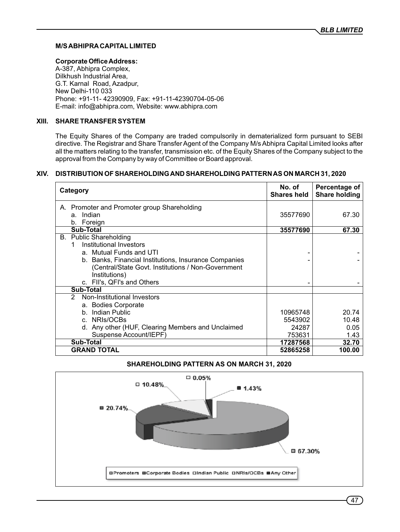# **M/S ABHIPRACAPITALLIMITED**

#### **Corporate Office Address:**

A-387, Abhipra Complex, Dilkhush Industrial Area, G.T. Karnal Road, Azadpur, New Delhi-110 033 Phone: +91-11- 42390909, Fax: +91-11-42390704-05-06 E-mail: info@abhipra.com, Website: www.abhipra.com

#### **XIII. SHARE TRANSFER SYSTEM**

The Equity Shares of the Company are traded compulsorily in dematerialized form pursuant to SEBI directive. The Registrar and Share Transfer Agent of the Company M/s Abhipra Capital Limited looks after all the matters relating to the transfer, transmission etc. of the Equity Shares of the Company subject to the approval from the Company by way of Committee or Board approval.

# **XIV. DISTRIBUTION OF SHAREHOLDING AND SHAREHOLDING PATTERN AS ON MARCH 31, 2020**

| Category                                              | No. of<br><b>Shares held</b> | Percentage of<br><b>Share holding</b> |
|-------------------------------------------------------|------------------------------|---------------------------------------|
| A. Promoter and Promoter group Shareholding           |                              |                                       |
| a. Indian                                             | 35577690                     | 67.30                                 |
| b. Foreign                                            |                              |                                       |
| <b>Sub-Total</b>                                      | 35577690                     | 67.30                                 |
| <b>B.</b> Public Shareholding                         |                              |                                       |
| Institutional Investors<br>1.                         |                              |                                       |
| a. Mutual Funds and UTI                               |                              |                                       |
| b. Banks, Financial Institutions, Insurance Companies |                              |                                       |
| (Central/State Govt. Institutions / Non-Government    |                              |                                       |
| Institutions)                                         |                              |                                       |
| c. FII's, QFI's and Others                            |                              |                                       |
| Sub-Total                                             |                              |                                       |
| Non-Institutional Investors<br>$\mathcal{P}$          |                              |                                       |
| a. Bodies Corporate                                   |                              |                                       |
| b. Indian Public                                      | 10965748                     | 20.74                                 |
| c. NRIs/OCBs                                          | 5543902                      | 10.48                                 |
| d. Any other (HUF, Clearing Members and Unclaimed     | 24287                        | 0.05                                  |
| Suspense Account/IEPF)                                | 753631                       | 1.43                                  |
| Sub-Total                                             | 17287568                     | 32.70                                 |
| <b>GRAND TOTAL</b>                                    | 52865258                     | 100.00                                |

#### **SHAREHOLDING PATTERN AS ON MARCH 31, 2020**

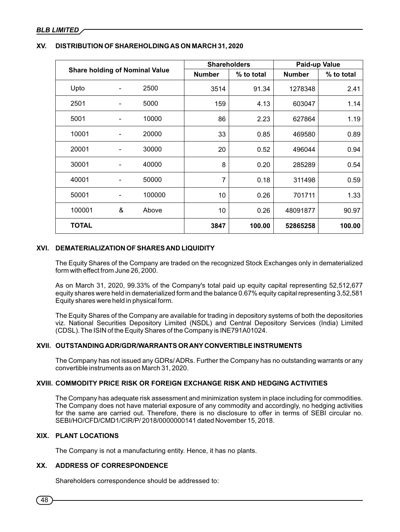|              |                                       |        | <b>Shareholders</b> | Paid-up Value |               |            |
|--------------|---------------------------------------|--------|---------------------|---------------|---------------|------------|
|              | <b>Share holding of Nominal Value</b> |        | <b>Number</b>       | % to total    | <b>Number</b> | % to total |
| Upto         | $\qquad \qquad \blacksquare$          | 2500   | 3514                | 91.34         | 1278348       | 2.41       |
| 2501         |                                       | 5000   | 159                 | 4.13          | 603047        | 1.14       |
| 5001         | $\qquad \qquad \blacksquare$          | 10000  | 86                  | 2.23          | 627864        | 1.19       |
| 10001        |                                       | 20000  | 33                  | 0.85          | 469580        | 0.89       |
| 20001        |                                       | 30000  | 20                  | 0.52          | 496044        | 0.94       |
| 30001        |                                       | 40000  | 8                   | 0.20          | 285289        | 0.54       |
| 40001        |                                       | 50000  | 7                   | 0.18          | 311498        | 0.59       |
| 50001        |                                       | 100000 | 10                  | 0.26          | 701711        | 1.33       |
| 100001       | &                                     | Above  | 10                  | 0.26          | 48091877      | 90.97      |
| <b>TOTAL</b> |                                       |        | 3847                | 100.00        | 52865258      | 100.00     |

# **XV. DISTRIBUTION OF SHAREHOLDING AS ON MARCH 31, 2020**

# **XVI. DEMATERIALIZATION OF SHARES AND LIQUIDITY**

The Equity Shares of the Company are traded on the recognized Stock Exchanges only in dematerialized form with effect from June 26, 2000.

As on March 31, 2020, 99.33% of the Company's total paid up equity capital representing 52,512,677 equity shares were held in dematerialized form and the balance 0.67% equity capital representing 3,52,581 Equity shares were held in physical form.

The Equity Shares of the Company are available for trading in depository systems of both the depositories viz. National Securities Depository Limited (NSDL) and Central Depository Services (India) Limited (CDSL). The ISIN of the Equity Shares of the Company is INE791A01024.

#### **XVII. OUTSTANDING ADR/GDR/WARRANTS OR ANY CONVERTIBLE INSTRUMENTS**

The Company has not issued any GDRs/ ADRs. Further the Company has no outstanding warrants or any convertible instruments as on March 31, 2020.

#### **XVIII. COMMODITY PRICE RISK OR FOREIGN EXCHANGE RISK AND HEDGING ACTIVITIES**

The Company has adequate risk assessment and minimization system in place including for commodities. The Company does not have material exposure of any commodity and accordingly, no hedging activities for the same are carried out. Therefore, there is no disclosure to offer in terms of SEBI circular no. SEBI/HO/CFD/CMD1/CIR/P/ 2018/0000000141 dated November 15, 2018.

# **XIX. PLANT LOCATIONS**

The Company is not a manufacturing entity. Hence, it has no plants.

# **XX. ADDRESS OF CORRESPONDENCE**

Shareholders correspondence should be addressed to: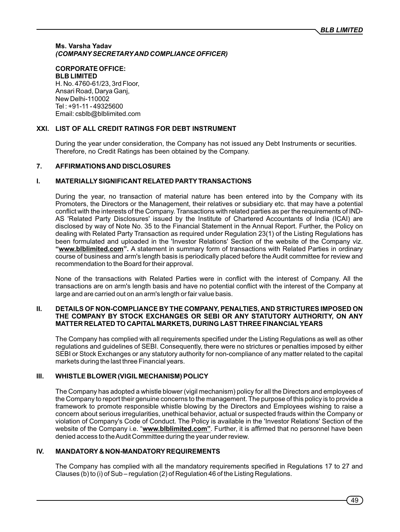#### **Ms. Varsha Yadav** *(COMPANYSECRETARYAND COMPLIANCE OFFICER)*

#### **CORPORATE OFFICE: BLB LIMITED** H. No. 4760-61/23, 3rd Floor, Ansari Road, Darya Ganj, New Delhi-110002 Tel : +91-11 - 49325600 Email: csblb@blblimited.com

# **XXI. LIST OF ALL CREDIT RATINGS FOR DEBT INSTRUMENT**

During the year under consideration, the Company has not issued any Debt Instruments or securities. Therefore, no Credit Ratings has been obtained by the Company.

#### **7. AFFIRMATIONS AND DISCLOSURES**

#### **I. MATERIALLYSIGNIFICANT RELATED PARTYTRANSACTIONS**

During the year, no transaction of material nature has been entered into by the Company with its Promoters, the Directors or the Management, their relatives or subsidiary etc. that may have a potential conflict with the interests of the Company. Transactions with related parties as per the requirements of IND-AS 'Related Party Disclosures' issued by the Institute of Chartered Accountants of India (ICAI) are disclosed by way of Note No. 35 to the Financial Statement in the Annual Report. Further, the Policy on dealing with Related Party Transaction as required under Regulation 23(1) of the Listing Regulations has been formulated and uploaded in the 'Investor Relations' Section of the website of the Company viz. **"www.blblimited.com".** A statement in summary form of transactions with Related Parties in ordinary course of business and arm's length basis is periodically placed before the Audit committee for review and recommendation to the Board for their approval.

None of the transactions with Related Parties were in conflict with the interest of Company. All the transactions are on arm's length basis and have no potential conflict with the interest of the Company at large and are carried out on an arm's length or fair value basis.

#### **II. DETAILS OF NON-COMPLIANCE BY THE COMPANY, PENALTIES, AND STRICTURES IMPOSED ON THE COMPANY BY STOCK EXCHANGES OR SEBI OR ANY STATUTORY AUTHORITY, ON ANY MATTER RELATED TO CAPITAL MARKETS, DURING LAST THREE FINANCIALYEARS**

The Company has complied with all requirements specified under the Listing Requlations as well as other regulations and guidelines of SEBI. Consequently, there were no strictures or penalties imposed by either SEBI or Stock Exchanges or any statutory authority for non-compliance of any matter related to the capital markets during the last three Financial years.

# **III. WHISTLE BLOWER (VIGIL MECHANISM) POLICY**

The Company has adopted a whistle blower (vigil mechanism) policy for all the Directors and employees of the Company to report their genuine concerns to the management. The purpose of this policy is to provide a framework to promote responsible whistle blowing by the Directors and Employees wishing to raise a concern about serious irregularities, unethical behavior, actual or suspected frauds within the Company or violation of Company's Code of Conduct. The Policy is available in the 'Investor Relations' Section of the website of the Company i.e. "www.blblimited.com". Further, it is affirmed that no personnel have been denied access to the Audit Committee during the year under review.

# **IV. MANDATORY & NON-MANDATORY REQUIREMENTS**

The Company has complied with all the mandatory requirements specified in Requlations 17 to 27 and Clauses (b) to (i) of Sub – regulation (2) of Regulation 46 of the Listing Regulations.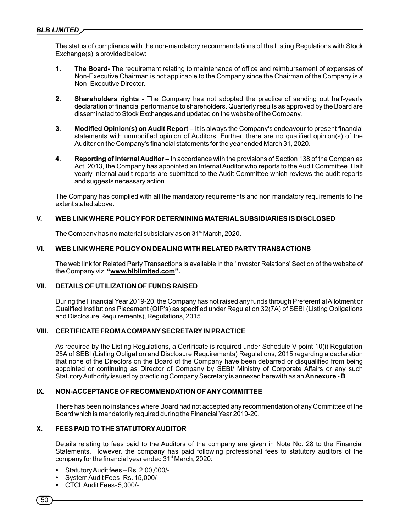The status of compliance with the non-mandatory recommendations of the Listing Regulations with Stock Exchange(s) is provided below:

- **1.** The Board- The requirement relating to maintenance of office and reimbursement of expenses of Non-Executive Chairman is not applicable to the Company since the Chairman of the Company is a Non- Executive Director.
- **2. Shareholders rights** The Company has not adopted the practice of sending out half-yearly declaration of financial performance to shareholders. Quarterly results as approved by the Board are disseminated to Stock Exchanges and updated on the website of the Company.
- **3. Modified Opinion(s) on Audit Report** It is always the Company's endeavour to present financial statements with unmodified opinion of Auditors. Further, there are no qualified opinion(s) of the Auditor on the Company's financial statements for the year ended March 31, 2020.
- **4. Reporting of Internal Auditor** In accordance with the provisions of Section 138 of the Companies Act, 2013, the Company has appointed an Internal Auditor who reports to the Audit Committee. Half yearly internal audit reports are submitted to the Audit Committee which reviews the audit reports and suggests necessary action.

The Company has complied with all the mandatory requirements and non mandatory requirements to the extent stated above.

# **V. WEB LINK WHERE POLICYFOR DETERMINING MATERIALSUBSIDIARIES IS DISCLOSED**

The Company has no material subsidiary as on  $31<sup>st</sup>$  March, 2020.

# **VI. WEB LINK WHERE POLICYON DEALING WITH RELATED PARTYTRANSACTIONS**

The web link for Related Party Transactions is available in the 'Investor Relations' Section of the website of the Company viz. **"www.blblimited.com".**

# **VII. DETAILS OF UTILIZATION OF FUNDS RAISED**

During the Financial Year 2019-20, the Company has not raised any funds through Preferential Allotment or Qualified Institutions Placement (QIP's) as specified under Regulation 32(7A) of SEBI (Listing Obligations and Disclosure Requirements), Regulations, 2015.

#### **VIII. CERTIFICATE FROM ACOMPANYSECRETARYIN PRACTICE**

As required by the Listing Regulations, a Certificate is required under Schedule V point 10(i) Regulation 25A of SEBI (Listing Obligation and Disclosure Requirements) Regulations, 2015 regarding a declaration that none of the Directors on the Board of the Company have been debarred or disqualified from being appointed or continuing as Director of Company by SEBI/ Ministry of Corporate Affairs or any such Statutory Authority issued by practicing Company Secretary is annexed herewith as an **Annexure - B**.

## **IX. NON-ACCEPTANCE OF RECOMMENDATION OF ANY COMMITTEE**

There has been no instances where Board had not accepted any recommendation of any Committee of the Board which is mandatorily required during the Financial Year 2019-20.

# **X. FEES PAID TO THE STATUTORYAUDITOR**

Details relating to fees paid to the Auditors of the company are given in Note No. 28 to the Financial Statements. However, the company has paid following professional fees to statutory auditors of the company for the financial year ended  $31<sup>st</sup>$  March, 2020:

- Statutory Audit fees Rs. 2,00,000/-
- System Audit Fees- Rs. 15,000/-
- CTCLAudit Fees- 5,000/-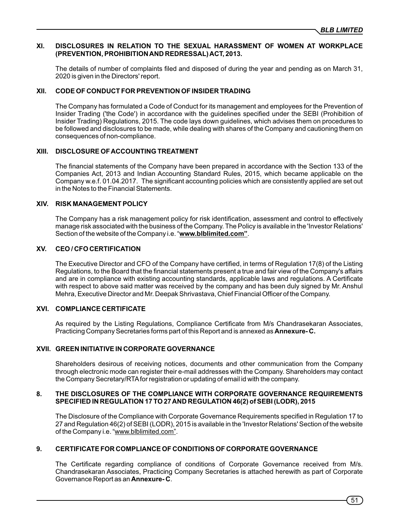#### **XI. DISCLOSURES IN RELATION TO THE SEXUAL HARASSMENT OF WOMEN AT WORKPLACE (PREVENTION, PROHIBITION AND REDRESSAL) ACT, 2013.**

The details of number of complaints filed and disposed of during the year and pending as on March 31, 2020 is given in the Directors' report.

#### **XII. CODE OF CONDUCT FOR PREVENTION OF INSIDER TRADING**

The Company has formulated a Code of Conduct for its management and employees for the Prevention of Insider Trading ('the Code') in accordance with the guidelines specified under the SEBI (Prohibition of Insider Trading) Regulations, 2015. The code lays down guidelines, which advises them on procedures to be followed and disclosures to be made, while dealing with shares of the Company and cautioning them on consequences of non-compliance.

#### **XIII. DISCLOSURE OF ACCOUNTING TREATMENT**

The financial statements of the Company have been prepared in accordance with the Section 133 of the Companies Act, 2013 and Indian Accounting Standard Rules, 2015, which became applicable on the Company w.e.f. 01.04.2017. The significant accounting policies which are consistently applied are set out in the Notes to the Financial Statements.

## **XIV. RISK MANAGEMENT POLICY**

The Company has a risk management policy for risk identification, assessment and control to effectively manage risk associated with the business of the Company. The Policy is available in the 'Investor Relations' Section of the website of the Company i.e. "**www.blblimited.com"**.

#### **XV. CEO / CFO CERTIFICATION**

The Executive Director and CFO of the Company have certified, in terms of Regulation 17(8) of the Listing Regulations, to the Board that the financial statements present a true and fair view of the Company's affairs and are in compliance with existing accounting standards, applicable laws and regulations. A Certificate with respect to above said matter was received by the company and has been duly signed by Mr. Anshul Mehra, Executive Director and Mr. Deepak Shrivastava, Chief Financial Officer of the Company.

#### **XVI. COMPLIANCE CERTIFICATE**

As required by the Listing Regulations, Compliance Certificate from M/s Chandrasekaran Associates, Practicing Company Secretaries forms part of this Report and is annexed as **Annexure- C.**

# **XVII. GREEN INITIATIVE IN CORPORATE GOVERNANCE**

Shareholders desirous of receiving notices, documents and other communication from the Company through electronic mode can register their e-mail addresses with the Company. Shareholders may contact the Company Secretary/RTAfor registration or updating of email id with the company.

#### **8. THE DISCLOSURES OF THE COMPLIANCE WITH CORPORATE GOVERNANCE REQUIREMENTS SPECIFIED IN REGULATION 17 TO 27 AND REGULATION 46(2) of SEBI (LODR), 2015**

The Disclosure of the Compliance with Corporate Governance Requirements specified in Regulation 17 to 27 and Regulation 46(2) of SEBI (LODR), 2015 is available in the 'Investor Relations' Section of the website of the Company i.e. "www.blblimited.com".

#### **9. CERTIFICATE FOR COMPLIANCE OF CONDITIONS OF CORPORATE GOVERNANCE**

The Certificate regarding compliance of conditions of Corporate Governance received from M/s. Chandrasekaran Associates, Practicing Company Secretaries is attached herewith as part of Corporate Governance Report as an **Annexure- C**.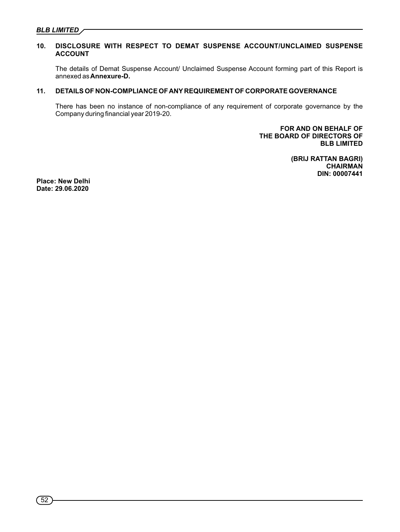# **10. DISCLOSURE WITH RESPECT TO DEMAT SUSPENSE ACCOUNT/UNCLAIMED SUSPENSE ACCOUNT**

The details of Demat Suspense Account/ Unclaimed Suspense Account forming part of this Report is annexed as**Annexure-D.**

#### **11. DETAILS OF NON-COMPLIANCE OF ANY REQUIREMENT OF CORPORATE GOVERNANCE**

There has been no instance of non-compliance of any requirement of corporate governance by the Company during financial year 2019-20.

> **FOR AND ON BEHALF OF THE BOARD OF DIRECTORS OF BLB LIMITED**

> > **(BRIJ RATTAN BAGRI) CHAIRMAN DIN: 00007441**

**Place: New Delhi Date: 29.06.2020**

 $\sqrt{52}$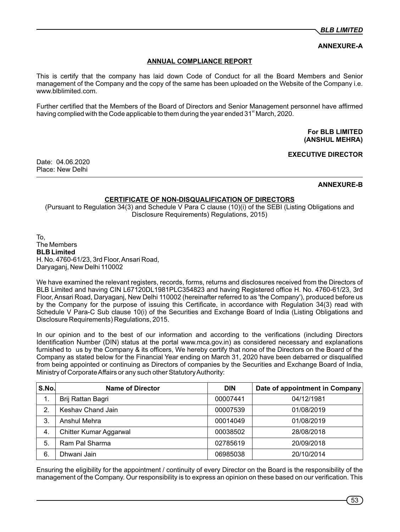## **ANNEXURE-A**

# **ANNUAL COMPLIANCE REPORT**

This is certify that the company has laid down Code of Conduct for all the Board Members and Senior management of the Company and the copy of the same has been uploaded on the Website of the Company i.e. www.blblimited.com.

Further certified that the Members of the Board of Directors and Senior Management personnel have affirmed having complied with the Code applicable to them during the year ended 31<sup>st</sup> March, 2020.

> **For BLB LIMITED (ANSHUL MEHRA)**

**EXECUTIVE DIRECTOR**

Date: 04.06.2020 Place: New Delhi

**ANNEXURE-B**

#### **CERTIFICATE OF NON-DISQUALIFICATION OF DIRECTORS**

(Pursuant to Regulation 34(3) and Schedule V Para C clause (10)(i) of the SEBI (Listing Obligations and Disclosure Requirements) Regulations, 2015)

To, The Members **BLB Limited**  H. No. 4760-61/23, 3rd Floor, Ansari Road, Daryaganj, New Delhi 110002

We have examined the relevant registers, records, forms, returns and disclosures received from the Directors of BLB Limited and having CIN L67120DL1981PLC354823 and having Registered office H. No. 4760-61/23, 3rd Floor, Ansari Road, Daryaganj, New Delhi 110002 (hereinafter referred to as 'the Company'), produced before us by the Company for the purpose of issuing this Certificate, in accordance with Regulation 34(3) read with Schedule V Para-C Sub clause 10(i) of the Securities and Exchange Board of India (Listing Obligations and Disclosure Requirements) Regulations, 2015.

In our opinion and to the best of our information and according to the verifications (including Directors Identification Number (DIN) status at the portal www.mca.gov.in) as considered necessary and explanations furnished to us by the Company & its officers, We hereby certify that none of the Directors on the Board of the Company as stated below for the Financial Year ending on March 31, 2020 have been debarred or disqualified from being appointed or continuing as Directors of companies by the Securities and Exchange Board of India, Ministry of Corporate Affairs or any such other Statutory Authority:

| S.No. | <b>Name of Director</b> | <b>DIN</b> | Date of appointment in Company |
|-------|-------------------------|------------|--------------------------------|
| 1.    | Brij Rattan Bagri       | 00007441   | 04/12/1981                     |
| 2.    | Keshav Chand Jain       | 00007539   | 01/08/2019                     |
| 3.    | Anshul Mehra            | 00014049   | 01/08/2019                     |
| 4.    | Chitter Kumar Aggarwal  | 00038502   | 28/08/2018                     |
| 5.    | Ram Pal Sharma          | 02785619   | 20/09/2018                     |
| 6.    | Dhwani Jain             | 06985038   | 20/10/2014                     |

Ensuring the eligibility for the appointment / continuity of every Director on the Board is the responsibility of the management of the Company. Our responsibility is to express an opinion on these based on our verification. This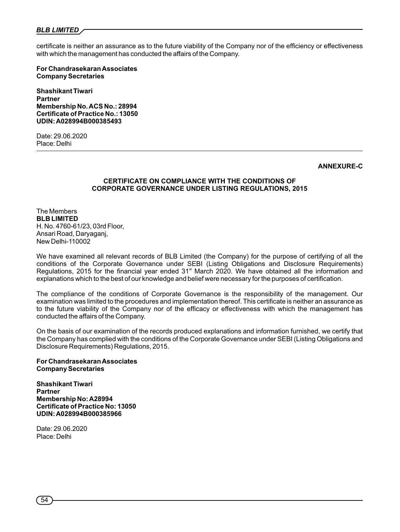certificate is neither an assurance as to the future viability of the Company nor of the efficiency or effectiveness with which the management has conducted the affairs of the Company.

**For Chandrasekaran Associates Company Secretaries**

**Shashikant Tiwari Partner Membership No. ACS No.: 28994 Certicate of Practice No.: 13050 UDIN: A028994B000385493**

Date: 29.06.2020 Place: Delhi

# **ANNEXURE-C**

#### **CERTIFICATE ON COMPLIANCE WITH THE CONDITIONS OF CORPORATE GOVERNANCE UNDER LISTING REGULATIONS, 2015**

The Members **BLB LIMITED** H. No. 4760-61/23, 03rd Floor, Ansari Road, Daryaganj, New Delhi-110002

We have examined all relevant records of BLB Limited (the Company) for the purpose of certifying of all the conditions of the Corporate Governance under SEBI (Listing Obligations and Disclosure Requirements) Regulations, 2015 for the financial year ended  $31<sup>st</sup>$  March 2020. We have obtained all the information and explanations which to the best of our knowledge and belief were necessary for the purposes of certification.

The compliance of the conditions of Corporate Governance is the responsibility of the management. Our examination was limited to the procedures and implementation thereof. This certificate is neither an assurance as to the future viability of the Company nor of the efficacy or effectiveness with which the management has conducted the affairs of the Company.

On the basis of our examination of the records produced explanations and information furnished, we certify that the Company has complied with the conditions of the Corporate Governance under SEBI (Listing Obligations and Disclosure Requirements) Regulations, 2015.

**For Chandrasekaran Associates Company Secretaries**

**Shashikant Tiwari Partner Membership No: A28994 Certicate of Practice No: 13050 UDIN: A028994B000385966**

Date: 29.06.2020 Place: Delhi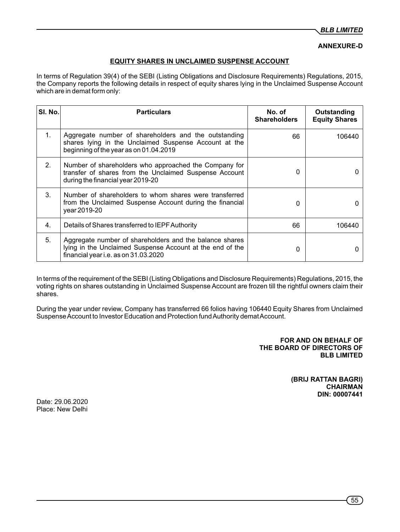# **ANNEXURE-D**

# **EQUITY SHARES IN UNCLAIMED SUSPENSE ACCOUNT**

In terms of Regulation 39(4) of the SEBI (Listing Obligations and Disclosure Requirements) Regulations, 2015, the Company reports the following details in respect of equity shares lying in the Unclaimed Suspense Account which are in demat form only:

| SI. No.        | <b>Particulars</b>                                                                                                                                           | No. of<br><b>Shareholders</b> | Outstanding<br><b>Equity Shares</b> |
|----------------|--------------------------------------------------------------------------------------------------------------------------------------------------------------|-------------------------------|-------------------------------------|
| $1_{\cdot}$    | Aggregate number of shareholders and the outstanding<br>shares lying in the Unclaimed Suspense Account at the<br>beginning of the year as on 01.04.2019      | 66                            | 106440                              |
| 2.             | Number of shareholders who approached the Company for<br>transfer of shares from the Unclaimed Suspense Account<br>during the financial year 2019-20         | 0                             |                                     |
| 3 <sub>1</sub> | Number of shareholders to whom shares were transferred<br>from the Unclaimed Suspense Account during the financial<br>year 2019-20                           | <sup>0</sup>                  |                                     |
| 4.             | Details of Shares transferred to IEPF Authority                                                                                                              | 66                            | 106440                              |
| 5.             | Aggregate number of shareholders and the balance shares<br>lying in the Unclaimed Suspense Account at the end of the<br>financial year i.e. as on 31.03.2020 | 0                             |                                     |

In terms of the requirement of the SEBI (Listing Obligations and Disclosure Requirements) Regulations, 2015, the voting rights on shares outstanding in Unclaimed Suspense Account are frozen till the rightful owners claim their shares.

During the year under review, Company has transferred 66 folios having 106440 Equity Shares from Unclaimed Suspense Account to Investor Education and Protection fund Authority demat Account.

#### **FOR AND ON BEHALF OF THE BOARD OF DIRECTORS OF BLB LIMITED**

 **(BRIJ RATTAN BAGRI) CHAIRMAN DIN: 00007441**

Date: 29.06.2020 Place: New Delhi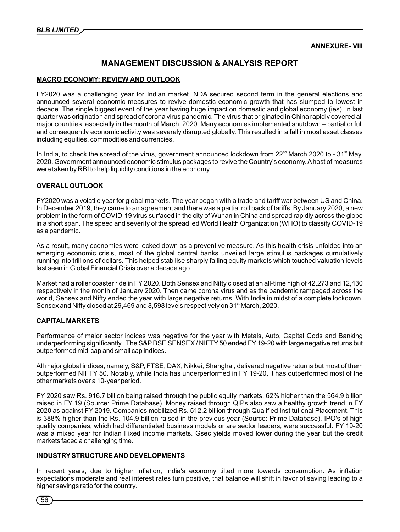# **MANAGEMENT DISCUSSION & ANALYSIS REPORT**

# **MACRO ECONOMY: REVIEW AND OUTLOOK**

FY2020 was a challenging year for Indian market. NDA secured second term in the general elections and announced several economic measures to revive domestic economic growth that has slumped to lowest in decade. The single biggest event of the year having huge impact on domestic and global economy (ies), in last quarter was origination and spread of corona virus pandemic. The virus that originated in China rapidly covered all major countries, especially in the month of March, 2020. Many economies implemented shutdown – partial or full and consequently economic activity was severely disrupted globally. This resulted in a fall in most asset classes including equities, commodities and currencies.

In India, to check the spread of the virus, government announced lockdown from  $22^{nd}$  March 2020 to - 31<sup>st</sup> May, 2020. Government announced economic stimulus packages to revive the Country's economy. Ahost of measures were taken by RBI to help liquidity conditions in the economy.

# **OVERALLOUTLOOK**

FY2020 was a volatile year for global markets. The year began with a trade and tariff war between US and China. In December 2019, they came to an agreement and there was a partial roll back of tariffs. By January 2020, a new problem in the form of COVID-19 virus surfaced in the city of Wuhan in China and spread rapidly across the globe in a short span. The speed and severity of the spread led World Health Organization (WHO) to classify COVID-19 as a pandemic.

As a result, many economies were locked down as a preventive measure. As this health crisis unfolded into an emerging economic crisis, most of the global central banks unveiled large stimulus packages cumulatively running into trillions of dollars. This helped stabilise sharply falling equity markets which touched valuation levels last seen in Global Financial Crisis over a decade ago.

Market had a roller coaster ride in FY 2020. Both Sensex and Nifty closed at an all-time high of 42,273 and 12,430 respectively in the month of January 2020. Then came corona virus and as the pandemic rampaged across the world, Sensex and Nifty ended the year with large negative returns. With India in midst of a complete lockdown, Sensex and Nifty closed at 29,469 and 8,598 levels respectively on 31<sup>st</sup> March, 2020.

#### **CAPITAL MARKETS**

Performance of major sector indices was negative for the year with Metals, Auto, Capital Gods and Banking underperforming significantly. The S&P BSE SENSEX / NIFTY 50 ended FY 19-20 with large negative returns but outperformed mid-cap and small cap indices.

All major global indices, namely, S&P, FTSE, DAX, Nikkei, Shanghai, delivered negative returns but most of them outperformed NIFTY 50. Notably, while India has underperformed in FY 19-20, it has outperformed most of the other markets over a 10-year period.

FY 2020 saw Rs. 916.7 billion being raised through the public equity markets, 62% higher than the 564.9 billion raised in FY 19 (Source: Prime Database). Money raised through QIPs also saw a healthy growth trend in FY 2020 as against FY 2019. Companies mobilized Rs. 512.2 billion through Qualified Institutional Placement. This is 388% higher than the Rs. 104.9 billion raised in the previous year (Source: Prime Database). IPO's of high quality companies, which had differentiated business models or are sector leaders, were successful. FY 19-20 was a mixed year for Indian Fixed income markets. Gsec yields moved lower during the year but the credit markets faced a challenging time.

# **INDUSTRYSTRUCTURE AND DEVELOPMENTS**

In recent years, due to higher inflation, India's economy tilted more towards consumption. As inflation expectations moderate and real interest rates turn positive, that balance will shift in favor of saving leading to a higher savings ratio for the country.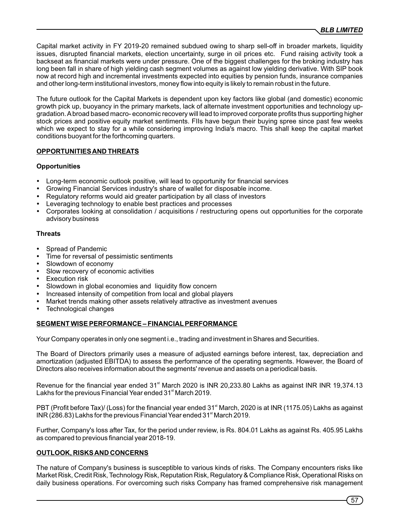Capital market activity in FY 2019-20 remained subdued owing to sharp sell-off in broader markets, liquidity issues, disrupted financial markets, election uncertainty, surge in oil prices etc. Fund raising activity took a backseat as financial markets were under pressure. One of the biggest challenges for the broking industry has long been fall in share of high yielding cash segment volumes as against low yielding derivative. With SIP book now at record high and incremental investments expected into equities by pension funds, insurance companies and other long-term institutional investors, money flow into equity is likely to remain robust in the future.

The future outlook for the Capital Markets is dependent upon key factors like global (and domestic) economic growth pick up, buoyancy in the primary markets, lack of alternate investment opportunities and technology upgradation. A broad based macro- economic recovery will lead to improved corporate profits thus supporting higher stock prices and positive equity market sentiments. FIIs have begun their buying spree since past few weeks which we expect to stay for a while considering improving India's macro. This shall keep the capital market conditions buoyant for the forthcoming quarters.

# **OPPORTUNITIES AND THREATS**

#### **Opportunities**

- Long-term economic outlook positive, will lead to opportunity for financial services
- Growing Financial Services industry's share of wallet for disposable income.
- Regulatory reforms would aid greater participation by all class of investors
- Leveraging technology to enable best practices and processes
- Corporates looking at consolidation / acquisitions / restructuring opens out opportunities for the corporate advisory business

# **Threats**

- Spread of Pandemic
- Time for reversal of pessimistic sentiments
- Slowdown of economy
- Slow recovery of economic activities
- Execution risk
- Slowdown in global economies and liquidity flow concern
- Increased intensity of competition from local and global players
- Market trends making other assets relatively attractive as investment avenues
- Technological changes

#### **SEGMENT WISE PERFORMANCE – FINANCIALPERFORMANCE**

Your Company operates in only one segment i.e., trading and investment in Shares and Securities.

The Board of Directors primarily uses a measure of adjusted earnings before interest, tax, depreciation and amortization (adjusted EBITDA) to assess the performance of the operating segments. However, the Board of Directors also receives information about the segments' revenue and assets on a periodical basis.

Revenue for the financial year ended 31<sup>st</sup> March 2020 is INR 20,233.80 Lakhs as against INR INR 19,374.13 Lakhs for the previous Financial Year ended 31<sup>st</sup> March 2019.

PBT (Profit before Tax)/ (Loss) for the financial year ended 31<sup>st</sup> March, 2020 is at INR (1175.05) Lakhs as against INR (286.83) Lakhs for the previous Financial Year ended  $31<sup>st</sup>$  March 2019.

Further, Company's loss after Tax, for the period under review, is Rs. 804.01 Lakhs as against Rs. 405.95 Lakhs as compared to previous financial year 2018-19.

#### **OUTLOOK, RISKS AND CONCERNS**

The nature of Company's business is susceptible to various kinds of risks. The Company encounters risks like Market Risk, Credit Risk, Technology Risk, Reputation Risk, Regulatory & Compliance Risk, Operational Risks on daily business operations. For overcoming such risks Company has framed comprehensive risk management

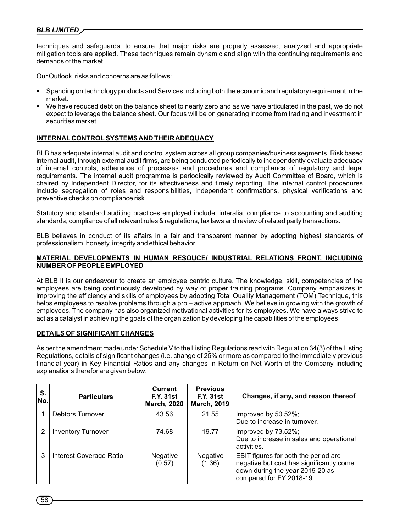# *BLB LIMITED*

techniques and safeguards, to ensure that major risks are properly assessed, analyzed and appropriate mitigation tools are applied. These techniques remain dynamic and align with the continuing requirements and demands of the market.

Our Outlook, risks and concerns are as follows:

- Spending on technology products and Services including both the economic and regulatory requirement in the market.
- We have reduced debt on the balance sheet to nearly zero and as we have articulated in the past, we do not expect to leverage the balance sheet. Our focus will be on generating income from trading and investment in securities market.

# **INTERNAL CONTROLSYSTEMS AND THEIR ADEQUACY**

BLB has adequate internal audit and control system across all group companies/business segments. Risk based internal audit, through external audit firms, are being conducted periodically to independently evaluate adequacy of internal controls, adherence of processes and procedures and compliance of regulatory and legal requirements. The internal audit programme is periodically reviewed by Audit Committee of Board, which is chaired by Independent Director, for its effectiveness and timely reporting. The internal control procedures include segregation of roles and responsibilities, independent confirmations, physical verifications and preventive checks on compliance risk.

Statutory and standard auditing practices employed include, interalia, compliance to accounting and auditing standards, compliance of all relevant rules & regulations, tax laws and review of related party transactions.

BLB believes in conduct of its affairs in a fair and transparent manner by adopting highest standards of professionalism, honesty, integrity and ethical behavior.

#### **MATERIAL DEVELOPMENTS IN HUMAN RESOUCE/ INDUSTRIAL RELATIONS FRONT, INCLUDING NUMBER OF PEOPLE EMPLOYED**

At BLB it is our endeavour to create an employee centric culture. The knowledge, skill, competencies of the employees are being continuously developed by way of proper training programs. Company emphasizes in improving the efficiency and skills of employees by adopting Total Quality Management (TQM) Technique, this helps employees to resolve problems through a pro – active approach. We believe in growing with the growth of employees. The company has also organized motivational activities for its employees. We have always strive to act as a catalyst in achieving the goals of the organization by developing the capabilities of the employees.

## **DETAILS OF SIGNIFICANT CHANGES**

As per the amendment made under Schedule V to the Listing Regulations read with Regulation 34(3) of the Listing Regulations, details of significant changes (i.e. change of 25% or more as compared to the immediately previous financial year) in Key Financial Ratios and any changes in Return on Net Worth of the Company including explanations therefor are given below:

| S.<br>No. | <b>Particulars</b>        | <b>Current</b><br><b>F.Y. 31st</b><br><b>March, 2020</b> | <b>Previous</b><br><b>F.Y. 31st</b><br><b>March, 2019</b> | Changes, if any, and reason thereof                                                                                                             |
|-----------|---------------------------|----------------------------------------------------------|-----------------------------------------------------------|-------------------------------------------------------------------------------------------------------------------------------------------------|
|           | <b>Debtors Turnover</b>   | 43.56                                                    | 21.55                                                     | Improved by 50.52%;<br>Due to increase in turnover.                                                                                             |
| 2         | <b>Inventory Turnover</b> | 74.68                                                    | 19.77                                                     | Improved by 73.52%;<br>Due to increase in sales and operational<br>activities.                                                                  |
| 3         | Interest Coverage Ratio   | Negative<br>(0.57)                                       | Negative<br>(1.36)                                        | EBIT figures for both the period are<br>negative but cost has significantly come<br>down during the year 2019-20 as<br>compared for FY 2018-19. |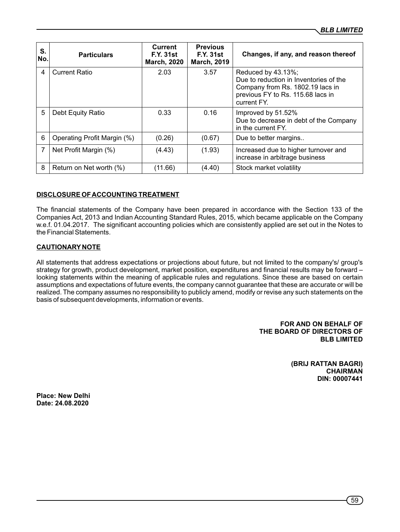| S.<br>No. | <b>Particulars</b>          | <b>Current</b><br><b>F.Y. 31st</b><br><b>March, 2020</b> | <b>Previous</b><br><b>F.Y. 31st</b><br><b>March, 2019</b> | Changes, if any, and reason thereof                                                                                                                  |
|-----------|-----------------------------|----------------------------------------------------------|-----------------------------------------------------------|------------------------------------------------------------------------------------------------------------------------------------------------------|
| 4         | <b>Current Ratio</b>        | 2.03                                                     | 3.57                                                      | Reduced by 43.13%;<br>Due to reduction in Inventories of the<br>Company from Rs. 1802.19 lacs in<br>previous FY to Rs. 115.68 lacs in<br>current FY. |
| 5         | Debt Equity Ratio           | 0.33                                                     | 0.16                                                      | Improved by 51.52%<br>Due to decrease in debt of the Company<br>in the current FY.                                                                   |
| 6         | Operating Profit Margin (%) | (0.26)                                                   | (0.67)                                                    | Due to better margins                                                                                                                                |
|           | Net Profit Margin (%)       | (4.43)                                                   | (1.93)                                                    | Increased due to higher turnover and<br>increase in arbitrage business                                                                               |
| 8         | Return on Net worth (%)     | (11.66)                                                  | (4.40)                                                    | Stock market volatility                                                                                                                              |

#### **DISCLOSURE OF ACCOUNTING TREATMENT**

The financial statements of the Company have been prepared in accordance with the Section 133 of the Companies Act, 2013 and Indian Accounting Standard Rules, 2015, which became applicable on the Company w.e.f. 01.04.2017. The significant accounting policies which are consistently applied are set out in the Notes to the Financial Statements.

# **CAUTIONARY NOTE**

All statements that address expectations or projections about future, but not limited to the company's/ group's strategy for growth, product development, market position, expenditures and financial results may be forward looking statements within the meaning of applicable rules and regulations. Since these are based on certain assumptions and expectations of future events, the company cannot guarantee that these are accurate or will be realized. The company assumes no responsibility to publicly amend, modify or revise any such statements on the basis of subsequent developments, information or events.

> **FOR AND ON BEHALF OF THE BOARD OF DIRECTORS OF BLB LIMITED**

> > **(BRIJ RATTAN BAGRI) CHAIRMAN DIN: 00007441**

**Place: New Delhi Date: 24.08.2020**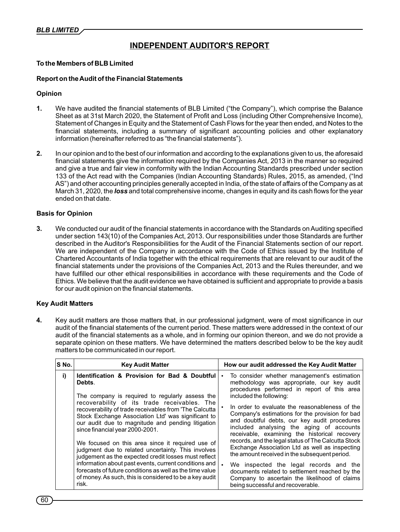# **INDEPENDENT AUDITOR'S REPORT**

#### **To the Members of BLB Limited**

#### **Report on the Audit of the Financial Statements**

#### **Opinion**

- **1.** We have audited the financial statements of BLB Limited ("the Company"), which comprise the Balance Sheet as at 31st March 2020, the Statement of Profit and Loss (including Other Comprehensive Income), Statement of Changes in Equity and the Statement of Cash Flows for the year then ended, and Notes to the financial statements, including a summary of significant accounting policies and other explanatory information (hereinafter referred to as "the financial statements").
- **2.** In our opinion and to the best of our information and according to the explanations given to us, the aforesaid financial statements give the information required by the Companies Act, 2013 in the manner so required and give a true and fair view in conformity with the Indian Accounting Standards prescribed under section 133 of the Act read with the Companies (Indian Accounting Standards) Rules, 2015, as amended, ("Ind AS") and other accounting principles generally accepted in India, of the state of affairs of the Company as at March 31, 2020, the *loss* and total comprehensive income, changes in equity and its cash flows for the year ended on that date.

#### **Basis for Opinion**

**3.** We conducted our audit of the financial statements in accordance with the Standards on Auditing specified under section 143(10) of the Companies Act, 2013. Our responsibilities under those Standards are further described in the Auditor's Responsibilities for the Audit of the Financial Statements section of our report. We are independent of the Company in accordance with the Code of Ethics issued by the Institute of Chartered Accountants of India together with the ethical requirements that are relevant to our audit of the financial statements under the provisions of the Companies Act, 2013 and the Rules thereunder, and we have fulfilled our other ethical responsibilities in accordance with these requirements and the Code of Ethics. We believe that the audit evidence we have obtained is sufficient and appropriate to provide a basis for our audit opinion on the financial statements.

#### **Key Audit Matters**

**4.** Key audit matters are those matters that, in our professional judgment, were of most significance in our audit of the financial statements of the current period. These matters were addressed in the context of our audit of the financial statements as a whole, and in forming our opinion thereon, and we do not provide a separate opinion on these matters. We have determined the matters described below to be the key audit matters to be communicated in our report.

| S No. | <b>Key Audit Matter</b>                                                                                                                                                                              | How our audit addressed the Key Audit Matter                                                                                                                                                                                                   |
|-------|------------------------------------------------------------------------------------------------------------------------------------------------------------------------------------------------------|------------------------------------------------------------------------------------------------------------------------------------------------------------------------------------------------------------------------------------------------|
| i)    | <b>Identification &amp; Provision for Bad &amp; Doubtful</b><br>Debts.<br>The company is required to regularly assess the<br>recoverability of its trade receivables. The                            | To consider whether management's estimation<br>methodology was appropriate, our key audit<br>procedures performed in report of this area<br>included the following:                                                                            |
|       | recoverability of trade receivables from 'The Calcutta<br>Stock Exchange Association Ltd' was significant to<br>our audit due to magnitude and pending litigation<br>since financial year 2000-2001. | In order to evaluate the reasonableness of the<br>Company's estimations for the provision for bad<br>and doubtful debts, our key audit procedures<br>included analysing the aging of accounts<br>receivable, examining the historical recovery |
|       | We focused on this area since it required use of<br>judgment due to related uncertainty. This involves<br>judgement as the expected credit losses must reflect                                       | records, and the legal status of The Calcutta Stock<br>Exchange Association Ltd as well as inspecting<br>the amount received in the subsequent period.                                                                                         |
|       | information about past events, current conditions and<br>forecasts of future conditions as well as the time value<br>of money. As such, this is considered to be a key audit<br>risk.                | We inspected the legal records and the<br>documents related to settlement reached by the<br>Company to ascertain the likelihood of claims<br>being successful and recoverable.                                                                 |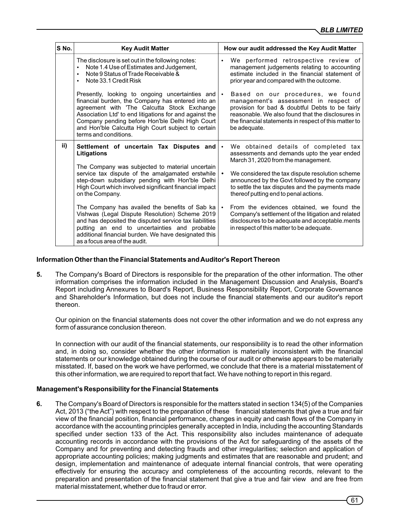| S No. | <b>Key Audit Matter</b>                                                                                                                                                                                                                                                                                                                          | How our audit addressed the Key Audit Matter                                                                                                                                                                                                                |
|-------|--------------------------------------------------------------------------------------------------------------------------------------------------------------------------------------------------------------------------------------------------------------------------------------------------------------------------------------------------|-------------------------------------------------------------------------------------------------------------------------------------------------------------------------------------------------------------------------------------------------------------|
|       | The disclosure is set out in the following notes:<br>Note 1.4 Use of Estimates and Judgement,<br>Note 9 Status of Trade Receivable &<br>$\bullet$<br>Note 33.1 Credit Risk                                                                                                                                                                       | We performed retrospective review of<br>$\bullet$<br>management judgements relating to accounting<br>estimate included in the financial statement of<br>prior year and compared with the outcome.                                                           |
|       | Presently, looking to ongoing uncertainties and<br>financial burden, the Company has entered into an<br>agreement with 'The Calcutta Stock Exchange<br>Association Ltd' to end litigations for and against the<br>Company pending before Hon'ble Delhi High Court<br>and Hon'ble Calcutta High Court subject to certain<br>terms and conditions. | Based on our procedures, we found<br>management's assessment in respect of<br>provision for bad & doubtful Debts to be fairly<br>reasonable. We also found that the disclosures in<br>the financial statements in respect of this matter to<br>be adequate. |
| ii)   | Settlement of uncertain Tax Disputes and<br>Litigations                                                                                                                                                                                                                                                                                          | We obtained details of completed tax<br>$\bullet$<br>assessments and demands upto the year ended<br>March 31, 2020 from the management.                                                                                                                     |
|       | The Company was subjected to material uncertain<br>service tax dispute of the amalgamated erstwhile<br>step-down subsidiary pending with Hon'ble Delhi<br>High Court which involved significant financial impact<br>on the Company.                                                                                                              | We considered the tax dispute resolution scheme<br>announced by the Govt followed by the company<br>to settle the tax disputes and the payments made<br>thereof putting end to penal actions.                                                               |
|       | The Company has availed the benefits of Sab ka<br>Vishwas (Legal Dispute Resolution) Scheme 2019<br>and has deposited the disputed service tax liabilities<br>putting an end to uncertainties and probable<br>additional financial burden. We have designated this<br>as a focus area of the audit.                                              | From the evidences obtained, we found the<br>Company's settlement of the litigation and related<br>disclosures to be adequate and acceptable.ments<br>in respect of this matter to be adequate.                                                             |

# **Information Other than the Financial Statements and Auditor's Report Thereon**

**5.** The Company's Board of Directors is responsible for the preparation of the other information. The other information comprises the information included in the Management Discussion and Analysis, Board's Report including Annexures to Board's Report, Business Responsibility Report, Corporate Governance and Shareholder's Information, but does not include the financial statements and our auditor's report thereon.

Our opinion on the financial statements does not cover the other information and we do not express any form of assurance conclusion thereon.

In connection with our audit of the financial statements, our responsibility is to read the other information and, in doing so, consider whether the other information is materially inconsistent with the financial statements or our knowledge obtained during the course of our audit or otherwise appears to be materially misstated. If, based on the work we have performed, we conclude that there is a material misstatement of this other information, we are required to report that fact. We have nothing to report in this regard.

#### **Management's Responsibility for the Financial Statements**

**6.** The Company's Board of Directors is responsible for the matters stated in section 134(5) of the Companies Act, 2013 ("the Act") with respect to the preparation of these financial statements that give a true and fair view of the financial position, financial performance, changes in equity and cash flows of the Company in accordance with the accounting principles generally accepted in India, including the accounting Standards specified under section 133 of the Act. This responsibility also includes maintenance of adequate accounting records in accordance with the provisions of the Act for safeguarding of the assets of the Company and for preventing and detecting frauds and other irregularities; selection and application of appropriate accounting policies; making judgments and estimates that are reasonable and prudent; and design, implementation and maintenance of adequate internal financial controls, that were operating effectively for ensuring the accuracy and completeness of the accounting records, relevant to the preparation and presentation of the financial statement that give a true and fair view and are free from material misstatement, whether due to fraud or error.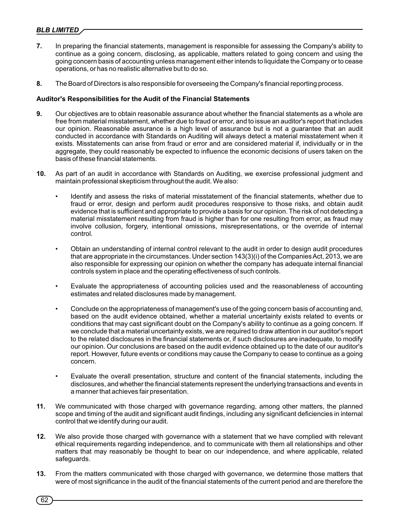- **7.** In preparing the financial statements, management is responsible for assessing the Company's ability to continue as a going concern, disclosing, as applicable, matters related to going concern and using the going concern basis of accounting unless management either intends to liquidate the Company or to cease operations, or has no realistic alternative but to do so.
- **8.** The Board of Directors is also responsible for overseeing the Company's financial reporting process.

#### **Auditor's Responsibilities for the Audit of the Financial Statements**

- **9.** Our objectives are to obtain reasonable assurance about whether the financial statements as a whole are free from material misstatement, whether due to fraud or error, and to issue an auditor's report that includes our opinion. Reasonable assurance is a high level of assurance but is not a guarantee that an audit conducted in accordance with Standards on Auditing will always detect a material misstatement when it exists. Misstatements can arise from fraud or error and are considered material if, individually or in the aggregate, they could reasonably be expected to influence the economic decisions of users taken on the basis of these financial statements.
- **10.** As part of an audit in accordance with Standards on Auditing, we exercise professional judgment and maintain professional skepticism throughout the audit. We also:
	- Identify and assess the risks of material misstatement of the financial statements, whether due to fraud or error, design and perform audit procedures responsive to those risks, and obtain audit evidence that is sufficient and appropriate to provide a basis for our opinion. The risk of not detecting a material misstatement resulting from fraud is higher than for one resulting from error, as fraud may involve collusion, forgery, intentional omissions, misrepresentations, or the override of internal control.
	- Obtain an understanding of internal control relevant to the audit in order to design audit procedures that are appropriate in the circumstances. Under section 143(3)(i) of the Companies Act, 2013, we are also responsible for expressing our opinion on whether the company has adequate internal financial controls system in place and the operating effectiveness of such controls.
	- Evaluate the appropriateness of accounting policies used and the reasonableness of accounting estimates and related disclosures made by management.
	- Conclude on the appropriateness of management's use of the going concern basis of accounting and, based on the audit evidence obtained, whether a material uncertainty exists related to events or conditions that may cast significant doubt on the Company's ability to continue as a going concern. If we conclude that a material uncertainty exists, we are required to draw attention in our auditor's report to the related disclosures in the financial statements or, if such disclosures are inadequate, to modify our opinion. Our conclusions are based on the audit evidence obtained up to the date of our auditor's report. However, future events or conditions may cause the Company to cease to continue as a going concern.
	- Evaluate the overall presentation, structure and content of the financial statements, including the disclosures, and whether the financial statements represent the underlying transactions and events in a manner that achieves fair presentation.
- **11.** We communicated with those charged with governance regarding, among other matters, the planned scope and timing of the audit and significant audit findings, including any significant deficiencies in internal control that we identify during our audit.
- **12.** We also provide those charged with governance with a statement that we have complied with relevant ethical requirements regarding independence, and to communicate with them all relationships and other matters that may reasonably be thought to bear on our independence, and where applicable, related safeguards.
- **13.** From the matters communicated with those charged with governance, we determine those matters that were of most significance in the audit of the financial statements of the current period and are therefore the

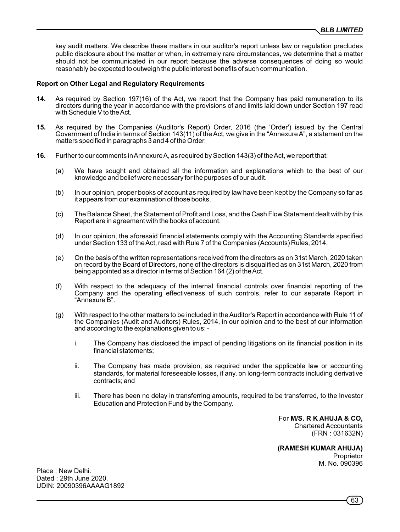key audit matters. We describe these matters in our auditor's report unless law or regulation precludes public disclosure about the matter or when, in extremely rare circumstances, we determine that a matter should not be communicated in our report because the adverse consequences of doing so would reasonably be expected to outweigh the public interest benefits of such communication.

#### **Report on Other Legal and Regulatory Requirements**

- **14.** As required by Section 197(16) of the Act, we report that the Company has paid remuneration to its directors during the year in accordance with the provisions of and limits laid down under Section 197 read with Schedule V to the Act.
- **15.** As required by the Companies (Auditor's Report) Order, 2016 (the 'Order') issued by the Central Government of India in terms of Section 143(11) of the Act, we give in the "Annexure A", a statement on the matters specified in paragraphs 3 and 4 of the Order.
- **16.** Further to our comments in Annexure A, as required by Section 143(3) of the Act, we report that:
	- (a) We have sought and obtained all the information and explanations which to the best of our knowledge and belief were necessary for the purposes of our audit.
	- (b) In our opinion, proper books of account as required by law have been kept by the Company so far as it appears from our examination of those books.
	- (c) The Balance Sheet, the Statement of Profit and Loss, and the Cash Flow Statement dealt with by this Report are in agreement with the books of account.
	- (d) In our opinion, the aforesaid financial statements comply with the Accounting Standards specified under Section 133 of the Act, read with Rule 7 of the Companies (Accounts) Rules, 2014.
	- (e) On the basis of the written representations received from the directors as on 31st March, 2020 taken on record by the Board of Directors, none of the directors is disqualied as on 31st March, 2020 from being appointed as a director in terms of Section 164 (2) of the Act.
	- (f) With respect to the adequacy of the internal financial controls over financial reporting of the Company and the operating effectiveness of such controls, refer to our separate Report in "Annexure B".
	- (g) With respect to the other matters to be included in the Auditor's Report in accordance with Rule 11 of the Companies (Audit and Auditors) Rules, 2014, in our opinion and to the best of our information and according to the explanations given to us:
		- i. The Company has disclosed the impact of pending litigations on its financial position in its financial statements:
		- ii. The Company has made provision, as required under the applicable law or accounting standards, for material foreseeable losses, if any, on long-term contracts including derivative contracts; and
		- iii. There has been no delay in transferring amounts, required to be transferred, to the Investor Education and Protection Fund by the Company.

For **M/S. R K AHUJA & CO,** Chartered Accountants (FRN : 031632N)

**(RAMESH KUMAR AHUJA) Proprietor** M. No. 090396

Place : New Delhi. Dated : 29th June 2020. UDIN: 20090396AAAAG1892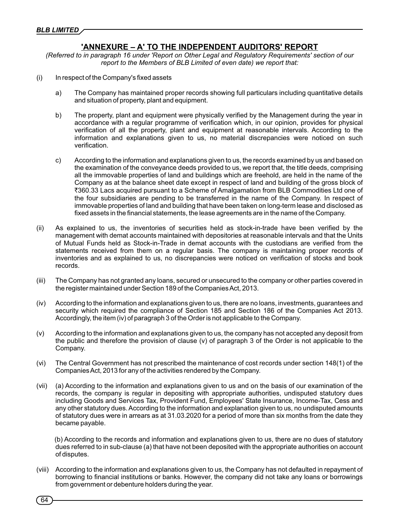# **'ANNEXURE – A' TO THE INDEPENDENT AUDITORS' REPORT**

*(Referred to in paragraph 16 under 'Report on Other Legal and Regulatory Requirements' section of our report to the Members of BLB Limited of even date) we report that:* 

- $(i)$  In respect of the Company's fixed assets
	- a) The Company has maintained proper records showing full particulars including quantitative details and situation of property, plant and equipment.
	- b) The property, plant and equipment were physically verified by the Management during the year in accordance with a regular programme of verification which, in our opinion, provides for physical verification of all the property, plant and equipment at reasonable intervals. According to the information and explanations given to us, no material discrepancies were noticed on such verification.
	- c) According to the information and explanations given to us, the records examined by us and based on the examination of the conveyance deeds provided to us, we report that, the title deeds, comprising all the immovable properties of land and buildings which are freehold, are held in the name of the Company as at the balance sheet date except in respect of land and building of the gross block of `360.33 Lacs acquired pursuant to a Scheme of Amalgamation from BLB Commodities Ltd one of the four subsidiaries are pending to be transferred in the name of the Company. In respect of immovable properties of land and building that have been taken on long-term lease and disclosed as fixed assets in the financial statements, the lease agreements are in the name of the Company.
- (ii) As explained to us, the inventories of securities held as stock-in-trade have been verified by the management with demat accounts maintained with depositories at reasonable intervals and that the Units of Mutual Funds held as Stock-in-Trade in demat accounts with the custodians are verified from the statements received from them on a regular basis. The company is maintaining proper records of inventories and as explained to us, no discrepancies were noticed on verification of stocks and book records.
- (iii) The Company has not granted any loans, secured or unsecured to the company or other parties covered in the register maintained under Section 189 of the Companies Act, 2013.
- (iv) According to the information and explanations given to us, there are no loans, investments, guarantees and security which required the compliance of Section 185 and Section 186 of the Companies Act 2013. Accordingly, the item (iv) of paragraph 3 of the Order is not applicable to the Company.
- (v) According to the information and explanations given to us, the company has not accepted any deposit from the public and therefore the provision of clause (v) of paragraph 3 of the Order is not applicable to the Company.
- (vi) The Central Government has not prescribed the maintenance of cost records under section 148(1) of the Companies Act, 2013 for any of the activities rendered by the Company.
- (vii) (a) According to the information and explanations given to us and on the basis of our examination of the records, the company is regular in depositing with appropriate authorities, undisputed statutory dues including Goods and Services Tax, Provident Fund, Employees' State Insurance, Income-Tax, Cess and any other statutory dues. According to the information and explanation given to us, no undisputed amounts of statutory dues were in arrears as at 31.03.2020 for a period of more than six months from the date they became payable.

(b) According to the records and information and explanations given to us, there are no dues of statutory dues referred to in sub-clause (a) that have not been deposited with the appropriate authorities on account of disputes.

(viii) According to the information and explanations given to us, the Company has not defaulted in repayment of borrowing to financial institutions or banks. However, the company did not take any loans or borrowings from government or debenture holders during the year.

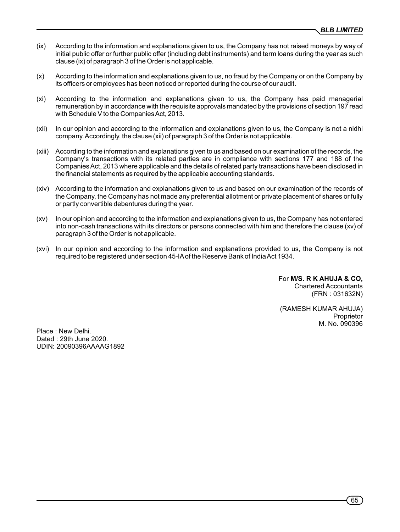- (ix) According to the information and explanations given to us, the Company has not raised moneys by way of initial public offer or further public offer (including debt instruments) and term loans during the year as such clause (ix) of paragraph 3 of the Order is not applicable.
- (x) According to the information and explanations given to us, no fraud by the Company or on the Company by its officers or employees has been noticed or reported during the course of our audit.
- (xi) According to the information and explanations given to us, the Company has paid managerial remuneration by in accordance with the requisite approvals mandated by the provisions of section 197 read with Schedule V to the Companies Act, 2013.
- (xii) In our opinion and according to the information and explanations given to us, the Company is not a nidhi company. Accordingly, the clause (xii) of paragraph 3 of the Order is not applicable.
- (xiii) According to the information and explanations given to us and based on our examination of the records, the Company's transactions with its related parties are in compliance with sections 177 and 188 of the Companies Act, 2013 where applicable and the details of related party transactions have been disclosed in the financial statements as required by the applicable accounting standards.
- (xiv) According to the information and explanations given to us and based on our examination of the records of the Company, the Company has not made any preferential allotment or private placement of shares or fully or partly convertible debentures during the year.
- (xv) In our opinion and according to the information and explanations given to us, the Company has not entered into non-cash transactions with its directors or persons connected with him and therefore the clause (xv) of paragraph 3 of the Order is not applicable.
- (xvi) In our opinion and according to the information and explanations provided to us, the Company is not required to be registered under section 45-IAof the Reserve Bank of India Act 1934.

For **M/S. R K AHUJA & CO,** Chartered Accountants (FRN : 031632N)

(RAMESH KUMAR AHUJA) Proprietor M. No. 090396

Place : New Delhi. Dated : 29th June 2020. UDIN: 20090396AAAAG1892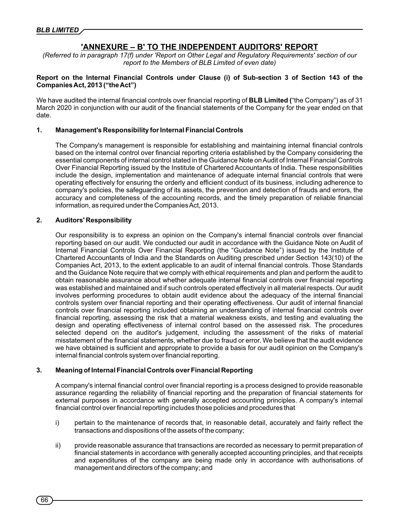# **'ANNEXURE – B' TO THE INDEPENDENT AUDITORS' REPORT**

*(Referred to in paragraph 17(f) under 'Report on Other Legal and Regulatory Requirements' section of our report to the Members of BLB Limited of even date)* 

#### **Report on the Internal Financial Controls under Clause (i) of Sub-section 3 of Section 143 of the Companies Act, 2013 ("the Act")**

We have audited the internal financial controls over financial reporting of **BLB Limited** ("the Company") as of 31 March 2020 in conjunction with our audit of the financial statements of the Company for the year ended on that date.

# **1. Management's Responsibility for Internal Financial Controls**

The Company's management is responsible for establishing and maintaining internal financial controls based on the internal control over financial reporting criteria established by the Company considering the essential components of internal control stated in the Guidance Note on Audit of Internal Financial Controls Over Financial Reporting issued by the Institute of Chartered Accountants of India. These responsibilities include the design, implementation and maintenance of adequate internal financial controls that were operating effectively for ensuring the orderly and efcient conduct of its business, including adherence to company's policies, the safeguarding of its assets, the prevention and detection of frauds and errors, the accuracy and completeness of the accounting records, and the timely preparation of reliable financial information, as required under the Companies Act, 2013.

# **2. Auditors' Responsibility**

Our responsibility is to express an opinion on the Company's internal financial controls over financial reporting based on our audit. We conducted our audit in accordance with the Guidance Note on Audit of Internal Financial Controls Over Financial Reporting (the "Guidance Note") issued by the Institute of Chartered Accountants of India and the Standards on Auditing prescribed under Section 143(10) of the Companies Act, 2013, to the extent applicable to an audit of internal financial controls. Those Standards and the Guidance Note require that we comply with ethical requirements and plan and perform the audit to obtain reasonable assurance about whether adequate internal financial controls over financial reporting was established and maintained and if such controls operated effectively in all material respects. Our audit involves performing procedures to obtain audit evidence about the adequacy of the internal financial controls system over financial reporting and their operating effectiveness. Our audit of internal financial controls over financial reporting included obtaining an understanding of internal financial controls over financial reporting, assessing the risk that a material weakness exists, and testing and evaluating the design and operating effectiveness of internal control based on the assessed risk. The procedures selected depend on the auditor's judgement, including the assessment of the risks of material misstatement of the financial statements, whether due to fraud or error. We believe that the audit evidence we have obtained is sufficient and appropriate to provide a basis for our audit opinion on the Company's internal financial controls system over financial reporting.

#### **3. Meaning of Internal Financial Controls over Financial Reporting**

A company's internal financial control over financial reporting is a process designed to provide reasonable assurance regarding the reliability of financial reporting and the preparation of financial statements for external purposes in accordance with generally accepted accounting principles. A company's internal financial control over financial reporting includes those policies and procedures that

- i) pertain to the maintenance of records that, in reasonable detail, accurately and fairly reflect the transactions and dispositions of the assets of the company;
- ii) provide reasonable assurance that transactions are recorded as necessary to permit preparation of financial statements in accordance with generally accepted accounting principles, and that receipts and expenditures of the company are being made only in accordance with authorisations of management and directors of the company; and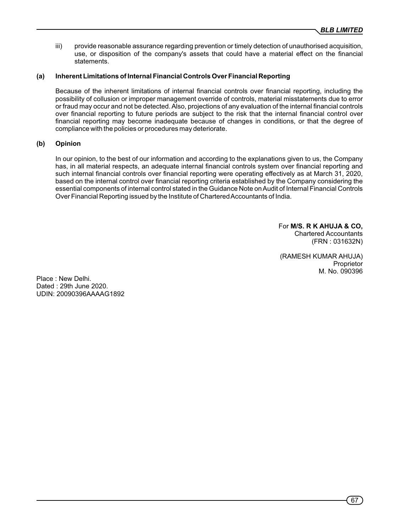iii) provide reasonable assurance regarding prevention or timely detection of unauthorised acquisition, use, or disposition of the company's assets that could have a material effect on the financial statements.

## **(a) Inherent Limitations of Internal Financial Controls Over Financial Reporting**

Because of the inherent limitations of internal financial controls over financial reporting, including the possibility of collusion or improper management override of controls, material misstatements due to error or fraud may occur and not be detected. Also, projections of any evaluation of the internal financial controls over financial reporting to future periods are subject to the risk that the internal financial control over financial reporting may become inadequate because of changes in conditions, or that the degree of compliance with the policies or procedures may deteriorate.

#### **(b) Opinion**

In our opinion, to the best of our information and according to the explanations given to us, the Company has, in all material respects, an adequate internal financial controls system over financial reporting and such internal financial controls over financial reporting were operating effectively as at March 31, 2020, based on the internal control over financial reporting criteria established by the Company considering the essential components of internal control stated in the Guidance Note on Audit of Internal Financial Controls Over Financial Reporting issued by the Institute of Chartered Accountants of India.

> For **M/S. R K AHUJA & CO,** Chartered Accountants (FRN : 031632N)

(RAMESH KUMAR AHUJA) **Proprietor** M. No. 090396

Place : New Delhi. Dated : 29th June 2020. UDIN: 20090396AAAAG1892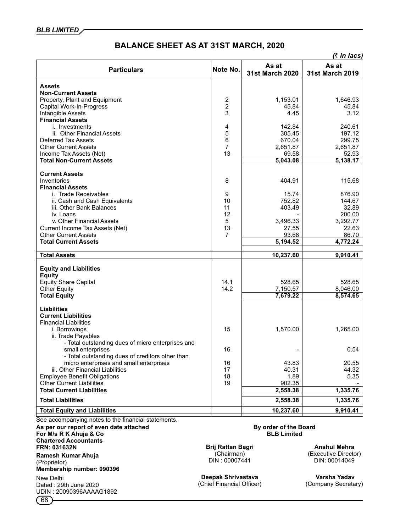|                                                                      |          |                                             | (₹ in lacs)                     |
|----------------------------------------------------------------------|----------|---------------------------------------------|---------------------------------|
| <b>Particulars</b>                                                   | Note No. | As at<br><b>31st March 2020</b>             | As at<br><b>31st March 2019</b> |
| Assets                                                               |          |                                             |                                 |
| <b>Non-Current Assets</b>                                            |          |                                             |                                 |
| Property, Plant and Equipment                                        | 2        | 1,153.01                                    | 1,646.93                        |
| Capital Work-In-Progress                                             | 2        | 45.84                                       | 45.84                           |
| Intangible Assets                                                    | 3        | 4.45                                        | 3.12                            |
| <b>Financial Assets</b>                                              |          |                                             |                                 |
| i. Investments                                                       | 4        | 142.84                                      | 240.61                          |
| ii. Other Financial Assets                                           | 5        | 305.45                                      | 197.12                          |
| Deferred Tax Assets                                                  | 6        | 670.04                                      | 299.75                          |
| <b>Other Current Assets</b>                                          | 7        | 2,651.87                                    | 2,651.87                        |
| Income Tax Assets (Net)                                              | 13       | 69.58                                       | 52.93                           |
| <b>Total Non-Current Assets</b>                                      |          | 5,043.08                                    | 5,138.17                        |
| <b>Current Assets</b>                                                |          |                                             |                                 |
| Inventories                                                          | 8        | 404.91                                      | 115.68                          |
| <b>Financial Assets</b>                                              |          |                                             |                                 |
| i. Trade Receivables                                                 | 9        | 15.74                                       | 876.90                          |
| ii. Cash and Cash Equivalents                                        | 10       | 752.82                                      | 144.67                          |
| iii. Other Bank Balances                                             | 11       | 403.49                                      | 32.89                           |
| iv. Loans                                                            | 12       |                                             | 200.00                          |
| v. Other Financial Assets                                            | 5        | 3,496.33                                    | 3,292.77                        |
| Current Income Tax Assets (Net)                                      | 13       | 27.55                                       | 22.63                           |
| <b>Other Current Assets</b>                                          | 7        | 93.68                                       | 86.70                           |
| <b>Total Current Assets</b>                                          |          | 5,194.52                                    | 4,772.24                        |
|                                                                      |          |                                             |                                 |
| <b>Total Assets</b>                                                  |          | 10,237.60                                   | 9,910.41                        |
| <b>Equity and Liabilities</b>                                        |          |                                             |                                 |
| <b>Equity</b>                                                        |          |                                             |                                 |
| <b>Equity Share Capital</b>                                          | 14.1     | 528.65                                      | 528.65                          |
| <b>Other Equity</b>                                                  | 14.2     | 7,150.57                                    | 8,046.00                        |
| <b>Total Equity</b>                                                  |          | 7,679.22                                    | 8,574.65                        |
|                                                                      |          |                                             |                                 |
| Liabilities                                                          |          |                                             |                                 |
| <b>Current Liabilities</b>                                           |          |                                             |                                 |
| <b>Financial Liabilities</b>                                         |          |                                             |                                 |
| i. Borrowings                                                        | 15       | 1,570.00                                    | 1,265.00                        |
| ii. Trade Payables                                                   |          |                                             |                                 |
| - Total outstanding dues of micro enterprises and                    |          |                                             |                                 |
| small enterprises                                                    | 16       |                                             | 0.54                            |
| - Total outstanding dues of creditors other than                     |          |                                             |                                 |
| micro enterprises and small enterprises                              | 16       | 43.83                                       | 20.55                           |
| iii. Other Financial Liabilities                                     | 17       | 40.31                                       | 44.32                           |
| <b>Employee Benefit Obligations</b>                                  | 18       | 1.89                                        | 5.35                            |
| <b>Other Current Liabilities</b>                                     | 19       | 902.35                                      |                                 |
| <b>Total Current Liabilities</b>                                     |          | 2,558.38                                    | 1,335.76                        |
| <b>Total Liabilities</b>                                             |          | 2,558.38                                    | 1,335.76                        |
| <b>Total Equity and Liabilities</b>                                  |          | 10,237.60                                   | 9,910.41                        |
| See accompanying notes to the financial statements.                  |          |                                             |                                 |
| As per our report of even date attached<br>$For M/c$ D K Abuja 8 Co. |          | By order of the Board<br><b>DID</b> Limited |                                 |

# **BALANCE SHEET AS AT 31ST MARCH, 2020**

**For M/s R K Ahuja & Co Chartered Accountants FRN: 031632N Ramesh Kumar Ahuja**  (Proprietor) **Membership number: 090396** New Delhi Dated : 29th June 2020 UDIN : 20090396AAAAG1892

# **BLB Limited**

**Brij Rattan Bagri**  (Chairman) DIN : 00007441

**Deepak Shrivastava**  (Chief Financial Officer)

**Anshul Mehra** (Executive Director) DIN: 00014049

 **Varsha Yadav**  (Company Secretary)

 $(68)$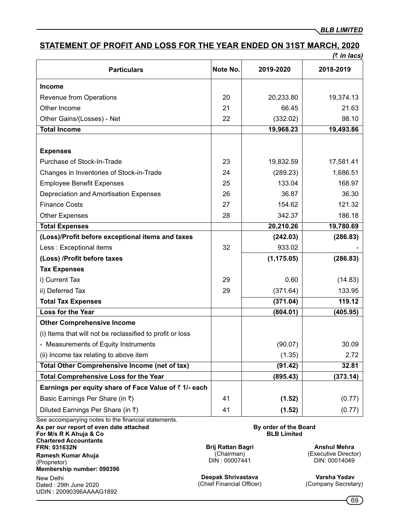# **STATEMENT OF PROFIT AND LOSS FOR THE YEAR ENDED ON 31ST MARCH, 2020**

|                                                                                                                          |          |                                             | (रै in lacs) |
|--------------------------------------------------------------------------------------------------------------------------|----------|---------------------------------------------|--------------|
| <b>Particulars</b>                                                                                                       | Note No. | 2019-2020                                   | 2018-2019    |
| <b>Income</b>                                                                                                            |          |                                             |              |
| Revenue from Operations                                                                                                  | 20       | 20,233.80                                   | 19,374.13    |
| Other Income                                                                                                             | 21       | 66.45                                       | 21.63        |
| Other Gains/(Losses) - Net                                                                                               | 22       | (332.02)                                    | 98.10        |
| <b>Total Income</b>                                                                                                      |          | 19,968.23                                   | 19,493.86    |
|                                                                                                                          |          |                                             |              |
| <b>Expenses</b>                                                                                                          |          |                                             |              |
| Purchase of Stock-In-Trade                                                                                               | 23       | 19,832.59                                   | 17,581.41    |
| Changes in Inventories of Stock-in-Trade                                                                                 | 24       | (289.23)                                    | 1,686.51     |
| <b>Employee Benefit Expenses</b>                                                                                         | 25       | 133.04                                      | 168.97       |
| Depreciation and Amortisation Expenses                                                                                   | 26       | 36.87                                       | 36.30        |
| <b>Finance Costs</b>                                                                                                     | 27       | 154.62                                      | 121.32       |
| <b>Other Expenses</b>                                                                                                    | 28       | 342.37                                      | 186.18       |
| <b>Total Expenses</b>                                                                                                    |          | 20,210.26                                   | 19,780.69    |
| (Loss)/Profit before exceptional items and taxes                                                                         |          | (242.03)                                    | (286.83)     |
| Less : Exceptional items                                                                                                 | 32       | 933.02                                      |              |
| (Loss) /Profit before taxes                                                                                              |          | (1, 175.05)                                 | (286.83)     |
| <b>Tax Expenses</b>                                                                                                      |          |                                             |              |
| i) Current Tax                                                                                                           | 29       | 0.60                                        | (14.83)      |
| ii) Deferred Tax                                                                                                         | 29       | (371.64)                                    | 133.95       |
| <b>Total Tax Expenses</b>                                                                                                |          | (371.04)                                    | 119.12       |
| Loss for the Year                                                                                                        |          | (804.01)                                    | (405.95)     |
| <b>Other Comprehensive Income</b>                                                                                        |          |                                             |              |
| (i) Items that will not be reclassified to profit or loss                                                                |          |                                             |              |
| - Measurements of Equity Instruments                                                                                     |          | (90.07)                                     | 30.09        |
| (ii) Income tax relating to above item                                                                                   |          | (1.35)                                      | 2.72         |
| <b>Total Other Comprehensive Income (net of tax)</b>                                                                     |          | (91.42)                                     | 32.81        |
| <b>Total Comprehensive Loss for the Year</b>                                                                             |          | (895.43)                                    | (373.14)     |
| Earnings per equity share of Face Value of ₹1/- each                                                                     |          |                                             |              |
| Basic Earnings Per Share (in ₹)                                                                                          | 41       | (1.52)                                      | (0.77)       |
| Diluted Earnings Per Share (in ₹)                                                                                        | 41       | (1.52)                                      | (0.77)       |
| See accompanying notes to the financial statements.<br>As per our report of even date attached<br>For M/s R K Ahuja & Co |          | By order of the Board<br><b>BLB Limited</b> |              |

**For M/s R K Ahuja & Co Chartered Accountants FRN: 031632N Ramesh Kumar Ahuja**  (Proprietor) **Membership number: 090396** New Delhi

Dated : 29th June 2020 UDIN : 20090396AAAAG1892 **Brij Rattan Bagri** 

(Chairman) DIN : 00007441

**Deepak Shrivastava**  (Chief Financial Officer)

**Anshul Mehra** (Executive Director) DIN: 00014049

 **Varsha Yadav**  (Company Secretary)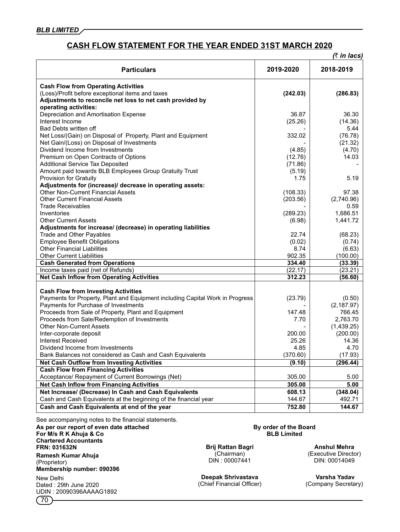# **CASH FLOW STATEMENT FOR THE YEAR ENDED 31ST MARCH 2020**

|                                                                               |                  | $(3 \nmid n \text{ lacs})$ |
|-------------------------------------------------------------------------------|------------------|----------------------------|
| <b>Particulars</b>                                                            | 2019-2020        | 2018-2019                  |
| <b>Cash Flow from Operating Activities</b>                                    |                  |                            |
| (Loss)/Profit before exceptional items and taxes                              | (242.03)         | (286.83)                   |
| Adjustments to reconcile net loss to net cash provided by                     |                  |                            |
| operating activities:                                                         |                  |                            |
| Depreciation and Amortisation Expense                                         | 36.87            | 36.30                      |
| Interest Income                                                               | (25.26)          | (14.36)                    |
| Bad Debts written off                                                         |                  | 5.44                       |
| Net Loss/(Gain) on Disposal of Property, Plant and Equipment                  | 332.02           | (76.78)                    |
| Net Gain/(Loss) on Disposal of Investments                                    |                  | (21.32)                    |
| Dividend Income from Investments                                              | (4.85)           | (4.70)                     |
| Premium on Open Contracts of Options                                          | (12.76)          | 14.03                      |
| <b>Additional Service Tax Deposited</b>                                       | (71.86)          |                            |
| Amount paid towards BLB Employees Group Gratuity Trust                        | (5.19)           |                            |
| <b>Provision for Gratuity</b>                                                 | 1.75             | 5.19                       |
| Adjustments for (increase)/ decrease in operating assets:                     |                  |                            |
| <b>Other Non-Current Financial Assets</b>                                     | (108.33)         | 97.38                      |
| <b>Other Current Financial Assets</b>                                         | (203.56)         | (2,740.96)                 |
| Trade Receivables                                                             |                  | 0.59                       |
| Inventories                                                                   | (289.23)         | 1,686.51                   |
| <b>Other Current Assets</b>                                                   | (6.98)           | 1,441.72                   |
| Adjustments for increase/ (decrease) in operating liabilities                 |                  |                            |
| <b>Trade and Other Payables</b>                                               | 22.74            | (68.23)                    |
| <b>Employee Benefit Obligations</b>                                           | (0.02)           | (0.74)                     |
| <b>Other Financial Liabilities</b>                                            | 8.74             | (6.63)                     |
| <b>Other Current Liabilities</b><br><b>Cash Generated from Operations</b>     | 902.35<br>334.40 | (100.00)                   |
| Income taxes paid (net of Refunds)                                            | (22.17)          | (33.39)<br>(23.21)         |
| <b>Net Cash Inflow from Operating Activities</b>                              | 312.23           | (56.60)                    |
|                                                                               |                  |                            |
| <b>Cash Flow from Investing Activities</b>                                    |                  |                            |
| Payments for Property, Plant and Equipment including Capital Work in Progress | (23.79)          | (0.50)                     |
| Payments for Purchase of Investments                                          |                  | (2, 187.97)                |
| Proceeds from Sale of Property, Plant and Equipment                           | 147.48           | 766.45                     |
| Proceeds from Sale/Redemption of Investments                                  | 7.70             | 2,763.70                   |
| <b>Other Non-Current Assets</b>                                               |                  | (1,439.25)                 |
| Inter-corporate deposit                                                       | 200.00           | (200.00)                   |
| <b>Interest Received</b>                                                      | 25.26            | 14.36                      |
| Dividend Income from Investments                                              | 4.85             | 4.70                       |
| Bank Balances not considered as Cash and Cash Equivalents                     | (370.60)         | (17.93)                    |
| <b>Net Cash Outflow from Investing Activities</b>                             | (9.10)           | (296.44)                   |
| <b>Cash Flow from Financing Activities</b>                                    |                  |                            |
| Acceptance/ Repayment of Current Borrowings (Net)                             | 305.00           | 5.00                       |
| <b>Net Cash Inflow from Financing Activities</b>                              | 305.00           | 5.00                       |
| Net Increase/ (Decrease) In Cash and Cash Equivalents                         | 608.13           | (348.04)                   |
| Cash and Cash Equivalents at the beginning of the financial year              | 144.67           | 492.71                     |
| Cash and Cash Equivalents at end of the year                                  | 752.80           | 144.67                     |

See accompanying notes to the financial statements. **As per our report of even date attached For M/s R K Ahuja & Co Chartered Accountants FRN: 031632N Ramesh Kumar Ahuja**  (Proprietor) **Membership number: 090396**

 $(70)$ New Delhi Dated : 29th June 2020 UDIN : 20090396AAAAG1892

#### **By order of the Board BLB Limited**

**Brij Rattan Bagri**  (Chairman) DIN : 00007441

**Deepak Shrivastava**  (Chief Financial Officer)

**Anshul Mehra** (Executive Director) DIN: 00014049

 **Varsha Yadav**  (Company Secretary)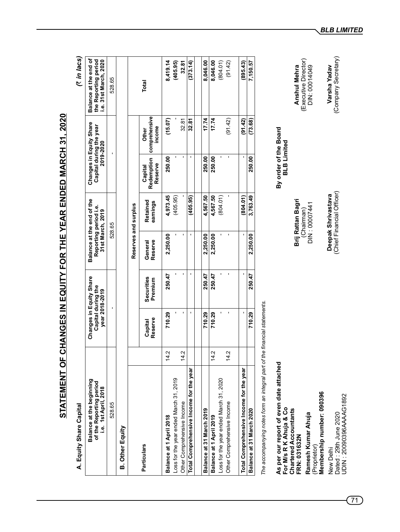| A. Equity Share Capital                                                     |      |                       |                                                                 |                      |                                                                        |                                             |                                                                 | (₹ in lacs)                                                            |
|-----------------------------------------------------------------------------|------|-----------------------|-----------------------------------------------------------------|----------------------|------------------------------------------------------------------------|---------------------------------------------|-----------------------------------------------------------------|------------------------------------------------------------------------|
| Balance at the beginning<br>of the Reporting period<br>i.e. 1st April, 2018 |      |                       | Changes in Equity Share<br>Capital during the<br>year 2018-2019 |                      | Balance at the end of the<br>Reporting period i.e.<br>31st March, 2019 |                                             | Changes in Equity Share<br>Capital during the year<br>2019-2020 | Balance at the end of<br>the Reporting period<br>i.e. 31st March, 2020 |
| 528.65                                                                      |      |                       |                                                                 |                      | 528.65                                                                 |                                             |                                                                 | 528.65                                                                 |
| <b>B. Other Equity</b>                                                      |      |                       |                                                                 |                      |                                                                        |                                             |                                                                 |                                                                        |
|                                                                             |      |                       |                                                                 | Reserves and surplus |                                                                        |                                             |                                                                 |                                                                        |
| Particulars                                                                 |      | Reserve<br>Capital    | Securities<br>Premium                                           | Reserve<br>General   | Retained<br>earnings                                                   | Redemption<br>Reserve<br>Capital            | comprehensive<br>income<br>Other                                | Total                                                                  |
| Balance at 1 April 2018                                                     | 14.2 | 710.29                | 250.47                                                          | 2,250.00             | 4,973.45                                                               | 250.00                                      | (15.07)                                                         | 8,419.14                                                               |
| Loss for the year ended March 31, 2019                                      |      |                       |                                                                 |                      | (405.95)                                                               |                                             |                                                                 | (405.95)                                                               |
| Other Comprehensive Income                                                  | 14.2 |                       |                                                                 |                      |                                                                        |                                             | 32.81                                                           | 32.81                                                                  |
| Total Comprehensive Income for the year                                     |      | $\blacksquare$        | $\blacksquare$                                                  | ı                    | (405.95)                                                               | ı                                           | 32.81                                                           | (373.14)                                                               |
| Balance at 31 March 2019                                                    |      | 710.29                | 250.47                                                          | 2,250.00             | 4,567.50                                                               | 250.00                                      | 17.74                                                           | 8,046.00                                                               |
|                                                                             |      |                       |                                                                 |                      |                                                                        |                                             |                                                                 |                                                                        |
| Loss for the year ended March 31, 2020<br>Balance at 1 April 2019           | 14.2 | 710.29                | 250.47                                                          | 2,250.00             | (804.01)<br>4,567.50                                                   | 250.00                                      | 17.74                                                           | 8,046.00<br>(804.01)                                                   |
| Other Comprehensive Income                                                  | 14.2 |                       |                                                                 |                      |                                                                        |                                             | (91.42)                                                         | (91.42)                                                                |
| Total Comprehensive Income for the year                                     |      |                       |                                                                 |                      | (804.01)                                                               |                                             | (91.42)                                                         | (895.43)                                                               |
| Balance at 31 March 2020                                                    |      | 710.29                | 250.47                                                          | 2,250.00             | 3,763.49                                                               | 250.00                                      | (73.68)                                                         | 7,150.57                                                               |
| The accompanying notes form an integral part of the                         |      | financial statements. |                                                                 |                      |                                                                        |                                             |                                                                 |                                                                        |
| As per our report of even date attached<br>For M/s R K Ahuja & Co           |      |                       |                                                                 |                      |                                                                        | By order of the Board<br><b>BLB Limited</b> |                                                                 |                                                                        |
| <b>Chartered Accountants</b><br>FRN: 031632N                                |      |                       |                                                                 |                      | Brij Rattan Bagri                                                      |                                             |                                                                 | Anshul Mehra                                                           |
| Membership number: 090396<br>Ramesh Kumar Ahuja<br>(Proprietor)             |      |                       |                                                                 |                      | DIN : 00007441<br>Chairman)                                            |                                             |                                                                 | (Executive Director)<br>DIN: 00014049                                  |
| Dated : 29th June 2020<br>UDIN : 20090396AAAAG1892<br>New Delhi             |      |                       |                                                                 |                      | (Chief Financial Officer)<br>Deepak Shrivastava                        |                                             |                                                                 | (Company Secretary)<br>Varsha Yadav                                    |

 $\overline{71}$ 

Dated : 29th June 2020 DDIN : 20090309002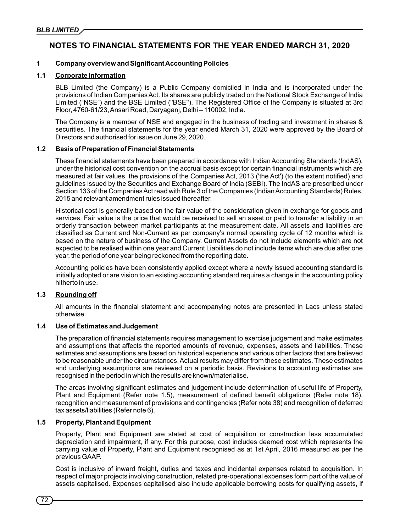# **NOTES TO FINANCIAL STATEMENTS FOR THE YEAR ENDED MARCH 31, 2020**

# 1 Company overview and Significant Accounting Policies

#### **1.1 Corporate Information**

BLB Limited (the Company) is a Public Company domiciled in India and is incorporated under the provisions of Indian Companies Act. Its shares are publicly traded on the National Stock Exchange of India Limited ("NSE") and the BSE Limited ("BSE"). The Registered Office of the Company is situated at 3rd Floor, 4760-61/23, Ansari Road, Daryaganj, Delhi – 110002, India.

The Company is a member of NSE and engaged in the business of trading and investment in shares & securities. The financial statements for the year ended March 31, 2020 were approved by the Board of Directors and authorised for issue on June 29, 2020.

#### **1.2 Basis of Preparation of Financial Statements**

These financial statements have been prepared in accordance with Indian Accounting Standards (IndAS), under the historical cost convention on the accrual basis except for certain nancial instruments which are measured at fair values, the provisions of the Companies Act, 2013 ('the Act') (to the extent notified) and guidelines issued by the Securities and Exchange Board of India (SEBI). The IndAS are prescribed under Section 133 of the Companies Act read with Rule 3 of the Companies (Indian Accounting Standards) Rules, 2015 and relevant amendment rules issued thereafter.

Historical cost is generally based on the fair value of the consideration given in exchange for goods and services. Fair value is the price that would be received to sell an asset or paid to transfer a liability in an orderly transaction between market participants at the measurement date. All assets and liabilities are classified as Current and Non-Current as per company's normal operating cycle of 12 months which is based on the nature of business of the Company. Current Assets do not include elements which are not expected to be realised within one year and Current Liabilities do not include items which are due after one year, the period of one year being reckoned from the reporting date.

Accounting policies have been consistently applied except where a newly issued accounting standard is initially adopted or are vision to an existing accounting standard requires a change in the accounting policy hitherto in use.

#### **1.3 Rounding off**

All amounts in the financial statement and accompanying notes are presented in Lacs unless stated otherwise.

#### **1.4 Use of Estimates and Judgement**

The preparation of financial statements requires management to exercise judgement and make estimates and assumptions that affects the reported amounts of revenue, expenses, assets and liabilities. These estimates and assumptions are based on historical experience and various other factors that are believed to be reasonable under the circumstances. Actual results may differ from these estimates. These estimates and underlying assumptions are reviewed on a periodic basis. Revisions to accounting estimates are recognised in the period in which the results are known/materialise.

The areas involving significant estimates and judgement include determination of useful life of Property, Plant and Equipment (Refer note 1.5), measurement of defined benefit obligations (Refer note 18), recognition and measurement of provisions and contingencies (Refer note 38) and recognition of deferred tax assets/liabilities (Refer note 6).

#### **1.5 Property, Plant and Equipment**

Property, Plant and Equipment are stated at cost of acquisition or construction less accumulated depreciation and impairment, if any. For this purpose, cost includes deemed cost which represents the carrying value of Property, Plant and Equipment recognised as at 1st April, 2016 measured as per the previous GAAP.

Cost is inclusive of inward freight, duties and taxes and incidental expenses related to acquisition. In respect of major projects involving construction, related pre-operational expenses form part of the value of assets capitalised. Expenses capitalised also include applicable borrowing costs for qualifying assets, if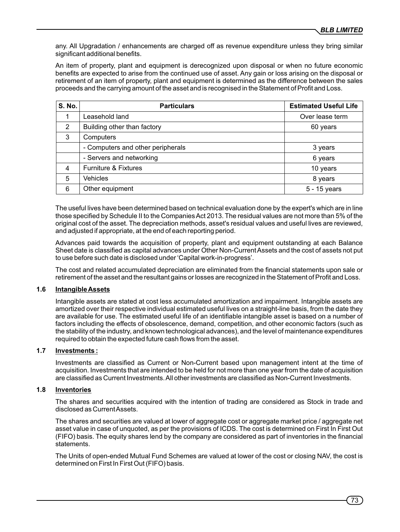any. All Upgradation / enhancements are charged off as revenue expenditure unless they bring similar significant additional benefits.

An item of property, plant and equipment is derecognized upon disposal or when no future economic benefits are expected to arise from the continued use of asset. Any gain or loss arising on the disposal or retirement of an item of property, plant and equipment is determined as the difference between the sales proceeds and the carrying amount of the asset and is recognised in the Statement of Profit and Loss.

| <b>S. No.</b>  | <b>Particulars</b>                | <b>Estimated Useful Life</b> |
|----------------|-----------------------------------|------------------------------|
|                | Leasehold land                    | Over lease term              |
| 2              | Building other than factory       | 60 years                     |
| 3              | Computers                         |                              |
|                | - Computers and other peripherals | 3 years                      |
|                | - Servers and networking          | 6 years                      |
| $\overline{4}$ | <b>Furniture &amp; Fixtures</b>   | 10 years                     |
| 5              | Vehicles                          | 8 years                      |
| 6              | Other equipment                   | 5 - 15 years                 |

The useful lives have been determined based on technical evaluation done by the expert's which are in line those specified by Schedule II to the Companies Act 2013. The residual values are not more than 5% of the original cost of the asset. The depreciation methods, asset's residual values and useful lives are reviewed, and adjusted if appropriate, at the end of each reporting period.

Advances paid towards the acquisition of property, plant and equipment outstanding at each Balance Sheet date is classified as capital advances under Other Non-Current Assets and the cost of assets not put to use before such date is disclosed under 'Capital work-in-progress'.

The cost and related accumulated depreciation are eliminated from the financial statements upon sale or retirement of the asset and the resultant gains or losses are recognized in the Statement of Profit and Loss.

#### **1.6 Intangible Assets**

Intangible assets are stated at cost less accumulated amortization and impairment. Intangible assets are amortized over their respective individual estimated useful lives on a straight-line basis, from the date they are available for use. The estimated useful life of an identifiable intangible asset is based on a number of factors including the effects of obsolescence, demand, competition, and other economic factors (such as the stability of the industry, and known technological advances), and the level of maintenance expenditures required to obtain the expected future cash flows from the asset.

# **1.7 Investments :**

Investments are classified as Current or Non-Current based upon management intent at the time of acquisition. Investments that are intended to be held for not more than one year from the date of acquisition are classified as Current Investments. All other investments are classified as Non-Current Investments.

#### **1.8 Inventories**

The shares and securities acquired with the intention of trading are considered as Stock in trade and disclosed as Current Assets.

The shares and securities are valued at lower of aggregate cost or aggregate market price / aggregate net asset value in case of unquoted, as per the provisions of ICDS. The cost is determined on First In First Out (FIFO) basis. The equity shares lend by the company are considered as part of inventories in the financial statements.

The Units of open-ended Mutual Fund Schemes are valued at lower of the cost or closing NAV, the cost is determined on First In First Out (FIFO) basis.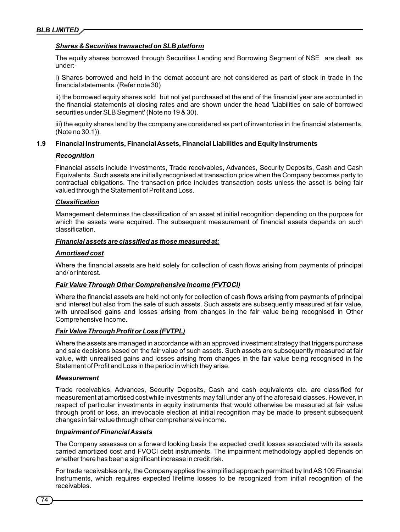#### *Shares & Securities transacted on SLB platform*

The equity shares borrowed through Securities Lending and Borrowing Segment of NSE are dealt as under:-

 i) Shares borrowed and held in the demat account are not considered as part of stock in trade in the financial statements. (Refer note 30)

ii) the borrowed equity shares sold but not yet purchased at the end of the financial year are accounted in the nancial statements at closing rates and are shown under the head 'Liabilities on sale of borrowed securities under SLB Segment' (Note no 19 & 30).

iii) the equity shares lend by the company are considered as part of inventories in the financial statements. (Note no 30.1)).

#### **1.9 Financial Instruments, Financial Assets, Financial Liabilities and Equity Instruments**

#### *Recognition*

Financial assets include Investments, Trade receivables, Advances, Security Deposits, Cash and Cash Equivalents. Such assets are initially recognised at transaction price when the Company becomes party to contractual obligations. The transaction price includes transaction costs unless the asset is being fair valued through the Statement of Profit and Loss.

#### *Classication*

Management determines the classification of an asset at initial recognition depending on the purpose for which the assets were acquired. The subsequent measurement of financial assets depends on such classification.

#### *Financial assets are classied as those measured at:*

#### *Amortised cost*

Where the financial assets are held solely for collection of cash flows arising from payments of principal and/ or interest.

#### *Fair Value Through Other Comprehensive Income (FVTOCI)*

Where the financial assets are held not only for collection of cash flows arising from payments of principal and interest but also from the sale of such assets. Such assets are subsequently measured at fair value, with unrealised gains and losses arising from changes in the fair value being recognised in Other Comprehensive Income.

#### *Fair Value Through Profit or Loss (FVTPL)*

Where the assets are managed in accordance with an approved investment strategy that triggers purchase and sale decisions based on the fair value of such assets. Such assets are subsequently measured at fair value, with unrealised gains and losses arising from changes in the fair value being recognised in the Statement of Profit and Loss in the period in which they arise.

#### *Measurement*

Trade receivables, Advances, Security Deposits, Cash and cash equivalents etc. are classified for measurement at amortised cost while investments may fall under any of the aforesaid classes. However, in respect of particular investments in equity instruments that would otherwise be measured at fair value through profit or loss, an irrevocable election at initial recognition may be made to present subsequent changes in fair value through other comprehensive income.

#### *Impairment of Financial Assets*

The Company assesses on a forward looking basis the expected credit losses associated with its assets carried amortized cost and FVOCI debt instruments. The impairment methodology applied depends on whether there has been a significant increase in credit risk.

For trade receivables only, the Company applies the simplied approach permitted by Ind AS 109 Financial Instruments, which requires expected lifetime losses to be recognized from initial recognition of the receivables.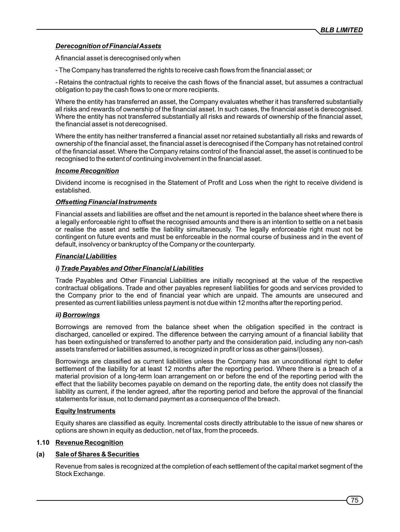# *Derecognition of Financial Assets*

Afinancial asset is derecognised only when

- The Company has transferred the rights to receive cash flows from the financial asset; or

- Retains the contractual rights to receive the cash flows of the financial asset, but assumes a contractual obligation to pay the cash flows to one or more recipients.

Where the entity has transferred an asset, the Company evaluates whether it has transferred substantially all risks and rewards of ownership of the financial asset. In such cases, the financial asset is derecognised. Where the entity has not transferred substantially all risks and rewards of ownership of the financial asset, the financial asset is not derecognised.

Where the entity has neither transferred a financial asset nor retained substantially all risks and rewards of ownership of the financial asset, the financial asset is derecognised if the Company has not retained control of the financial asset. Where the Company retains control of the financial asset, the asset is continued to be recognised to the extent of continuing involvement in the financial asset.

#### *Income Recognition*

Dividend income is recognised in the Statement of Profit and Loss when the right to receive dividend is established.

#### *Offsetting Financial Instruments*

Financial assets and liabilities are offset and the net amount is reported in the balance sheet where there is a legally enforceable right to offset the recognised amounts and there is an intention to settle on a net basis or realise the asset and settle the liability simultaneously. The legally enforceable right must not be contingent on future events and must be enforceable in the normal course of business and in the event of default, insolvency or bankruptcy of the Company or the counterparty.

#### *Financial Liabilities*

#### *i) Trade Payables and Other Financial Liabilities*

Trade Payables and Other Financial Liabilities are initially recognised at the value of the respective contractual obligations. Trade and other payables represent liabilities for goods and services provided to the Company prior to the end of financial year which are unpaid. The amounts are unsecured and presented as current liabilities unless payment is not due within 12 months after the reporting period.

#### *ii) Borrowings*

Borrowings are removed from the balance sheet when the obligation specified in the contract is discharged, cancelled or expired. The difference between the carrying amount of a financial liability that has been extinguished or transferred to another party and the consideration paid, including any non-cash assets transferred or liabilities assumed, is recognized in profit or loss as other gains/(losses).

Borrowings are classified as current liabilities unless the Company has an unconditional right to defer settlement of the liability for at least 12 months after the reporting period. Where there is a breach of a material provision of a long-term loan arrangement on or before the end of the reporting period with the effect that the liability becomes payable on demand on the reporting date, the entity does not classify the liability as current, if the lender agreed, after the reporting period and before the approval of the financial statements for issue, not to demand payment as a consequence of the breach.

#### **Equity Instruments**

Equity shares are classified as equity. Incremental costs directly attributable to the issue of new shares or options are shown in equity as deduction, net of tax, from the proceeds.

# **1.10 Revenue Recognition**

# **(a) Sale of Shares & Securities**

Revenue from sales is recognized at the completion of each settlement of the capital market segment of the Stock Exchange.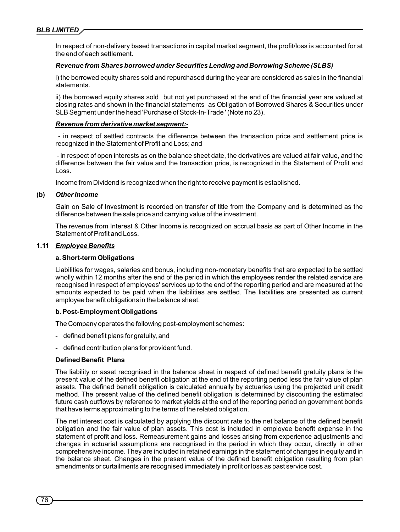In respect of non-delivery based transactions in capital market segment, the profit/loss is accounted for at the end of each settlement.

#### *Revenue from Shares borrowed under Securities Lending and Borrowing Scheme (SLBS)*

i) the borrowed equity shares sold and repurchased during the year are considered as sales in the financial statements.

ii) the borrowed equity shares sold but not yet purchased at the end of the financial year are valued at closing rates and shown in the financial statements as Obligation of Borrowed Shares & Securities under SLB Segment under the head 'Purchase of Stock-In-Trade ' (Note no 23).

#### *Revenue from derivative market segment:-*

- in respect of settled contracts the difference between the transaction price and settlement price is recognized in the Statement of Profit and Loss; and

- in respect of open interests as on the balance sheet date, the derivatives are valued at fair value, and the difference between the fair value and the transaction price, is recognized in the Statement of Profit and Loss.

Income from Dividend is recognized when the right to receive payment is established.

#### **(b)** *Other Income*

Gain on Sale of Investment is recorded on transfer of title from the Company and is determined as the difference between the sale price and carrying value of the investment.

The revenue from Interest & Other Income is recognized on accrual basis as part of Other Income in the Statement of Profit and Loss.

#### **1.11** *Employee Benets*

#### **a. Short-term Obligations**

Liabilities for wages, salaries and bonus, including non-monetary benefits that are expected to be settled wholly within 12 months after the end of the period in which the employees render the related service are recognised in respect of employees' services up to the end of the reporting period and are measured at the amounts expected to be paid when the liabilities are settled. The liabilities are presented as current employee benefit obligations in the balance sheet.

#### **b. Post-Employment Obligations**

The Company operates the following post-employment schemes:

- defined benefit plans for gratuity, and
- defined contribution plans for provident fund.

#### **Defined Benefit Plans**

The liability or asset recognised in the balance sheet in respect of defined benefit gratuity plans is the present value of the defined benefit obligation at the end of the reporting period less the fair value of plan assets. The defined benefit obligation is calculated annually by actuaries using the projected unit credit method. The present value of the defined benefit obligation is determined by discounting the estimated future cash outflows by reference to market yields at the end of the reporting period on government bonds that have terms approximating to the terms of the related obligation.

The net interest cost is calculated by applying the discount rate to the net balance of the defined benefit obligation and the fair value of plan assets. This cost is included in employee benefit expense in the statement of profit and loss. Remeasurement gains and losses arising from experience adjustments and changes in actuarial assumptions are recognised in the period in which they occur, directly in other comprehensive income. They are included in retained earnings in the statement of changes in equity and in the balance sheet. Changes in the present value of the defined benefit obligation resulting from plan amendments or curtailments are recognised immediately in profit or loss as past service cost.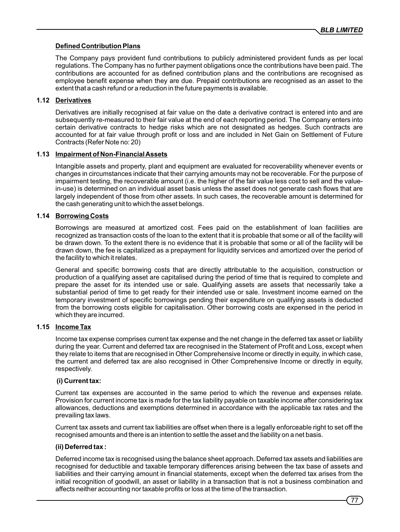# **Defined Contribution Plans**

The Company pays provident fund contributions to publicly administered provident funds as per local regulations. The Company has no further payment obligations once the contributions have been paid. The contributions are accounted for as defined contribution plans and the contributions are recognised as employee benefit expense when they are due. Prepaid contributions are recognised as an asset to the extent that a cash refund or a reduction in the future payments is available.

# **1.12 Derivatives**

Derivatives are initially recognised at fair value on the date a derivative contract is entered into and are subsequently re-measured to their fair value at the end of each reporting period. The Company enters into certain derivative contracts to hedge risks which are not designated as hedges. Such contracts are accounted for at fair value through profit or loss and are included in Net Gain on Settlement of Future Contracts (Refer Note no: 20)

#### **1.13 Impairment of Non-Financial Assets**

Intangible assets and property, plant and equipment are evaluated for recoverability whenever events or changes in circumstances indicate that their carrying amounts may not be recoverable. For the purpose of impairment testing, the recoverable amount (i.e. the higher of the fair value less cost to sell and the valuein-use) is determined on an individual asset basis unless the asset does not generate cash flows that are largely independent of those from other assets. In such cases, the recoverable amount is determined for the cash generating unit to which the asset belongs.

#### **1.14 Borrowing Costs**

Borrowings are measured at amortized cost. Fees paid on the establishment of loan facilities are recognized as transaction costs of the loan to the extent that it is probable that some or all of the facility will be drawn down. To the extent there is no evidence that it is probable that some or all of the facility will be drawn down, the fee is capitalized as a prepayment for liquidity services and amortized over the period of the facility to which it relates.

General and specific borrowing costs that are directly attributable to the acquisition, construction or production of a qualifying asset are capitalised during the period of time that is required to complete and prepare the asset for its intended use or sale. Qualifying assets are assets that necessarily take a substantial period of time to get ready for their intended use or sale. Investment income earned on the temporary investment of specific borrowings pending their expenditure on qualifying assets is deducted from the borrowing costs eligible for capitalisation. Other borrowing costs are expensed in the period in which they are incurred.

#### **1.15 Income Tax**

Income tax expense comprises current tax expense and the net change in the deferred tax asset or liability during the year. Current and deferred tax are recognised in the Statement of Profit and Loss, except when they relate to items that are recognised in Other Comprehensive Income or directly in equity, in which case, the current and deferred tax are also recognised in Other Comprehensive Income or directly in equity, respectively.

#### **(i) Current tax:**

Current tax expenses are accounted in the same period to which the revenue and expenses relate. Provision for current income tax is made for the tax liability payable on taxable income after considering tax allowances, deductions and exemptions determined in accordance with the applicable tax rates and the prevailing tax laws.

Current tax assets and current tax liabilities are offset when there is a legally enforceable right to set off the recognised amounts and there is an intention to settle the asset and the liability on a net basis.

#### **(ii) Deferred tax :**

Deferred income tax is recognised using the balance sheet approach. Deferred tax assets and liabilities are recognised for deductible and taxable temporary differences arising between the tax base of assets and liabilities and their carrying amount in financial statements, except when the deferred tax arises from the initial recognition of goodwill, an asset or liability in a transaction that is not a business combination and affects neither accounting nor taxable profits or loss at the time of the transaction.

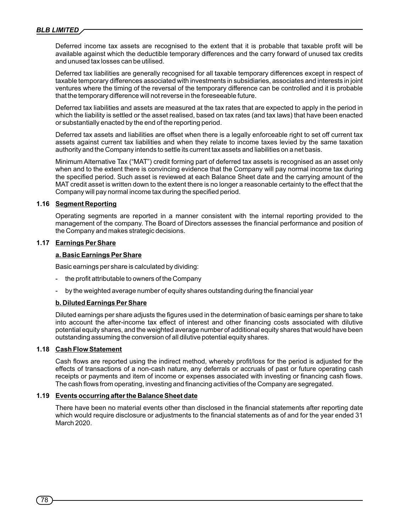Deferred income tax assets are recognised to the extent that it is probable that taxable profit will be available against which the deductible temporary differences and the carry forward of unused tax credits and unused tax losses can be utilised.

Deferred tax liabilities are generally recognised for all taxable temporary differences except in respect of taxable temporary differences associated with investments in subsidiaries, associates and interests in joint ventures where the timing of the reversal of the temporary difference can be controlled and it is probable that the temporary difference will not reverse in the foreseeable future.

Deferred tax liabilities and assets are measured at the tax rates that are expected to apply in the period in which the liability is settled or the asset realised, based on tax rates (and tax laws) that have been enacted or substantially enacted by the end of the reporting period.

Deferred tax assets and liabilities are offset when there is a legally enforceable right to set off current tax assets against current tax liabilities and when they relate to income taxes levied by the same taxation authority and the Company intends to settle its current tax assets and liabilities on a net basis.

Minimum Alternative Tax ("MAT") credit forming part of deferred tax assets is recognised as an asset only when and to the extent there is convincing evidence that the Company will pay normal income tax during the specified period. Such asset is reviewed at each Balance Sheet date and the carrying amount of the MAT credit asset is written down to the extent there is no longer a reasonable certainty to the effect that the Company will pay normal income tax during the specified period.

#### **1.16 Segment Reporting**

Operating segments are reported in a manner consistent with the internal reporting provided to the management of the company. The Board of Directors assesses the financial performance and position of the Company and makes strategic decisions.

#### **1.17 Earnings Per Share**

#### **a. Basic Earnings Per Share**

Basic earnings per share is calculated by dividing:

- the profit attributable to owners of the Company
- by the weighted average number of equity shares outstanding during the financial year

#### **b. Diluted Earnings Per Share**

Diluted earnings per share adjusts the figures used in the determination of basic earnings per share to take into account the after-income tax effect of interest and other financing costs associated with dilutive potential equity shares, and the weighted average number of additional equity shares that would have been outstanding assuming the conversion of all dilutive potential equity shares.

#### **1.18 Cash Flow Statement**

Cash flows are reported using the indirect method, whereby profit/loss for the period is adjusted for the effects of transactions of a non-cash nature, any deferrals or accruals of past or future operating cash receipts or payments and item of income or expenses associated with investing or financing cash flows. The cash flows from operating, investing and financing activities of the Company are segregated.

#### **1.19 Events occurring after the Balance Sheet date**

There have been no material events other than disclosed in the financial statements after reporting date which would require disclosure or adjustments to the financial statements as of and for the year ended 31 March 2020.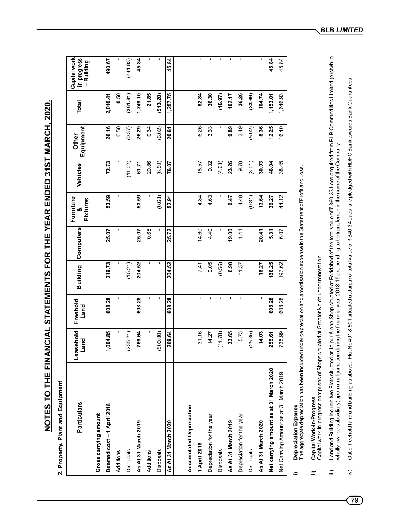NOTES TO THE FINANCIAL STATEMENTS FOR THE YEAR ENDED 31ST MARCH, 2020. **NOTES TO THE FINANCIAL STATEMENTS FOR THE YEAR ENDED 31ST MARCH, 2020.** 2. Property, Plant and Equipment **2. Property, Plant and Equipment**

| <b>Particulars</b>                      | easehold<br>Land | Freehold<br>Land | Building | Computers | Furniture<br>Fixtures<br>ಳ | Vehicles | Equipment<br>Other | Total    | Capital work<br>in progress<br>- Building |
|-----------------------------------------|------------------|------------------|----------|-----------|----------------------------|----------|--------------------|----------|-------------------------------------------|
| Gross carrying amount                   |                  |                  |          |           |                            |          |                    |          |                                           |
| Deemed cost - 1 April 2018              | 1,004.85         | 608.28           | 219.73   | 25.07     | 53.59                      | 72.73    | 26.16              | 2,010.41 | 490.67                                    |
| Additions                               | ı                |                  | ı        | ı         |                            |          | 0.50               | 0.50     | ı                                         |
| <b>Disposals</b>                        | (235.21)         | ı                | (15.21)  | ı         |                            | (11.02)  | (0.37)             | (261.81) | (444.83)                                  |
| As At 31 March 2019                     | 769.64           | 608.28           | 204.52   | 25.07     | 53.59                      | 61.71    | 26.29              | 1,749.10 | 45.84                                     |
| Additions                               | ı                | ı                | ,        | 0.65      |                            | 20.86    | 0.34               | 21.85    | ı                                         |
| <b>Disposals</b>                        | (500.00)         | ı                | ı        | ı         | (0.68)                     | (6.50)   | (6.02)             | (513.20) | ı                                         |
| As At 31 March 2020                     | 269.64           | 608.28           | 204.52   | 25.72     | 52.91                      | 76.07    | 20.61              | 1,257.75 | 45.84                                     |
|                                         |                  |                  |          |           |                            |          |                    |          |                                           |
| <b>Accumulated Depreciation</b>         |                  |                  |          |           |                            |          |                    |          |                                           |
| 1 April 2018                            | 31.16            | ï                | 741      | 14.60     | 4.84                       | 18.57    | 6.26               | 82.84    | ï                                         |
| Depreciation for the year               | 14.27            | ı                | 0.05     | 4.40      | 4.63                       | 9.32     | 3.63               | 36.30    |                                           |
| <b>Disposals</b>                        | (11.78)          | ı                | (0.56)   | ı         |                            | (4.63)   | ı                  | (16.97)  | ï                                         |
| As At 31 March 2019                     | 33.65            | п                | 6.90     | 19.00     | 9.47                       | 23.26    | 9.89               | 102.17   | ï                                         |
| Depreciation for the year               | 5.73             |                  | 11.37    | 141       | 4.48                       | 9.78     | 3.49               | 36.26    |                                           |
| <b>Disposals</b>                        | (25.35)          | ٠                | ı        |           | (0.31)                     | (3.01)   | (5.02)             | (33.69)  | ı                                         |
| As At 31 March 2020                     | 14.03            | ı                | 18.27    | 20.41     | 13.64                      | 30.03    | 8.36               | 104.74   | ı                                         |
| Net carrying amount as at 31 March 2020 | 255.61           | 608.28           | 186.25   | 5.31      | 39.27                      | 46.04    | 12.25              | 1,153.01 | 45.84                                     |
| Net Carrying Amount as at 31 March 2019 | 735.99           | 608.28           | 197.62   | 6.07      | 44.12                      | 38.45    | 16.40              | 1,646.93 | 45.84                                     |

# **i) Depreciation Expense**

 $\Rightarrow$ 

The aggregate depreciation has been included under depreciation and amortisation expense in the Statement of Prot and Loss. **Depreciation Expense**<br>The aggregate depreciation has been included under depreciation and amortisation expense in the Statement of Profit and Loss.

# **ii) Capital Work-in-Progress**  $\widehat{=}$

Capital work-in-progress comprises of Shops situated at Greater Noida under renovation. Capital Work-in-Progress<br>Capital work-in-progress comprises of Shops situated at Greater Noida under renovation.

- Land and Building include two Flats situated at Jaipur & one Shop situated at Faridabad of the total value of ₹ 360.33 Lacs acquired from BLB Commodities Limited (erstwhile<br>wholly-owned subsidiary) upon amalgamation during iii) Land Building include two Flats situated at Jaipur & one Shop situated at Faridabad of the total value of ₹ 360.33 Lacs acquired from BLB Commodities Limited (erstwhile wholly-owned subsidiary) upon amalgamation during the nancial year 2018-19 are pending to be transferred in the name of the Company.  $\widehat{\mathbf{m}}$
- iv) Out of freehold land and building as above, Flat No 401 & 501 situated at Jaipur of total value of ` 340.34 Lacs are pledged with HDFC Bank towards Bank Guarantees. Out offreehold land and building as above, Flat No 401 & 501 situated at Jaipur of total value of ₹340.34Lacs are pledged with HDFC Bank towards Bank Guarantees.  $\widehat{\boldsymbol{\Sigma}}$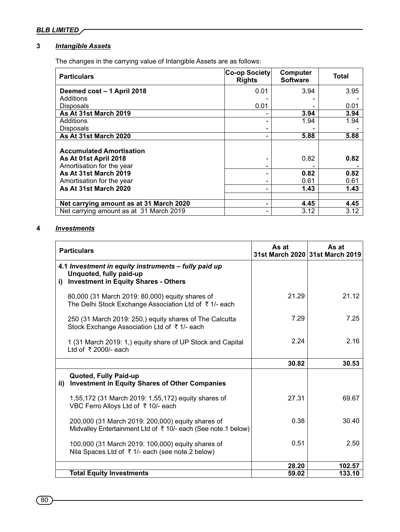# **3** *Intangible Assets*

The changes in the carrying value of Intangible Assets are as follows:

| <b>Particulars</b>                                                                                             | Co-op Society<br><b>Rights</b> | <b>Computer</b><br><b>Software</b> | Total        |
|----------------------------------------------------------------------------------------------------------------|--------------------------------|------------------------------------|--------------|
| Deemed cost - 1 April 2018                                                                                     | 0.01                           | 3.94                               | 3.95         |
| Additions                                                                                                      |                                |                                    |              |
| <b>Disposals</b>                                                                                               | 0.01                           |                                    | 0.01         |
| As At 31st March 2019                                                                                          |                                | 3.94                               | 3.94         |
| Additions                                                                                                      |                                | 1.94                               | 1.94         |
| <b>Disposals</b>                                                                                               |                                |                                    |              |
| As At 31st March 2020                                                                                          |                                | 5.88                               | 5.88         |
| <b>Accumulated Amortisation</b><br>As At 01st April 2018<br>Amortisation for the year<br>As At 31st March 2019 |                                | 0.82<br>0.82                       | 0.82<br>0.82 |
| Amortisation for the year                                                                                      |                                | 0.61                               | 0.61         |
| As At 31st March 2020                                                                                          |                                | 1.43                               | 1.43         |
| Net carrying amount as at 31 March 2020                                                                        | $\overline{\phantom{0}}$       | 4.45                               | 4.45         |
| Net carrying amount as at 31 March 2019                                                                        |                                | 3.12                               | 3.12         |

#### **4** *Investments*

|     | <b>Particulars</b>                                                                                                             | As at | As at<br>31st March 2020 31st March 2019 |
|-----|--------------------------------------------------------------------------------------------------------------------------------|-------|------------------------------------------|
| i)  | 4.1 Investment in equity instruments - fully paid up<br>Unquoted, fully paid-up<br><b>Investment in Equity Shares - Others</b> |       |                                          |
|     | 80,000 (31 March 2019: 80,000) equity shares of<br>The Delhi Stock Exchange Association Ltd of ₹1/- each                       | 21.29 | 21.12                                    |
|     | 250 (31 March 2019: 250,) equity shares of The Calcutta<br>Stock Exchange Association Ltd of ₹1/- each                         | 7.29  | 7.25                                     |
|     | 1 (31 March 2019: 1,) equity share of UP Stock and Capital<br>Ltd of ₹ 2000/- each                                             | 2.24  | 2.16                                     |
|     |                                                                                                                                | 30.82 | 30.53                                    |
| ii) | <b>Quoted, Fully Paid-up</b><br><b>Investment in Equity Shares of Other Companies</b>                                          |       |                                          |
|     | 1,55,172 (31 March 2019: 1,55,172) equity shares of<br>VBC Ferro Alloys Ltd of ₹10/- each                                      | 27.31 | 69.67                                    |
|     | 200,000 (31 March 2019: 200,000) equity shares of<br>Midvalley Entertainment Ltd of ₹10/- each (See note.1 below)              | 0.38  | 30.40                                    |
|     | 100,000 (31 March 2019: 100,000) equity shares of<br>Nila Spaces Ltd of ₹ 1/- each (see note.2 below)                          | 0.51  | 2.50                                     |
|     |                                                                                                                                | 28.20 | 102.57                                   |
|     | <b>Total Equity Investments</b>                                                                                                | 59.02 | 133.10                                   |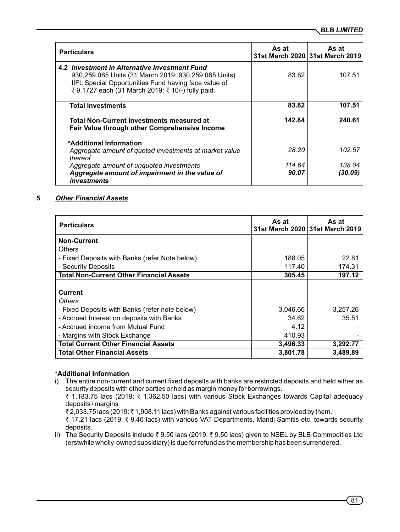| <b>Particulars</b>                                                                                                                                                                                                 | As at<br>31st March 2020 31st March 2019 | As at             |
|--------------------------------------------------------------------------------------------------------------------------------------------------------------------------------------------------------------------|------------------------------------------|-------------------|
| 4.2 Investment in Alternative Investment Fund<br>930,259.065 Units (31 March 2019: 930,259.065 Units)<br>IIFL Special Opportunities Fund having face value of<br>₹ 9.1727 each (31 March 2019: ₹ 10/-) fully paid. | 83.82                                    | 107.51            |
| <b>Total Investments</b>                                                                                                                                                                                           | 83.82                                    | 107.51            |
| <b>Total Non-Current Investments measured at</b><br><b>Fair Value through other Comprehensive Income</b>                                                                                                           | 142.84                                   | 240.61            |
| *Additional Information<br>Aggregate amount of quoted investments at market value                                                                                                                                  | 28.20                                    | 102.57            |
| thereof<br>Aggregate amount of unquoted investments<br>Aggregate amount of impairment in the value of<br>investments                                                                                               | 114.64<br>90.07                          | 138.04<br>(30.09) |

# **5** *Other Financial Assets*

| <b>Particulars</b>                                              | As at    | As at<br>31st March 2020 31st March 2019 |
|-----------------------------------------------------------------|----------|------------------------------------------|
| <b>Non-Current</b>                                              |          |                                          |
| Others                                                          |          |                                          |
| - Fixed Deposits with Banks (refer Note below)                  | 188.05   | 22.81                                    |
| - Security Deposits                                             | 117.40   | 174.31                                   |
| <b>Total Non-Current Other Financial Assets</b>                 | 305.45   | 197.12                                   |
| <b>Current</b>                                                  |          |                                          |
| <b>Others</b><br>- Fixed Deposits with Banks (refer note below) | 3,046.66 | 3,257.26                                 |
| - Accrued Interest on deposits with Banks                       | 34.62    | 35.51                                    |
| - Accrued income from Mutual Fund                               | 4.12     |                                          |
| - Margins with Stock Exchange                                   | 410.93   |                                          |
| <b>Total Current Other Financial Assets</b>                     | 3,496.33 | 3,292.77                                 |
| <b>Total Other Financial Assets</b>                             | 3,801.78 | 3,489.89                                 |

# **\*Additional Information**

i) The entire non-current and current fixed deposits with banks are restricted deposits and held either as security deposits with other parties or held as margin money for borrowings.

₹ 1,183.75 lacs (2019: ₹ 1,362.50 lacs) with various Stock Exchanges towards Capital adequacy deposits / margins

₹2,033.75 lacs (2019: ₹1,908.11 lacs) with Banks against various facilities provided by them.

₹ 17.21 lacs (2019: ₹ 9.46 lacs) with various VAT Departments, Mandi Samitis etc. towards security deposits.

ii) The Security Deposits include  $\bar{\tau}$  9.50 lacs (2019:  $\bar{\tau}$  9.50 lacs) given to NSEL by BLB Commodities Ltd (erstwhile wholly-owned subsidiary) is due for refund as the membership has been surrendered.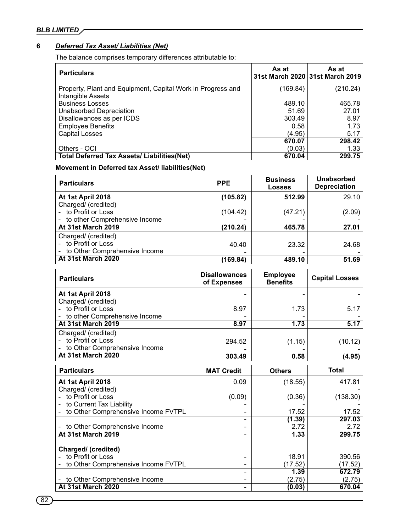# **6** *Deferred Tax Asset/ Liabilities (Net)*

The balance comprises temporary differences attributable to:

| <b>Particulars</b>                                                               | As at    | As at<br>31st March 2020 31st March 2019 |
|----------------------------------------------------------------------------------|----------|------------------------------------------|
| Property, Plant and Equipment, Capital Work in Progress and<br>Intangible Assets | (169.84) | (210.24)                                 |
| <b>Business Losses</b>                                                           | 489.10   | 465.78                                   |
| Unabsorbed Depreciation                                                          | 51.69    | 27.01                                    |
| Disallowances as per ICDS                                                        | 303.49   | 8.97                                     |
| <b>Employee Benefits</b>                                                         | 0.58     | 1.73                                     |
| <b>Capital Losses</b>                                                            | (4.95)   | 5.17                                     |
|                                                                                  | 670.07   | 298.42                                   |
| Others - OCI                                                                     | (0.03)   | 1.33                                     |
| <b>Total Deferred Tax Assets/ Liabilities(Net)</b>                               | 670.04   | 299.75                                   |

# **Movement in Deferred tax Asset/ liabilities(Net)**

| <b>Particulars</b>              | <b>PPE</b> | <b>Business</b><br><b>Losses</b> | <b>Unabsorbed</b><br><b>Depreciation</b> |
|---------------------------------|------------|----------------------------------|------------------------------------------|
| At 1st April 2018               | (105.82)   | 512.99                           | 29.10                                    |
| Charged/ (credited)             |            |                                  |                                          |
| - to Profit or Loss             | (104.42)   | (47.21)                          | (2.09)                                   |
| - to other Comprehensive Income |            |                                  |                                          |
| At 31st March 2019              | (210.24)   | 465.78                           | 27.01                                    |
| Charged/ (credited)             |            |                                  |                                          |
| - to Profit or Loss             | 40.40      | 23.32                            | 24.68                                    |
| - to Other Comprehensive Income |            |                                  |                                          |
| At 31st March 2020              | (169.84)   | 489.10                           | 51.69                                    |

| <b>Particulars</b>                  | <b>Disallowances</b><br>of Expenses | <b>Employee</b><br><b>Benefits</b> | <b>Capital Losses</b> |
|-------------------------------------|-------------------------------------|------------------------------------|-----------------------|
| At 1st April 2018                   |                                     |                                    |                       |
| Charged/ (credited)                 |                                     |                                    |                       |
| to Profit or Loss                   | 8.97                                | 1.73                               | 5.17                  |
| to other Comprehensive Income       |                                     |                                    |                       |
| <b>At 31st March 2019</b>           | 8.97                                | 1.73                               | 5.17                  |
| Charged/ (credited)                 |                                     |                                    |                       |
| to Profit or Loss                   | 294.52                              | (1.15)                             | (10.12)               |
| to Other Comprehensive Income       |                                     |                                    |                       |
| At 31st March 2020                  | 303.49                              | 0.58                               | (4.95)                |
| <b>Particulars</b>                  | <b>MAT Credit</b>                   | <b>Others</b>                      | <b>Total</b>          |
|                                     |                                     |                                    |                       |
| At 1st April 2018                   | 0.09                                | (18.55)                            | 417.81                |
| Charged/ (credited)                 |                                     |                                    |                       |
| to Profit or Loss                   | (0.09)                              | (0.36)                             | (138.30)              |
| to Current Tax Liability            |                                     |                                    |                       |
| to Other Comprehensive Income FVTPL |                                     | 17.52                              | 17.52                 |
|                                     |                                     | (1.39)                             | 297.03                |
| - to Other Comprehensive Income     |                                     | 2.72                               | 2.72                  |
| At 31st March 2019                  |                                     | 1.33                               | 299.75                |
| Charged/ (credited)                 |                                     |                                    |                       |
| to Profit or Loss                   |                                     | 18.91                              | 390.56                |
| to Other Comprehensive Income FVTPL |                                     | (17.52)                            | (17.52)               |
|                                     | $\overline{\phantom{a}}$            | 1.39                               | 672.79                |
| - to Other Comprehensive Income     |                                     | (2.75)                             | (2.75)                |
| <b>At 31st March 2020</b>           | -                                   | (0.03)                             | 670.04                |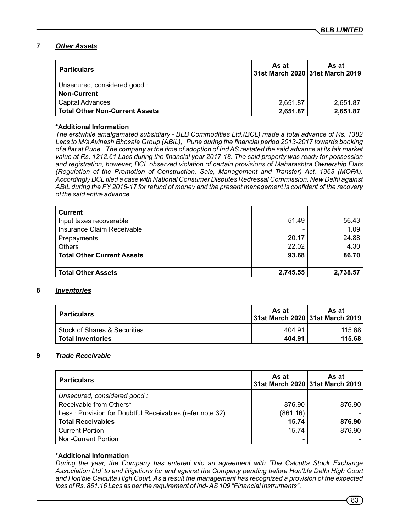# **7** *Other Assets*

| <b>Particulars</b>                    | As at<br>31st March 2020 31st March 2019 | As at    |
|---------------------------------------|------------------------------------------|----------|
| Unsecured, considered good:           |                                          |          |
| <b>Non-Current</b>                    |                                          |          |
| Capital Advances                      | 2,651.87                                 | 2,651.87 |
| <b>Total Other Non-Current Assets</b> | 2,651.87                                 | 2,651.87 |

#### **\*Additional Information**

*The erstwhile amalgamated subsidiary - BLB Commodities Ltd.(BCL) made a total advance of Rs. 1382*  Lacs to M/s Avinash Bhosale Group (ABIL), Pune during the financial period 2013-2017 towards booking *of a at at Pune. The company at the time of adoption of Ind AS restated the said advance at its fair market value at Rs. 1212.61 Lacs during the financial year 2017-18. The said property was ready for possession and registration, however, BCL observed violation of certain provisions of Maharashtra Ownership Flats (Regulation of the Promotion of Construction, Sale, Management and Transfer) Act, 1963 (MOFA).*  Accordingly BCL filed a case with National Consumer Disputes Redressal Commission, New Delhi against ABIL during the FY 2016-17 for refund of money and the present management is confident of the recovery *of the said entire advance.* 

| <b>Current</b>                    |          |          |
|-----------------------------------|----------|----------|
| Input taxes recoverable           | 51.49    | 56.43    |
| Insurance Claim Receivable        | -        | 1.09     |
| Prepayments                       | 20.17    | 24.88    |
| Others                            | 22.02    | 4.30     |
| <b>Total Other Current Assets</b> | 93.68    | 86.70    |
|                                   |          |          |
| <b>Total Other Assets</b>         | 2,745.55 | 2,738.57 |

#### **8** *Inventories*

| <b>Particulars</b>           | As at<br>  31st March 2020   31st March 2019 | As at  |
|------------------------------|----------------------------------------------|--------|
| Stock of Shares & Securities | 404.91                                       | 115.68 |
| <b>Total Inventories</b>     | 404.91                                       | 115.68 |

# **9** *Trade Receivable*

| <b>Particulars</b>                                       | As at    | As at<br>31st March 2020 31st March 2019 |
|----------------------------------------------------------|----------|------------------------------------------|
| Unsecured, considered good:                              |          |                                          |
| Receivable from Others*                                  | 876.90   | 876.90                                   |
| Less: Provision for Doubtful Receivables (refer note 32) | (861.16) |                                          |
| <b>Total Receivables</b>                                 | 15.74    | 876.90                                   |
| <b>Current Portion</b>                                   | 15.74    | 876.90                                   |
| <b>Non-Current Portion</b>                               | -        |                                          |

#### **\*Additional Information**

*During the year, the Company has entered into an agreement with 'The Calcutta Stock Exchange Association Ltd' to end litigations for and against the Company pending before Hon'ble Delhi High Court and Hon'ble Calcutta High Court. As a result the management has recognized a provision of the expected loss of Rs. 861.16 Lacs as per the requirement of Ind- AS 109 "Financial Instruments" .*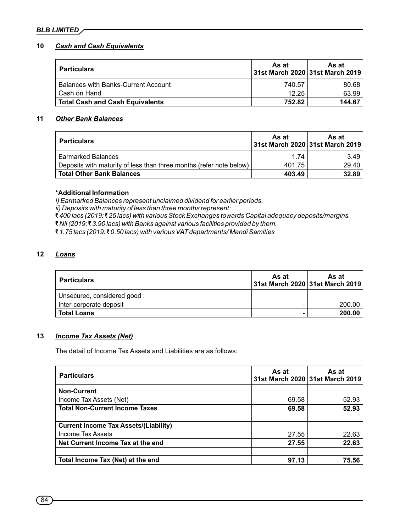# **10** *Cash and Cash Equivalents*

| <b>Particulars</b>                     | As at<br>31st March 2020 31st March 2019 | As at  |
|----------------------------------------|------------------------------------------|--------|
| Balances with Banks-Current Account    | 740.57                                   | 80.68  |
| Cash on Hand                           | 12.25                                    | 63.99  |
| <b>Total Cash and Cash Equivalents</b> | 752.82                                   | 144.67 |

# **11** *Other Bank Balances*

| <b>Particulars</b>                                                  | As at<br>31st March 2020 31st March 2019 | As at |
|---------------------------------------------------------------------|------------------------------------------|-------|
| <b>Earmarked Balances</b>                                           | 1.74                                     | 3.49  |
| Deposits with maturity of less than three months (refer note below) | 401.75                                   | 29.40 |
| <b>Total Other Bank Balances</b>                                    | 403.49                                   | 32.89 |

# **\*Additional Information**

*i) Earmarked Balances represent unclaimed dividend for earlier periods.* 

*ii) Deposits with maturity of less than three months represent:* 

₹*400 lacs (2019:* ₹*25 lacs) with various Stock Exchanges towards Capital adequacy deposits/margins.* 

₹ *Nil (2019:* ₹*3.90 lacs) with Banks against various facilities provided by them.* 

₹*1.75 lacs (2019:* ₹*0.50 lacs) with various VAT departments/ Mandi Samities* 

# **12** *Loans*

| <b>Particulars</b>          | As at<br>31st March 2020 31st March 2019 | As at  |
|-----------------------------|------------------------------------------|--------|
| Unsecured, considered good: |                                          |        |
| Inter-corporate deposit     | -                                        | 200.00 |
| <b>Total Loans</b>          |                                          | 200.00 |

# **13** *Income Tax Assets (Net)*

The detail of Income Tax Assets and Liabilities are as follows:

| <b>Particulars</b>                           | As at | As at<br>31st March 2020 31st March 2019 |
|----------------------------------------------|-------|------------------------------------------|
| <b>Non-Current</b>                           |       |                                          |
| Income Tax Assets (Net)                      | 69.58 | 52.93                                    |
| <b>Total Non-Current Income Taxes</b>        | 69.58 | 52.93                                    |
|                                              |       |                                          |
| <b>Current Income Tax Assets/(Liability)</b> |       |                                          |
| Income Tax Assets                            | 27.55 | 22.63                                    |
| Net Current Income Tax at the end            | 27.55 | 22.63                                    |
|                                              |       |                                          |
| Total Income Tax (Net) at the end            | 97.13 | 75.56                                    |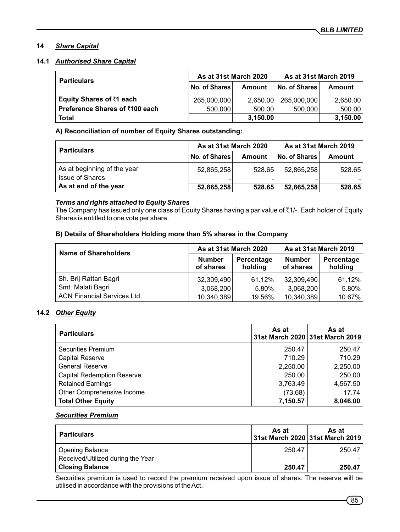# **14** *Share Capital*

# **14.1** *Authorised Share Capital*

| <b>Particulars</b>                    | As at 31st March 2020 |               | As at 31st March 2019 |          |
|---------------------------------------|-----------------------|---------------|-----------------------|----------|
|                                       | No. of Shares         | <b>Amount</b> | No. of Shares         | Amount   |
| Equity Shares of ₹1 each              | 265,000,000           | 2,650.00      | 265,000,000           | 2.650.00 |
| <b>Preference Shares of ₹100 each</b> | 500,000               | 500.00        | 500,000               | 500.00   |
| <b>Total</b>                          |                       | 3,150.00      |                       | 3,150.00 |

# **A) Reconciliation of number of Equity Shares outstanding:**

| <b>Particulars</b>                                    | As at 31st March 2020 |               | As at 31st March 2019 |               |
|-------------------------------------------------------|-----------------------|---------------|-----------------------|---------------|
|                                                       | <b>No. of Shares</b>  | <b>Amount</b> | No. of Shares         | <b>Amount</b> |
| As at beginning of the year<br><b>Issue of Shares</b> | 52,865,258            | 528.65        | 52,865,258            | 528.65        |
| As at end of the year                                 | 52,865,258            | 528.65        | 52,865,258            | 528.65        |

#### *Terms and rights attached to Equity Shares*

The Company has issued only one class of Equity Shares having a par value of ₹1/-. Each holder of Equity Shares is entitled to one vote per share.

#### **B) Details of Shareholders Holding more than 5% shares in the Company**

| <b>Name of Shareholders</b>        | As at 31st March 2020      |                       |                            | As at 31st March 2019 |
|------------------------------------|----------------------------|-----------------------|----------------------------|-----------------------|
|                                    | <b>Number</b><br>of shares | Percentage<br>holding | <b>Number</b><br>of shares | Percentage<br>holding |
| Sh. Brij Rattan Bagri              | 32,309,490                 | $61.12\%$             | 32,309,490                 | 61.12%                |
| Smt. Malati Bagri                  | 3,068,200                  | $5.80\%$              | 3,068,200                  | 5.80%                 |
| <b>ACN Financial Services Ltd.</b> | 10,340,389                 | 19.56%                | 10,340,389                 | 10.67%                |

# **14.2** *Other Equity*

| <b>Particulars</b>                | As at    | As at<br>31st March 2020 31st March 2019 |
|-----------------------------------|----------|------------------------------------------|
| Securities Premium                | 250.47   | 250.47                                   |
| <b>Capital Reserve</b>            | 710.29   | 710.29                                   |
| <b>General Reserve</b>            | 2,250.00 | 2,250.00                                 |
| <b>Capital Redemption Reserve</b> | 250.00   | 250.00                                   |
| <b>Retained Earnings</b>          | 3,763.49 | 4,567.50                                 |
| Other Comprehensive Income        | (73.68)  | 17.74                                    |
| <b>Total Other Equity</b>         | 7,150.57 | 8,046.00                                 |

#### *Securities Premium*

| <b>Particulars</b>                | As at<br>31st March 2020 31st March 2019 | As at  |
|-----------------------------------|------------------------------------------|--------|
| <b>Opening Balance</b>            | 250.47                                   | 250.47 |
| Received/Utilized during the Year | $\overline{\phantom{0}}$                 |        |
| <b>Closing Balance</b>            | 250.47                                   | 250.47 |

Securities premium is used to record the premium received upon issue of shares. The reserve will be utilised in accordance with the provisions of the Act.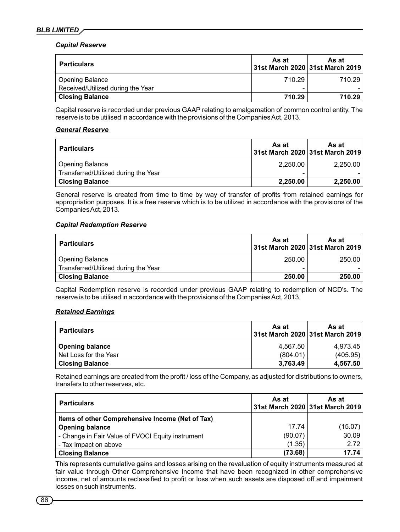#### *Capital Reserve*

| <b>Particulars</b>                | As at<br>31st March 2020 31st March 2019 | As at  |
|-----------------------------------|------------------------------------------|--------|
| <b>Opening Balance</b>            | 710.29                                   | 710.29 |
| Received/Utilized during the Year | $\overline{\phantom{0}}$                 |        |
| <b>Closing Balance</b>            | 710.29                                   | 710.29 |

Capital reserve is recorded under previous GAAP relating to amalgamation of common control entity. The reserve is to be utilised in accordance with the provisions of the Companies Act, 2013.

#### *General Reserve*

| <b>Particulars</b>                   | As at<br>31st March 2020 31st March 2019 | As at    |
|--------------------------------------|------------------------------------------|----------|
| Opening Balance                      | 2.250.00                                 | 2.250.00 |
| Transferred/Utilized during the Year | $\overline{\phantom{0}}$                 |          |
| <b>Closing Balance</b>               | 2,250.00                                 | 2,250.00 |

General reserve is created from time to time by way of transfer of profits from retained earnings for appropriation purposes. It is a free reserve which is to be utilized in accordance with the provisions of the Companies Act, 2013.

#### *Capital Redemption Reserve*

| <b>Particulars</b>                   | As at<br>31st March 2020 31st March 2019 | As at  |
|--------------------------------------|------------------------------------------|--------|
| Opening Balance                      | 250.00                                   | 250.00 |
| Transferred/Utilized during the Year | -                                        |        |
| <b>Closing Balance</b>               | 250.00                                   | 250.00 |

Capital Redemption reserve is recorded under previous GAAP relating to redemption of NCD's. The reserve is to be utilised in accordance with the provisions of the Companies Act, 2013.

#### *Retained Earnings*

| <b>Particulars</b>     | As at<br>31st March 2020 31st March 2019 | As at    |
|------------------------|------------------------------------------|----------|
| <b>Opening balance</b> | 4.567.50                                 | 4.973.45 |
| Net Loss for the Year  | (804.01)                                 | (405.95) |
| <b>Closing Balance</b> | 3,763.49                                 | 4,567.50 |

Retained earnings are created from the profit / loss of the Company, as adjusted for distributions to owners, transfers to other reserves, etc.

| <b>Particulars</b>                                | As at<br>31st March 2020 31st March 2019 | As at   |
|---------------------------------------------------|------------------------------------------|---------|
| Items of other Comprehensive Income (Net of Tax)  |                                          |         |
| <b>Opening balance</b>                            | 17.74                                    | (15.07) |
| - Change in Fair Value of FVOCI Equity instrument | (90.07)                                  | 30.09   |
| - Tax Impact on above                             | (1.35)                                   | 2.72    |
| <b>Closing Balance</b>                            | (73.68)                                  | 17.74   |

This represents cumulative gains and losses arising on the revaluation of equity instruments measured at fair value through Other Comprehensive Income that have been recognized in other comprehensive income, net of amounts reclassified to profit or loss when such assets are disposed off and impairment losses on such instruments.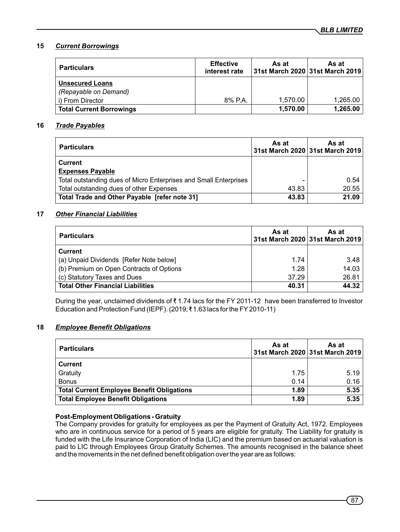# **15** *Current Borrowings*

| <b>Particulars</b>              | <b>Effective</b><br>interest rate | As at<br>31st March 2020 31st March 2019 | As at    |
|---------------------------------|-----------------------------------|------------------------------------------|----------|
| <b>Unsecured Loans</b>          |                                   |                                          |          |
| (Repayable on Demand)           |                                   |                                          |          |
| i) From Director                | 8% P.A.                           | 1,570.00                                 | 1.265.00 |
| <b>Total Current Borrowings</b> |                                   | 1,570.00                                 | 1,265.00 |

# **16** *Trade Payables*

| <b>Particulars</b>                                                | As at | As at<br>31st March 2020 31st March 2019 |
|-------------------------------------------------------------------|-------|------------------------------------------|
| <b>Current</b>                                                    |       |                                          |
| <b>Expenses Payable</b>                                           |       |                                          |
| Total outstanding dues of Micro Enterprises and Small Enterprises |       | 0.54                                     |
| Total outstanding dues of other Expenses                          | 43.83 | 20.55                                    |
| Total Trade and Other Payable [refer note 31]                     | 43.83 | 21.09                                    |

# **17** *Other Financial Liabilities*

| <b>Particulars</b>                       | As at | As at<br>31st March 2020 31st March 2019 |
|------------------------------------------|-------|------------------------------------------|
| <b>Current</b>                           |       |                                          |
| (a) Unpaid Dividends [Refer Note below]  | 1.74  | 3.48                                     |
| (b) Premium on Open Contracts of Options | 1.28  | 14.03                                    |
| (c) Statutory Taxes and Dues             | 37.29 | 26.81                                    |
| <b>Total Other Financial Liabilities</b> | 40.31 | 44.32                                    |

During the year, unclaimed dividends of ₹ 1.74 lacs for the FY 2011-12 have been transferred to Investor Education and Protection Fund (IEPF). (2019; ₹1.63 lacs for the FY2010-11)

#### **18** *Employee Benefit Obligations*

| <b>Particulars</b>                                | As at | As at<br>31st March 2020 31st March 2019 |
|---------------------------------------------------|-------|------------------------------------------|
| <b>Current</b>                                    |       |                                          |
| Gratuity                                          | 1.75  | 5.19                                     |
| <b>Bonus</b>                                      | 0.14  | 0.16                                     |
| <b>Total Current Employee Benefit Obligations</b> | 1.89  | 5.35                                     |
| <b>Total Employee Benefit Obligations</b>         | 1.89  | 5.35                                     |

#### **Post-Employment Obligations - Gratuity**

The Company provides for gratuity for employees as per the Payment of Gratuity Act, 1972. Employees who are in continuous service for a period of 5 years are eligible for gratuity. The Liability for gratuity is funded with the Life Insurance Corporation of India (LIC) and the premium based on actuarial valuation is paid to LIC through Employees Group Gratuity Schemes. The amounts recognised in the balance sheet and the movements in the net defined benefit obligation over the year are as follows:

 $[87]$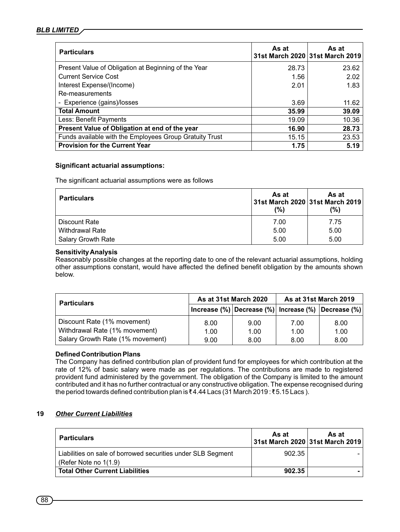| <b>Particulars</b>                                      | As at | As at<br>31st March 2020 31st March 2019 |
|---------------------------------------------------------|-------|------------------------------------------|
| Present Value of Obligation at Beginning of the Year    | 28.73 | 23.62                                    |
| <b>Current Service Cost</b>                             | 1.56  | 2.02                                     |
| Interest Expense/(Income)                               | 2.01  | 1.83                                     |
| Re-measurements                                         |       |                                          |
| - Experience (gains)/losses                             | 3.69  | 11.62                                    |
| <b>Total Amount</b>                                     | 35.99 | 39.09                                    |
| Less: Benefit Payments                                  | 19.09 | 10.36                                    |
| Present Value of Obligation at end of the year          | 16.90 | 28.73                                    |
| Funds available with the Employees Group Gratuity Trust | 15.15 | 23.53                                    |
| <b>Provision for the Current Year</b>                   | 1.75  | 5.19                                     |

#### **Significant actuarial assumptions:**

The significant actuarial assumptions were as follows

| <b>Particulars</b>        | As at<br>31st March 2020 31st March 2019<br>(%) | As at<br>(%) |
|---------------------------|-------------------------------------------------|--------------|
| Discount Rate             | 7.00                                            | 7.75         |
| <b>Withdrawal Rate</b>    | 5.00                                            | 5.00         |
| <b>Salary Growth Rate</b> | 5.00                                            | 5.00         |

#### **Sensitivity Analysis**

Reasonably possible changes at the reporting date to one of the relevant actuarial assumptions, holding other assumptions constant, would have affected the defined benefit obligation by the amounts shown below.

| <b>Particulars</b>               | As at 31st March 2020 |                                                                 |      | As at 31st March 2019 |
|----------------------------------|-----------------------|-----------------------------------------------------------------|------|-----------------------|
|                                  |                       | Increase $(\%)$ Decrease $(\%)$ Increase $(\%)$ Decrease $(\%)$ |      |                       |
| Discount Rate (1% movement)      | 8.00                  | 9.00                                                            | 7.00 | 8.00                  |
| Withdrawal Rate (1% movement)    | 1.00                  | 1.00                                                            | 1.00 | 1.00                  |
| Salary Growth Rate (1% movement) | 9.00                  | 8.00                                                            | 8.00 | 8.00                  |

#### **Defined Contribution Plans**

The Company has defined contribution plan of provident fund for employees for which contribution at the rate of 12% of basic salary were made as per regulations. The contributions are made to registered provident fund administered by the government. The obligation of the Company is limited to the amount contributed and it has no further contractual or any constructive obligation. The expense recognised during the period towards defined contribution plan is ₹4.44 Lacs (31 March 2019 : ₹5.15 Lacs ).

# **19** *Other Current Liabilities*

| <b>Particulars</b>                                                                        | As at<br>$\vert$ 31st March 2020 $\vert$ 31st March 2019 $\vert$ | As at |
|-------------------------------------------------------------------------------------------|------------------------------------------------------------------|-------|
| Liabilities on sale of borrowed securities under SLB Segment<br>(Refer Note no $1(1.9)$ ) | 902.35                                                           |       |
| <b>Total Other Current Liabilities</b>                                                    | 902.35                                                           |       |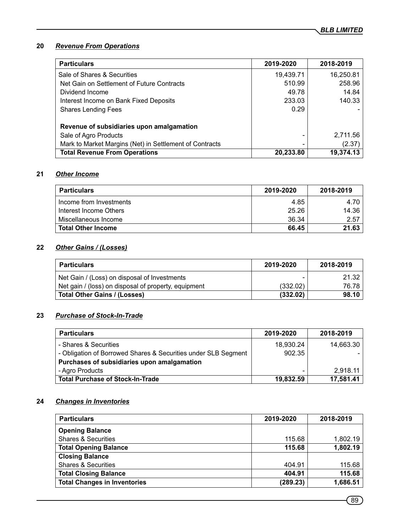# **20** *Revenue From Operations*

| <b>Particulars</b>                                      | 2019-2020 | 2018-2019 |
|---------------------------------------------------------|-----------|-----------|
| Sale of Shares & Securities                             | 19,439.71 | 16,250.81 |
| Net Gain on Settlement of Future Contracts              | 510.99    | 258.96    |
| Dividend Income                                         | 49.78     | 14.84     |
| Interest Income on Bank Fixed Deposits                  | 233.03    | 140.33    |
| <b>Shares Lending Fees</b>                              | 0.29      |           |
| Revenue of subsidiaries upon amalgamation               |           |           |
| Sale of Agro Products                                   |           | 2,711.56  |
| Mark to Market Margins (Net) in Settlement of Contracts |           | (2.37)    |
| <b>Total Revenue From Operations</b>                    | 20,233.80 | 19,374.13 |

# **21** *Other Income*

| <b>Particulars</b>        | 2019-2020 | 2018-2019 |
|---------------------------|-----------|-----------|
| Income from Investments   | 4.85      | 4.70      |
| Interest Income Others    | 25.26     | 14.36     |
| Miscellaneous Income      | 36.34     | 2.57      |
| <b>Total Other Income</b> | 66.45     | 21.63     |

# **22** *Other Gains / (Losses)*

| <b>Particulars</b>                                   | 2019-2020                | 2018-2019 |
|------------------------------------------------------|--------------------------|-----------|
| Net Gain / (Loss) on disposal of Investments         | $\overline{\phantom{0}}$ | 21.32     |
| Net gain / (loss) on disposal of property, equipment | (332.02)                 | 76.78     |
| <b>Total Other Gains / (Losses)</b>                  | (332.02)                 | 98.10     |

# **23** *Purchase of Stock-In-Trade*

| <b>Particulars</b>                                             | 2019-2020 | 2018-2019 |
|----------------------------------------------------------------|-----------|-----------|
| - Shares & Securities                                          | 18,930.24 | 14,663.30 |
| - Obligation of Borrowed Shares & Securities under SLB Segment | 902.35    |           |
| Purchases of subsidiaries upon amalgamation                    |           |           |
| - Agro Products                                                | -         | 2,918.11  |
| <b>Total Purchase of Stock-In-Trade</b>                        | 19,832.59 | 17,581.41 |

# **24** *Changes in Inventories*

| <b>Particulars</b>                  | 2019-2020 | 2018-2019 |
|-------------------------------------|-----------|-----------|
| <b>Opening Balance</b>              |           |           |
| <b>Shares &amp; Securities</b>      | 115.68    | 1.802.19  |
| <b>Total Opening Balance</b>        | 115.68    | 1,802.19  |
| <b>Closing Balance</b>              |           |           |
| <b>Shares &amp; Securities</b>      | 404.91    | 115.68    |
| <b>Total Closing Balance</b>        | 404.91    | 115.68    |
| <b>Total Changes in Inventories</b> | (289.23)  | 1,686.51  |

 $\circled{\scriptstyle 89}$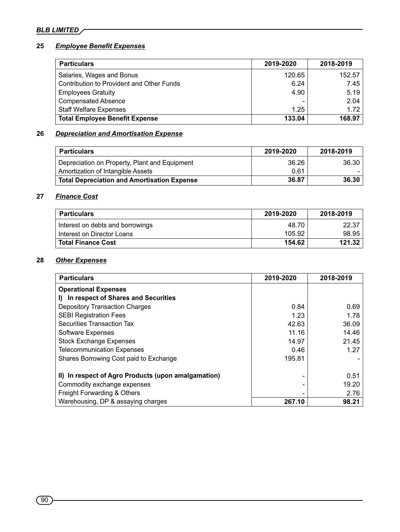# **25** *<u>Employee Benefit Expenses</u>*

| <b>Particulars</b>                        | 2019-2020                | 2018-2019 |
|-------------------------------------------|--------------------------|-----------|
| Salaries, Wages and Bonus                 | 120.65                   | 152.57    |
| Contribution to Provident and Other Funds | 6.24                     | 7.45      |
| <b>Employees Gratuity</b>                 | 4.90                     | 5.19      |
| <b>Compensated Absence</b>                | $\overline{\phantom{0}}$ | 2.04      |
| <b>Staff Welfare Expenses</b>             | 1.25                     | 1.72      |
| <b>Total Employee Benefit Expense</b>     | 133.04                   | 168.97    |

# **26** *Depreciation and Amortisation Expense*

| <b>Particulars</b>                                 | 2019-2020 | 2018-2019 |
|----------------------------------------------------|-----------|-----------|
| Depreciation on Property, Plant and Equipment      | 36.26     | 36.30     |
| Amortization of Intangible Assets                  | 0.61      |           |
| <b>Total Depreciation and Amortisation Expense</b> | 36.87     | 36.30     |

# **27** *Finance Cost*

| <b>Particulars</b>               | 2019-2020 | 2018-2019 |
|----------------------------------|-----------|-----------|
| Interest on debts and borrowings | 48.70     | 22.37     |
| Interest on Director Loans       | 105.92    | 98.95     |
| <b>Total Finance Cost</b>        | 154.62    | 121.32    |

# **28** *Other Expenses*

| <b>Particulars</b>                                  | 2019-2020 | 2018-2019 |
|-----------------------------------------------------|-----------|-----------|
| <b>Operational Expenses</b>                         |           |           |
| In respect of Shares and Securities<br>Ð            |           |           |
| <b>Depository Transaction Charges</b>               | 0.84      | 0.69      |
| <b>SEBI Registration Fees</b>                       | 1.23      | 1.78      |
| <b>Securities Transaction Tax</b>                   | 42.63     | 36.09     |
| <b>Software Expenses</b>                            | 11.16     | 14.46     |
| <b>Stock Exchange Expenses</b>                      | 14.97     | 21.45     |
| <b>Telecommunication Expenses</b>                   | 0.46      | 1.27      |
| Shares Borrowing Cost paid to Exchange              | 195.81    |           |
| II) In respect of Agro Products (upon amalgamation) |           | 0.51      |
| Commodity exchange expenses                         |           | 19.20     |
| Freight Forwarding & Others                         |           | 2.76      |
| Warehousing, DP & assaying charges                  | 267.10    | 98.21     |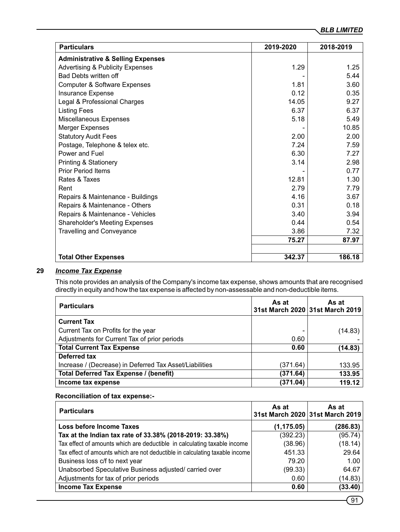| <b>Particulars</b>                           | 2019-2020 | 2018-2019 |
|----------------------------------------------|-----------|-----------|
| <b>Administrative &amp; Selling Expenses</b> |           |           |
| <b>Advertising &amp; Publicity Expenses</b>  | 1.29      | 1.25      |
| <b>Bad Debts written off</b>                 |           | 5.44      |
| <b>Computer &amp; Software Expenses</b>      | 1.81      | 3.60      |
| Insurance Expense                            | 0.12      | 0.35      |
| Legal & Professional Charges                 | 14.05     | 9.27      |
| <b>Listing Fees</b>                          | 6.37      | 6.37      |
| Miscellaneous Expenses                       | 5.18      | 5.49      |
| Merger Expenses                              |           | 10.85     |
| <b>Statutory Audit Fees</b>                  | 2.00      | 2.00      |
| Postage, Telephone & telex etc.              | 7.24      | 7.59      |
| Power and Fuel                               | 6.30      | 7.27      |
| <b>Printing &amp; Stationery</b>             | 3.14      | 2.98      |
| <b>Prior Period Items</b>                    |           | 0.77      |
| Rates & Taxes                                | 12.81     | 1.30      |
| Rent                                         | 2.79      | 7.79      |
| Repairs & Maintenance - Buildings            | 4.16      | 3.67      |
| Repairs & Maintenance - Others               | 0.31      | 0.18      |
| Repairs & Maintenance - Vehicles             | 3.40      | 3.94      |
| <b>Shareholder's Meeting Expenses</b>        | 0.44      | 0.54      |
| <b>Travelling and Conveyance</b>             | 3.86      | 7.32      |
|                                              | 75.27     | 87.97     |
|                                              |           |           |
| <b>Total Other Expenses</b>                  | 342.37    | 186.18    |

# **29** *Income Tax Expense*

This note provides an analysis of the Company's income tax expense, shows amounts that are recognised directly in equity and how the tax expense is affected by non-assessable and non-deductible items.

| <b>Particulars</b>                                      | As at    | As at<br>31st March 2020 31st March 2019 |
|---------------------------------------------------------|----------|------------------------------------------|
| <b>Current Tax</b>                                      |          |                                          |
| Current Tax on Profits for the year                     |          | (14.83)                                  |
| Adjustments for Current Tax of prior periods            | 0.60     |                                          |
| <b>Total Current Tax Expense</b>                        | 0.60     | (14.83)                                  |
| Deferred tax                                            |          |                                          |
| Increase / (Decrease) in Deferred Tax Asset/Liabilities | (371.64) | 133.95                                   |
| <b>Total Deferred Tax Expense / (benefit)</b>           | (371.64) | 133.95                                   |
| Income tax expense                                      | (371.04) | 119.12                                   |

# **Reconciliation of tax expense:-**

| <b>Particulars</b>                                                           | As at       | As at<br>31st March 2020 31st March 2019 |
|------------------------------------------------------------------------------|-------------|------------------------------------------|
| <b>Loss before Income Taxes</b>                                              | (1, 175.05) | (286.83)                                 |
| Tax at the Indian tax rate of 33.38% (2018-2019: 33.38%)                     | (392.23)    | (95.74)                                  |
| Tax effect of amounts which are deductible in calculating taxable income     | (38.96)     | (18.14)                                  |
| Tax effect of amounts which are not deductible in calculating taxable income | 451.33      | 29.64                                    |
| Business loss c/f to next year                                               | 79.20       | 1.00                                     |
| Unabsorbed Speculative Business adjusted/ carried over                       | (99.33)     | 64.67                                    |
| Adjustments for tax of prior periods                                         | 0.60        | (14.83)                                  |
| <b>Income Tax Expense</b>                                                    | 0.60        | (33.40)                                  |

 $\boxed{91}$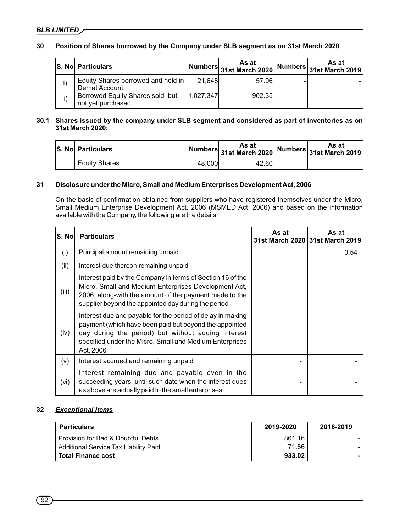# **30 Position of Shares borrowed by the Company under SLB segment as on 31st March 2020**

|     | <b>S. No Particulars</b>                             |           | As at<br>$\vert$ Numbers $\vert$ 31st March 2020 $\vert$ <sup>r</sup> | As at<br>$\sim$ Numbers 31st March 2019 |
|-----|------------------------------------------------------|-----------|-----------------------------------------------------------------------|-----------------------------------------|
|     | Equity Shares borrowed and held in<br>Demat Account  | 21.648    | 57.96                                                                 |                                         |
| ii) | Borrowed Equity Shares sold but<br>not yet purchased | 1.027.347 | 902.35                                                                |                                         |

#### **30.1 Shares issued by the company under SLB segment and considered as part of inventories as on 31st March 2020:**

| S. No Particulars    |        | As at<br>$\vert$ Numbers 31st March 2020 Numbers 31st March 2019 |   | As at |
|----------------------|--------|------------------------------------------------------------------|---|-------|
| <b>Equity Shares</b> | 48,000 | 42.60                                                            | - |       |

# **31 Disclosure under the Micro, Small and Medium Enterprises Development Act, 2006**

On the basis of confirmation obtained from suppliers who have registered themselves under the Micro, Small Medium Enterprise Development Act, 2006 (MSMED Act, 2006) and based on the information available with the Company, the following are the details

| S. Nol | <b>Particulars</b>                                                                                                                                                                                                                                 | As at | As at<br>31st March 2020 31st March 2019 |
|--------|----------------------------------------------------------------------------------------------------------------------------------------------------------------------------------------------------------------------------------------------------|-------|------------------------------------------|
| (i)    | Principal amount remaining unpaid                                                                                                                                                                                                                  |       | 0.54                                     |
| (ii)   | Interest due thereon remaining unpaid                                                                                                                                                                                                              |       |                                          |
| (iii)  | Interest paid by the Company in terms of Section 16 of the<br>Micro, Small and Medium Enterprises Development Act,<br>2006, along-with the amount of the payment made to the<br>supplier beyond the appointed day during the period                |       |                                          |
| (iv)   | Interest due and payable for the period of delay in making<br>payment (which have been paid but beyond the appointed<br>day during the period) but without adding interest<br>specified under the Micro, Small and Medium Enterprises<br>Act, 2006 |       |                                          |
| (v)    | Interest accrued and remaining unpaid                                                                                                                                                                                                              |       |                                          |
| (vi)   | Interest remaining due and payable even in the<br>succeeding years, until such date when the interest dues<br>as above are actually paid to the small enterprises.                                                                                 |       |                                          |

# **32** *Exceptional Items*

| <b>Particulars</b>                    | 2019-2020 | 2018-2019 |
|---------------------------------------|-----------|-----------|
| Provision for Bad & Doubtful Debts    | 861.16    |           |
| Additional Service Tax Liability Paid | 71.86     |           |
| <b>Total Finance cost</b>             | 933.02    |           |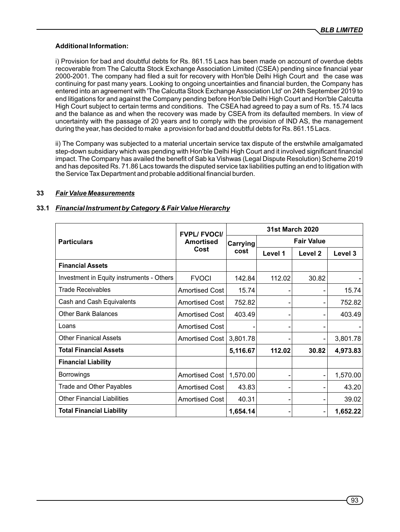# **Additional Information:**

i) Provision for bad and doubtful debts for Rs. 861.15 Lacs has been made on account of overdue debts recoverable from The Calcutta Stock Exchange Association Limited (CSEA) pending since financial year 2000-2001. The company had filed a suit for recovery with Hon'ble Delhi High Court and the case was continuing for past many years. Looking to ongoing uncertainties and financial burden, the Company has entered into an agreement with 'The Calcutta Stock Exchange Association Ltd' on 24th September 2019 to end litigations for and against the Company pending before Hon'ble Delhi High Court and Hon'ble Calcutta High Court subject to certain terms and conditions. The CSEA had agreed to pay a sum of Rs. 15.74 lacs and the balance as and when the recovery was made by CSEA from its defaulted members. In view of uncertainty with the passage of 20 years and to comply with the provision of IND AS, the management during the year, has decided to make a provision for bad and doubtful debts for Rs. 861.15 Lacs.

ii) The Company was subjected to a material uncertain service tax dispute of the erstwhile amalgamated step-down subsidiary which was pending with Hon'ble Delhi High Court and it involved significant financial impact. The Company has availed the benefit of Sab ka Vishwas (Legal Dispute Resolution) Scheme 2019 and has deposited Rs. 71.86 Lacs towards the disputed service tax liabilities putting an end to litigation with the Service Tax Department and probable additional financial burden.

#### **33** *Fair Value Measurements*

# **33.1** *Financial Instrument by Category & Fair Value Hierarchy*

|                                           | <b>FVPL/FVOCI/</b>    | <b>31st March 2020</b> |                   |                          |          |  |
|-------------------------------------------|-----------------------|------------------------|-------------------|--------------------------|----------|--|
| <b>Particulars</b>                        | <b>Amortised</b>      | Carrying               | <b>Fair Value</b> |                          |          |  |
|                                           | Cost                  | cost                   | Level 1           | Level 2                  | Level 3  |  |
| <b>Financial Assets</b>                   |                       |                        |                   |                          |          |  |
| Investment in Equity instruments - Others | <b>FVOCI</b>          | 142.84                 | 112.02            | 30.82                    |          |  |
| Trade Receivables                         | <b>Amortised Cost</b> | 15.74                  |                   |                          | 15.74    |  |
| Cash and Cash Equivalents                 | <b>Amortised Cost</b> | 752.82                 |                   | -                        | 752.82   |  |
| <b>Other Bank Balances</b>                | <b>Amortised Cost</b> | 403.49                 |                   |                          | 403.49   |  |
| Loans                                     | <b>Amortised Cost</b> |                        |                   |                          |          |  |
| <b>Other Finanical Assets</b>             | Amortised Cost        | 3,801.78               |                   | $\overline{\phantom{a}}$ | 3,801.78 |  |
| <b>Total Financial Assets</b>             |                       | 5,116.67               | 112.02            | 30.82                    | 4,973.83 |  |
| <b>Financial Liability</b>                |                       |                        |                   |                          |          |  |
| <b>Borrowings</b>                         | Amortised Cost        | 1,570.00               |                   | $\overline{\phantom{a}}$ | 1,570.00 |  |
| <b>Trade and Other Payables</b>           | <b>Amortised Cost</b> | 43.83                  |                   |                          | 43.20    |  |
| <b>Other Financial Liabilities</b>        | <b>Amortised Cost</b> | 40.31                  |                   |                          | 39.02    |  |
| <b>Total Financial Liability</b>          |                       | 1,654.14               |                   | $\blacksquare$           | 1,652.22 |  |

 $93)$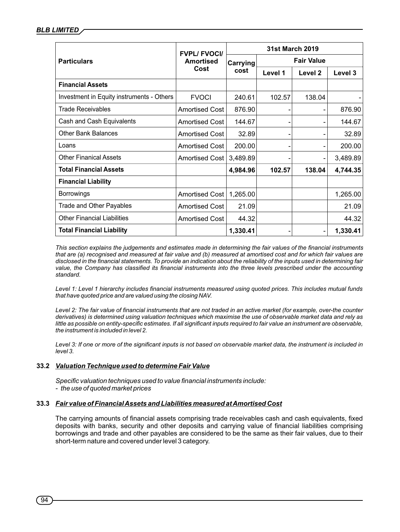|                                           | <b>FVPL/FVOCI/</b>    | <b>31st March 2019</b> |                   |         |          |  |
|-------------------------------------------|-----------------------|------------------------|-------------------|---------|----------|--|
| <b>Particulars</b>                        | <b>Amortised</b>      | Carrying               | <b>Fair Value</b> |         |          |  |
|                                           | Cost                  | cost                   | Level 1           | Level 2 | Level 3  |  |
| <b>Financial Assets</b>                   |                       |                        |                   |         |          |  |
| Investment in Equity instruments - Others | <b>FVOCI</b>          | 240.61                 | 102.57            | 138.04  |          |  |
| Trade Receivables                         | <b>Amortised Cost</b> | 876.90                 |                   |         | 876.90   |  |
| Cash and Cash Equivalents                 | <b>Amortised Cost</b> | 144.67                 |                   |         | 144.67   |  |
| <b>Other Bank Balances</b>                | <b>Amortised Cost</b> | 32.89                  |                   |         | 32.89    |  |
| Loans                                     | <b>Amortised Cost</b> | 200.00                 |                   |         | 200.00   |  |
| <b>Other Finanical Assets</b>             | <b>Amortised Cost</b> | 3,489.89               |                   |         | 3,489.89 |  |
| <b>Total Financial Assets</b>             |                       | 4,984.96               | 102.57            | 138.04  | 4,744.35 |  |
| <b>Financial Liability</b>                |                       |                        |                   |         |          |  |
| <b>Borrowings</b>                         | Amortised Cost        | 1,265.00               |                   |         | 1,265.00 |  |
| Trade and Other Payables                  | <b>Amortised Cost</b> | 21.09                  |                   |         | 21.09    |  |
| <b>Other Financial Liabilities</b>        | <b>Amortised Cost</b> | 44.32                  |                   |         | 44.32    |  |
| <b>Total Financial Liability</b>          |                       | 1,330.41               |                   |         | 1,330.41 |  |

*This section explains the judgements and estimates made in determining the fair values of the financial instruments that are (a) recognised and measured at fair value and (b) measured at amortised cost and for which fair values are*  disclosed in the financial statements. To provide an indication about the reliability of the inputs used in determining fair value, the Company has classified its financial instruments into the three levels prescribed under the accounting *standard.* 

Level 1: Level 1 hierarchy includes financial instruments measured using quoted prices. This includes mutual funds *that have quoted price and are valued using the closing NAV.* 

Level 2: The fair value of financial instruments that are not traded in an active market (for example, over-the counter *derivatives) is determined using valuation techniques which maximise the use of observable market data and rely as*  little as possible on entity-specific estimates. If all significant inputs required to fair value an instrument are observable, *the instrument is included in level 2.* 

Level 3: If one or more of the significant inputs is not based on observable market data, the instrument is included in *level 3.* 

#### **33.2** *Valuation Technique used to determine Fair Value*

*Specific valuation techniques used to value financial instruments include: - the use of quoted market prices*

#### **33.3** *Fair value of Financial Assets and Liabilities measured at Amortised Cost*

The carrying amounts of financial assets comprising trade receivables cash and cash equivalents, fixed deposits with banks, security and other deposits and carrying value of financial liabilities comprising borrowings and trade and other payables are considered to be the same as their fair values, due to their short-term nature and covered under level 3 category.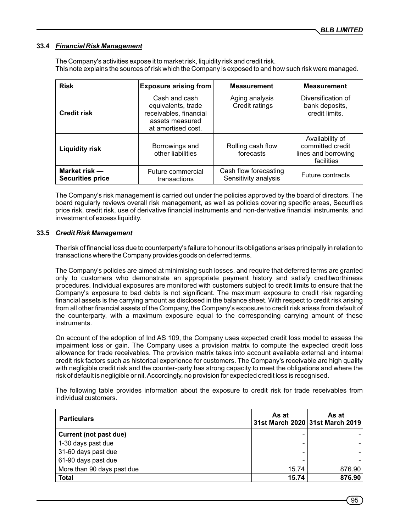# **33.4** *Financial Risk Management*

The Company's activities expose it to market risk, liquidity risk and credit risk. This note explains the sources of risk which the Company is exposed to and how such risk were managed.

| <b>Risk</b>                              | <b>Exposure arising from</b>                                                                           | <b>Measurement</b>                            | <b>Measurement</b>                                                       |
|------------------------------------------|--------------------------------------------------------------------------------------------------------|-----------------------------------------------|--------------------------------------------------------------------------|
| <b>Credit risk</b>                       | Cash and cash<br>equivalents, trade<br>receivables, financial<br>assets measured<br>at amortised cost. | Aging analysis<br>Credit ratings              | Diversification of<br>bank deposits,<br>credit limits.                   |
| <b>Liquidity risk</b>                    | Borrowings and<br>other liabilities                                                                    | Rolling cash flow<br>forecasts                | Availability of<br>committed credit<br>lines and borrowing<br>facilities |
| Market risk -<br><b>Securities price</b> | Future commercial<br>transactions                                                                      | Cash flow forecasting<br>Sensitivity analysis | <b>Future contracts</b>                                                  |

The Company's risk management is carried out under the policies approved by the board of directors. The board regularly reviews overall risk management, as well as policies covering specific areas, Securities price risk, credit risk, use of derivative financial instruments and non-derivative financial instruments, and investment of excess liquidity.

#### **33.5** *Credit Risk Management*

The risk of financial loss due to counterparty's failure to honour its obligations arises principally in relation to transactions where the Company provides goods on deferred terms.

The Company's policies are aimed at minimising such losses, and require that deferred terms are granted only to customers who demonstrate an appropriate payment history and satisfy creditworthiness procedures. Individual exposures are monitored with customers subject to credit limits to ensure that the Company's exposure to bad debts is not significant. The maximum exposure to credit risk regarding financial assets is the carrying amount as disclosed in the balance sheet. With respect to credit risk arising from all other financial assets of the Company, the Company's exposure to credit risk arises from default of the counterparty, with a maximum exposure equal to the corresponding carrying amount of these instruments.

On account of the adoption of Ind AS 109, the Company uses expected credit loss model to assess the impairment loss or gain. The Company uses a provision matrix to compute the expected credit loss allowance for trade receivables. The provision matrix takes into account available external and internal credit risk factors such as historical experience for customers. The Company's receivable are high quality with negligible credit risk and the counter-party has strong capacity to meet the obligations and where the risk of default is negligible or nil. Accordingly, no provision for expected credit loss is recognised.

The following table provides information about the exposure to credit risk for trade receivables from individual customers.

| <b>Particulars</b>         | As at                    | As at<br>31st March 2020 31st March 2019 |
|----------------------------|--------------------------|------------------------------------------|
| Current (not past due)     | -                        |                                          |
| 1-30 days past due         | -                        |                                          |
| 31-60 days past due        | $\overline{\phantom{0}}$ |                                          |
| 61-90 days past due        | -                        |                                          |
| More than 90 days past due | 15.74                    | 876.90                                   |
| <b>Total</b>               | 15.74                    | 876.90                                   |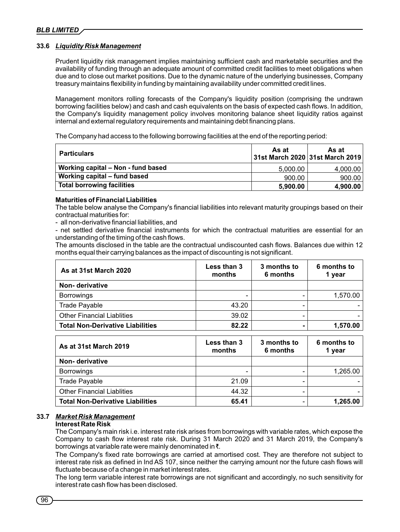# **33.6** *Liquidity Risk Management*

Prudent liquidity risk management implies maintaining sufficient cash and marketable securities and the availability of funding through an adequate amount of committed credit facilities to meet obligations when due and to close out market positions. Due to the dynamic nature of the underlying businesses, Company treasury maintains flexibility in funding by maintaining availability under committed credit lines.

Management monitors rolling forecasts of the Company's liquidity position (comprising the undrawn borrowing facilities below) and cash and cash equivalents on the basis of expected cash flows. In addition, the Company's liquidity management policy involves monitoring balance sheet liquidity ratios against internal and external regulatory requirements and maintaining debt financing plans.

The Company had access to the following borrowing facilities at the end of the reporting period:

| <b>Particulars</b>                 | As at<br>31st March 2020 31st March 2019 | As at    |
|------------------------------------|------------------------------------------|----------|
| Working capital – Non - fund based | 5,000.00                                 | 4,000.00 |
| Working capital – fund based       | 900.00                                   | 900.00   |
| <b>Total borrowing facilities</b>  | 5,900.00                                 | 4,900.00 |

#### **Maturities of Financial Liabilities**

The table below analyse the Company's financial liabilities into relevant maturity groupings based on their contractual maturities for:

- all non-derivative financial liabilities, and

- net settled derivative financial instruments for which the contractual maturities are essential for an understanding of the timing of the cash flows.

The amounts disclosed in the table are the contractual undiscounted cash flows. Balances due within 12 months equal their carrying balances as the impact of discounting is not significant.

| As at 31st March 2020                   | Less than 3<br>months    | 3 months to<br>6 months  | 6 months to<br>1 year |
|-----------------------------------------|--------------------------|--------------------------|-----------------------|
| <b>Non-derivative</b>                   |                          |                          |                       |
| <b>Borrowings</b>                       | $\overline{\phantom{0}}$ |                          | 1,570.00              |
| <b>Trade Payable</b>                    | 43.20                    | $\,$                     |                       |
| <b>Other Financial Liablities</b>       | 39.02                    | $\overline{\phantom{0}}$ |                       |
| <b>Total Non-Derivative Liabilities</b> | 82.22                    |                          | 1,570.00              |

| As at 31st March 2019                   | Less than 3<br>months | 3 months to<br>6 months | 6 months to<br>1 year |
|-----------------------------------------|-----------------------|-------------------------|-----------------------|
| <b>Non-derivative</b>                   |                       |                         |                       |
| <b>Borrowings</b>                       |                       |                         | 1,265.00              |
| Trade Payable                           | 21.09                 | $\,$                    |                       |
| <b>Other Financial Liablities</b>       | 44.32                 |                         |                       |
| <b>Total Non-Derivative Liabilities</b> | 65.41                 |                         | 1,265.00              |

# **33.7** *Market Risk Management*

#### **Interest Rate Risk**

The Company's main risk i.e. interest rate risk arises from borrowings with variable rates, which expose the Company to cash flow interest rate risk. During 31 March 2020 and 31 March 2019, the Company's borrowings at variable rate were mainly denominated in ₹.

The Company's fixed rate borrowings are carried at amortised cost. They are therefore not subject to interest rate risk as defined in Ind AS 107, since neither the carrying amount nor the future cash flows will fluctuate because of a change in market interest rates.

The long term variable interest rate borrowings are not significant and accordingly, no such sensitivity for interest rate cash flow has been disclosed.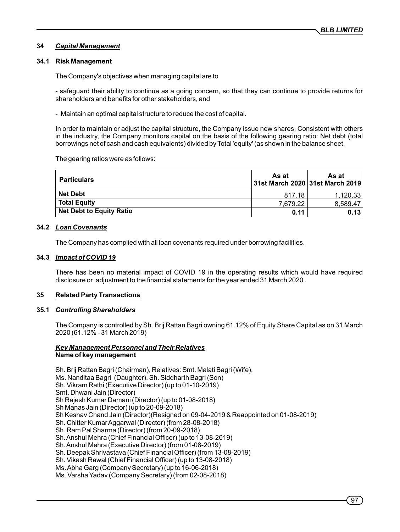# **34** *Capital Management*

#### **34.1 Risk Management**

The Company's objectives when managing capital are to

- safeguard their ability to continue as a going concern, so that they can continue to provide returns for shareholders and benefits for other stakeholders, and

- Maintain an optimal capital structure to reduce the cost of capital.

In order to maintain or adjust the capital structure, the Company issue new shares. Consistent with others in the industry, the Company monitors capital on the basis of the following gearing ratio: Net debt (total borrowings net of cash and cash equivalents) divided by Total 'equity' (as shown in the balance sheet.

The gearing ratios were as follows:

| <b>Particulars</b>              | As at<br>31st March 2020 31st March 2019 | As at    |
|---------------------------------|------------------------------------------|----------|
| <b>Net Debt</b>                 | 817.18                                   | 1.120.33 |
| <b>Total Equity</b>             | 7.679.22                                 | 8,589.47 |
| <b>Net Debt to Equity Ratio</b> | 0.11                                     | 0.13     |

#### **34.2** *Loan Covenants*

The Company has complied with all loan covenants required under borrowing facilities.

#### **34.3** *Impact of COVID 19*

There has been no material impact of COVID 19 in the operating results which would have required disclosure or adjustment to the financial statements for the year ended 31 March 2020.

#### **35 Related Party Transactions**

#### **35.1** *Controlling Shareholders*

The Company is controlled by Sh. Brij Rattan Bagri owning 61.12% of Equity Share Capital as on 31 March 2020 (61.12% - 31 March 2019)

#### *Key Management Personnel and Their Relatives* **Name of key management**

Sh. Brij Rattan Bagri (Chairman), Relatives: Smt. Malati Bagri (Wife), Ms. Nanditaa Bagri (Daughter), Sh. Siddharth Bagri (Son) Sh. Vikram Rathi (Executive Director) (up to 01-10-2019) Smt. Dhwani Jain (Director) Sh Rajesh Kumar Damani (Director) (up to 01-08-2018) Sh Manas Jain (Director) (up to 20-09-2018) Sh Keshav Chand Jain (Director)(Resigned on 09-04-2019 & Reappointed on 01-08-2019) Sh. Chitter Kumar Aggarwal (Director) (from 28-08-2018) Sh. Ram Pal Sharma (Director) (from 20-09-2018) Sh. Anshul Mehra (Chief Financial Officer) (up to 13-08-2019) Sh. Anshul Mehra (Executive Director) (from 01-08-2019) Sh. Deepak Shrivastava (Chief Financial Officer) (from 13-08-2019) Sh. Vikash Rawal (Chief Financial Officer) (up to 13-08-2018) Ms. Abha Garg (Company Secretary) (up to 16-06-2018) Ms. Varsha Yadav (Company Secretary) (from 02-08-2018)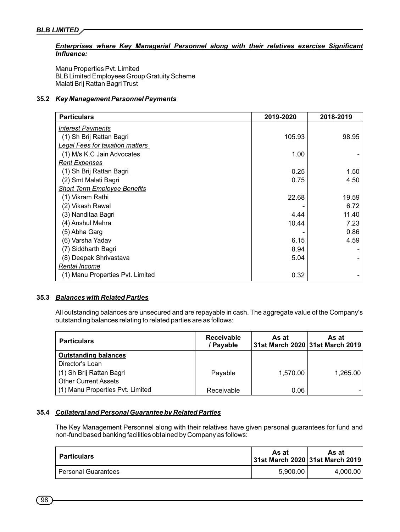# *Enterprises where Key Managerial Personnel along with their relatives exercise Signicant Inuence:*

Manu Properties Pvt. Limited BLB Limited Employees Group Gratuity Scheme Malati Brij Rattan Bagri Trust

# **35.2** *Key Management Personnel Payments*

| <b>Particulars</b>                     | 2019-2020 | 2018-2019 |
|----------------------------------------|-----------|-----------|
| <b>Interest Payments</b>               |           |           |
| (1) Sh Brij Rattan Bagri               | 105.93    | 98.95     |
| <b>Legal Fees for taxation matters</b> |           |           |
| (1) M/s K.C Jain Advocates             | 1.00      |           |
| <b>Rent Expenses</b>                   |           |           |
| (1) Sh Brij Rattan Bagri               | 0.25      | 1.50      |
| (2) Smt Malati Bagri                   | 0.75      | 4.50      |
| <b>Short Term Employee Benefits</b>    |           |           |
| (1) Vikram Rathi                       | 22.68     | 19.59     |
| (2) Vikash Rawal                       |           | 6.72      |
| (3) Nanditaa Bagri                     | 4.44      | 11.40     |
| (4) Anshul Mehra                       | 10.44     | 7.23      |
| (5) Abha Garg                          |           | 0.86      |
| (6) Varsha Yadav                       | 6.15      | 4.59      |
| (7) Siddharth Bagri                    | 8.94      |           |
| (8) Deepak Shrivastava                 | 5.04      |           |
| Rental Income                          |           |           |
| (1) Manu Properties Pvt. Limited       | 0.32      |           |

# **35.3** *Balances with Related Parties*

All outstanding balances are unsecured and are repayable in cash. The aggregate value of the Company's outstanding balances relating to related parties are as follows:

| <b>Particulars</b>               | <b>Receivable</b><br>/ Payable | As at    | As at<br>31st March 2020 31st March 2019 |
|----------------------------------|--------------------------------|----------|------------------------------------------|
| <b>Outstanding balances</b>      |                                |          |                                          |
| Director's Loan                  |                                |          |                                          |
| (1) Sh Brij Rattan Bagri         | Payable                        | 1,570.00 | 1,265.00                                 |
| <b>Other Current Assets</b>      |                                |          |                                          |
| (1) Manu Properties Pvt. Limited | Receivable                     | 0.06     |                                          |

# **35.4** *Collateral and Personal Guarantee by Related Parties*

The Key Management Personnel along with their relatives have given personal guarantees for fund and non-fund based banking facilities obtained by Company as follows:

| <b>Particulars</b>         | As at<br>31st March 2020 31st March 2019 | As at    |
|----------------------------|------------------------------------------|----------|
| <b>Personal Guarantees</b> | 5.900.00                                 | 4.000.00 |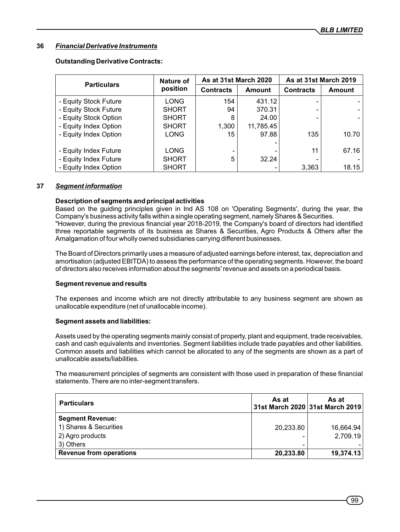# **36** *Financial Derivative Instruments*

#### **Outstanding Derivative Contracts:**

| <b>Particulars</b>    | Nature of    | As at 31st March 2020    |           | As at 31st March 2019 |               |
|-----------------------|--------------|--------------------------|-----------|-----------------------|---------------|
|                       | position     | <b>Contracts</b>         | Amount    | <b>Contracts</b>      | <b>Amount</b> |
| - Equity Stock Future | <b>LONG</b>  | 154                      | 431.12    | -                     |               |
| - Equity Stock Future | <b>SHORT</b> | 94                       | 370.31    | -                     |               |
| - Equity Stock Option | <b>SHORT</b> | 8                        | 24.00     |                       |               |
| - Equity Index Option | <b>SHORT</b> | 1,300                    | 11,785.45 |                       |               |
| - Equity Index Option | <b>LONG</b>  | 15                       | 97.88     | 135                   | 10.70         |
|                       |              |                          |           |                       |               |
| - Equity Index Future | <b>LONG</b>  | $\overline{\phantom{0}}$ |           | 11                    | 67.16         |
| - Equity Index Future | <b>SHORT</b> | 5                        | 32.24     |                       |               |
| - Equity Index Option | <b>SHORT</b> |                          |           | 3,363                 | 18.15         |

#### **37** *Segment information*

#### **Description of segments and principal activities**

Based on the guiding principles given in Ind AS 108 on 'Operating Segments', during the year, the Company's business activity falls within a single operating segment, namely Shares & Securities. "However, during the previous financial year 2018-2019, the Company's board of directors had identified three reportable segments of its business as Shares & Securities, Agro Products & Others after the Amalgamation of four wholly owned subsidiaries carrying different businesses.

The Board of Directors primarily uses a measure of adjusted earnings before interest, tax, depreciation and amortisation (adjusted EBITDA) to assess the performance of the operating segments. However, the board of directors also receives information about the segments' revenue and assets on a periodical basis.

#### **Segment revenue and results**

The expenses and income which are not directly attributable to any business segment are shown as unallocable expenditure (net of unallocable income).

#### **Segment assets and liabilities:**

Assets used by the operating segments mainly consist of property, plant and equipment, trade receivables, cash and cash equivalents and inventories. Segment liabilities include trade payables and other liabilities. Common assets and liabilities which cannot be allocated to any of the segments are shown as a part of unallocable assets/liabilities.

The measurement principles of segments are consistent with those used in preparation of these financial statements. There are no inter-segment transfers.

| <b>Particulars</b>             | As at     | As at<br>31st March 2020 31st March 2019 |
|--------------------------------|-----------|------------------------------------------|
| <b>Segment Revenue:</b>        |           |                                          |
| 1) Shares & Securities         | 20,233.80 | 16,664.94                                |
| 2) Agro products               |           | 2,709.19                                 |
| 3) Others                      | -         |                                          |
| <b>Revenue from operations</b> | 20,233.80 | 19,374.13                                |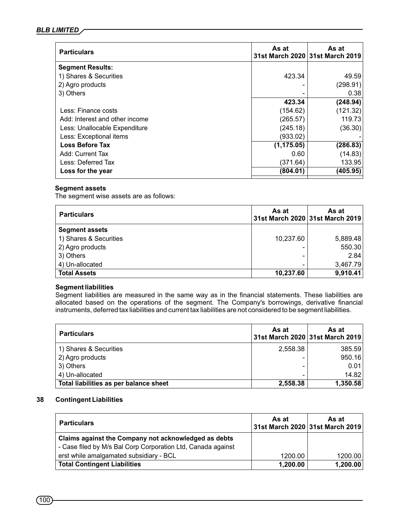| <b>Particulars</b>             | As at       | As at<br>31st March 2020 31st March 2019 |
|--------------------------------|-------------|------------------------------------------|
| <b>Segment Results:</b>        |             |                                          |
| 1) Shares & Securities         | 423.34      | 49.59                                    |
| 2) Agro products               |             | (298.91)                                 |
| 3) Others                      |             | 0.38                                     |
|                                | 423.34      | (248.94)                                 |
| Less: Finance costs            | (154.62)    | (121.32)                                 |
| Add: Interest and other income | (265.57)    | 119.73                                   |
| Less: Unallocable Expenditure  | (245.18)    | (36.30)                                  |
| Less: Exceptional items        | (933.02)    |                                          |
| <b>Loss Before Tax</b>         | (1, 175.05) | (286.83)                                 |
| Add: Current Tax               | 0.60        | (14.83)                                  |
| Less: Deferred Tax             | (371.64)    | 133.95                                   |
| Loss for the year              | (804.01)    | (405.95)                                 |

# **Segment assets**

The segment wise assets are as follows:

| <b>Particulars</b>     | As at                        | As at<br>31st March 2020 31st March 2019 |
|------------------------|------------------------------|------------------------------------------|
| <b>Segment assets</b>  |                              |                                          |
| 1) Shares & Securities | 10,237.60                    | 5,889.48                                 |
| 2) Agro products       | $\overline{\phantom{0}}$     | 550.30                                   |
| 3) Others              | -                            | 2.84                                     |
| 4) Un-allocated        | $\qquad \qquad \blacksquare$ | 3,467.79                                 |
| <b>Total Assets</b>    | 10,237.60                    | 9,910.41                                 |

#### **Segment liabilities**

Segment liabilities are measured in the same way as in the financial statements. These liabilities are allocated based on the operations of the segment. The Company's borrowings, derivative financial instruments, deferred tax liabilities and current tax liabilities are not considered to be segment liabilities.

| <b>Particulars</b>                     | As at    | As at<br>31st March 2020 31st March 2019 |
|----------------------------------------|----------|------------------------------------------|
| 1) Shares & Securities                 | 2,558.38 | 385.59                                   |
| 2) Agro products                       | -        | 950.16                                   |
| 3) Others                              |          | 0.01                                     |
| 4) Un-allocated                        | -        | 14.82                                    |
| Total liabilities as per balance sheet | 2,558.38 | 1,350.58                                 |

#### **38 Contingent Liabilities**

| <b>Particulars</b>                                           | As at<br>31st March 2020 31st March 2019 | As at    |
|--------------------------------------------------------------|------------------------------------------|----------|
| Claims against the Company not acknowledged as debts         |                                          |          |
| - Case filed by M/s Bal Corp Corporation Ltd, Canada against |                                          |          |
| erst while amalgamated subsidiary - BCL                      | 1200.00                                  | 1200.00  |
| <b>Total Contingent Liabilities</b>                          | 1,200.00                                 | 1,200.00 |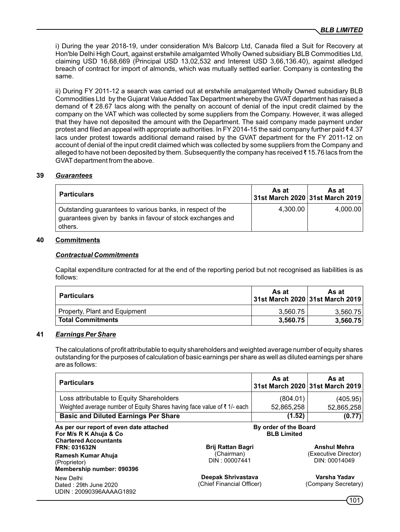i) During the year 2018-19, under consideration M/s Balcorp Ltd, Canada filed a Suit for Recovery at Hon'ble Delhi High Court, against erstwhile amalgamted Wholly Owned subsidiary BLB Commodities Ltd, claiming USD 16,68,669 (Principal USD 13,02,532 and Interest USD 3,66,136.40), against alledged breach of contract for import of almonds, which was mutually settled earlier. Company is contesting the same.

ii) During FY 2011-12 a search was carried out at erstwhile amalgamted Wholly Owned subsidiary BLB Commodities Ltd by the Gujarat Value Added Tax Department whereby the GVAT department has raised a demand of ₹ 28.67 lacs along with the penalty on account of denial of the input credit claimed by the company on the VAT which was collected by some suppliers from the Company. However, it was alleged that they have not deposited the amount with the Department. The said company made payment under protest and led an appeal with appropriate authorities. In FY 2014-15 the said company further paid ₹4.37 lacs under protest towards additional demand raised by the GVAT department for the FY 2011-12 on account of denial of the input credit claimed which was collected by some suppliers from the Company and alleged to have not been deposited by them. Subsequently the company has received ₹15.76 lacs from the GVAT department from the above

#### **39** *Guarantees*

| <b>Particulars</b>                                                                                                                  | As at<br>31st March 2020 31st March 2019 | As at    |
|-------------------------------------------------------------------------------------------------------------------------------------|------------------------------------------|----------|
| Outstanding guarantees to various banks, in respect of the<br>guarantees given by banks in favour of stock exchanges and<br>others. | 4,300.00                                 | 4,000.00 |

# **40 Commitments**

#### *Contractual Commitments*

Capital expenditure contracted for at the end of the reporting period but not recognised as liabilities is as follows:

| <b>Particulars</b>            | As at<br>31st March 2020 31st March 2019 | As at    |
|-------------------------------|------------------------------------------|----------|
| Property, Plant and Equipment | 3.560.75                                 | 3.560.75 |
| <b>Total Commitments</b>      | 3.560.75                                 | 3,560.75 |

#### **41** *Earnings Per Share*

The calculations of profit attributable to equity shareholders and weighted average number of equity shares outstanding for the purposes of calculation of basic earnings per share as well as diluted earnings per share are as follows:

| <b>Particulars</b>                                                                                                                                                                           |                                                         | As at                                       | As at<br>31st March 2020 31st March 2019                             |
|----------------------------------------------------------------------------------------------------------------------------------------------------------------------------------------------|---------------------------------------------------------|---------------------------------------------|----------------------------------------------------------------------|
| Loss attributable to Equity Shareholders<br>Weighted average number of Equity Shares having face value of ₹1/- each                                                                          |                                                         | (804.01)<br>52,865,258                      | (405.95)<br>52,865,258                                               |
| <b>Basic and Diluted Earnings Per Share</b>                                                                                                                                                  |                                                         | (1.52)                                      | (0.77)                                                               |
| As per our report of even date attached<br>For M/s R K Ahuja & Co.<br><b>Chartered Accountants</b><br><b>FRN: 031632N</b><br>Ramesh Kumar Ahuja<br>(Proprietor)<br>Membership number: 090396 | <b>Brij Rattan Bagri</b><br>(Chairman)<br>DIN: 00007441 | By order of the Board<br><b>BLB Limited</b> | Anshul Mehra<br>(Executive Director)<br>DIN: 00014049                |
| New Delhi<br>Dated: 29th June 2020<br>UDIN: 20090396AAAAG1892                                                                                                                                | Deepak Shrivastava<br>(Chief Financial Officer)         |                                             | Varsha Yadav<br>(Company Secretary)<br>$\overline{A}$ $\overline{A}$ |